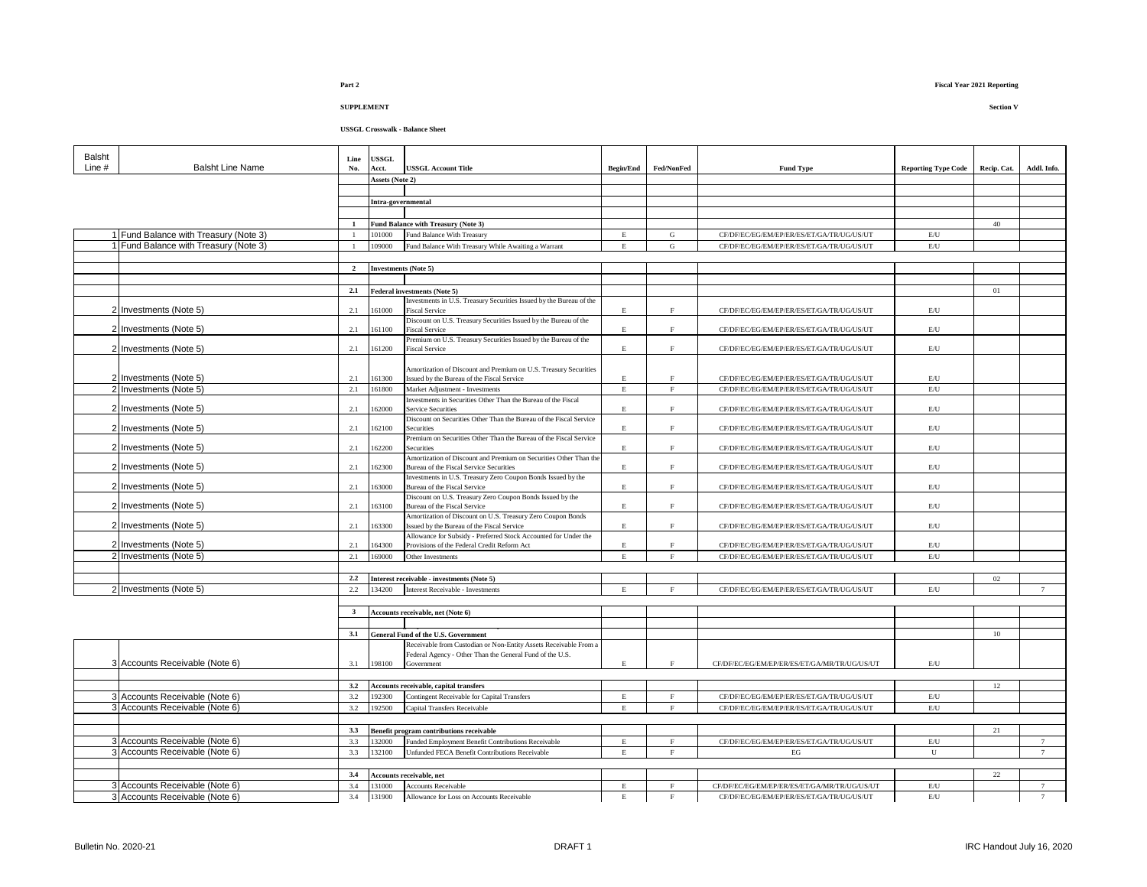| Balsht<br>Line # | <b>Balsht Line Name</b>               | Line<br>No.    | <b>USSGL</b><br>Acct.       | <b>USSGL Account Title</b>                                                                                     | <b>Begin/End</b>   | Fed/NonFed   | <b>Fund Type</b>                             | <b>Reporting Type Code</b> | Recip. Cat. | Addl. Info.    |
|------------------|---------------------------------------|----------------|-----------------------------|----------------------------------------------------------------------------------------------------------------|--------------------|--------------|----------------------------------------------|----------------------------|-------------|----------------|
|                  |                                       |                | Assets (Note 2)             |                                                                                                                |                    |              |                                              |                            |             |                |
|                  |                                       |                |                             |                                                                                                                |                    |              |                                              |                            |             |                |
|                  |                                       |                | Intra-governmental          |                                                                                                                |                    |              |                                              |                            |             |                |
|                  |                                       |                |                             |                                                                                                                |                    |              |                                              |                            |             |                |
|                  |                                       |                |                             | Fund Balance with Treasury (Note 3)                                                                            |                    |              |                                              |                            | 40          |                |
|                  | 1 Fund Balance with Treasury (Note 3) |                | 101000                      | Fund Balance With Treasury                                                                                     | E                  | G            | CF/DF/EC/EG/EM/EP/ER/ES/ET/GA/TR/UG/US/UT    | $\rm E/U$                  |             |                |
|                  | 1 Fund Balance with Treasury (Note 3) |                | 109000                      | Fund Balance With Treasury While Awaiting a Warrant                                                            | $\mathbf{E}% _{0}$ | $\mathbf G$  | CF/DF/EC/EG/EM/EP/ER/ES/ET/GA/TR/UG/US/UT    | $\mathrm{E}/\mathrm{U}$    |             |                |
|                  |                                       |                |                             |                                                                                                                |                    |              |                                              |                            |             |                |
|                  |                                       | $\overline{2}$ | <b>Investments</b> (Note 5) |                                                                                                                |                    |              |                                              |                            |             |                |
|                  |                                       |                |                             |                                                                                                                |                    |              |                                              |                            |             |                |
|                  |                                       | 2.1            |                             | Federal investments (Note 5)                                                                                   |                    |              |                                              |                            | 01          |                |
|                  | 2 Investments (Note 5)                | 2.1            | 61000                       | Investments in U.S. Treasury Securities Issued by the Bureau of the<br><b>Fiscal Service</b>                   | E                  | $\rm F$      | CF/DF/EC/EG/EM/EP/ER/ES/ET/GA/TR/UG/US/UT    | $\mathrm{E}/\mathrm{U}$    |             |                |
|                  |                                       |                |                             | Discount on U.S. Treasury Securities Issued by the Bureau of the                                               |                    |              |                                              |                            |             |                |
|                  | 2 Investments (Note 5)                | 2.1            | 161100                      | <b>Fiscal Service</b>                                                                                          | E                  | F            | CF/DF/EC/EG/EM/EP/ER/ES/ET/GA/TR/UG/US/UT    | E/U                        |             |                |
|                  |                                       |                |                             | Premium on U.S. Treasury Securities Issued by the Bureau of the                                                |                    |              |                                              |                            |             |                |
|                  | 2 Investments (Note 5)                | 2.1            | 161200                      | <b>Fiscal Service</b>                                                                                          | $\mathbf E$        | $\rm F$      | CF/DF/EC/EG/EM/EP/ER/ES/ET/GA/TR/UG/US/UT    | E/U                        |             |                |
|                  |                                       |                |                             |                                                                                                                |                    |              |                                              |                            |             |                |
|                  | 2 Investments (Note 5)                | 2.1            | 161300                      | Amortization of Discount and Premium on U.S. Treasury Securities<br>Issued by the Bureau of the Fiscal Service | $\mathbf E$        | F            | CF/DF/EC/EG/EM/EP/ER/ES/ET/GA/TR/UG/US/UT    | E/U                        |             |                |
|                  | 2 Investments (Note 5)                | 2.1            | 161800                      | Market Adiustment - Investments                                                                                | $\mathbf E$        | F            | CF/DF/EC/EG/EM/EP/ER/ES/ET/GA/TR/UG/US/UT    | $\rm E/U$                  |             |                |
|                  |                                       |                |                             | Investments in Securities Other Than the Bureau of the Fiscal                                                  |                    |              |                                              |                            |             |                |
|                  | 2 Investments (Note 5)                | 2.1            | 62000                       | Service Securities                                                                                             | E                  | $_{\rm F}$   | CF/DF/EC/EG/EM/EP/ER/ES/ET/GA/TR/UG/US/UT    | E/U                        |             |                |
|                  |                                       |                |                             | Discount on Securities Other Than the Bureau of the Fiscal Service                                             |                    |              |                                              |                            |             |                |
|                  | 2 Investments (Note 5)                | 2.1            | 62100                       | Securities                                                                                                     | E                  | $\mathbf F$  | CF/DF/EC/EG/EM/EP/ER/ES/ET/GA/TR/UG/US/UT    | $\mathrm{E}/\mathrm{U}$    |             |                |
|                  |                                       |                |                             | Premium on Securities Other Than the Bureau of the Fiscal Service                                              |                    |              |                                              |                            |             |                |
|                  | 2 Investments (Note 5)                | 2.1            | 62200                       | Securities                                                                                                     | $\mathbf E$        | $\rm F$      | CF/DF/EC/EG/EM/EP/ER/ES/ET/GA/TR/UG/US/UT    | $\mathrm{E}/\mathrm{U}$    |             |                |
|                  | 2 Investments (Note 5)                | 2.1            | 162300                      | Amortization of Discount and Premium on Securities Other Than the<br>Bureau of the Fiscal Service Securities   | $\mathbf E$        | $\mathbf{F}$ | CF/DF/EC/EG/EM/EP/ER/ES/ET/GA/TR/UG/US/UT    | $\mathrm{E}/\mathrm{U}$    |             |                |
|                  |                                       |                |                             | Investments in U.S. Treasury Zero Coupon Bonds Issued by the                                                   |                    |              |                                              |                            |             |                |
|                  | 2 Investments (Note 5)                | 2.1            | 163000                      | Bureau of the Fiscal Service                                                                                   | $\mathbf E$        | $\rm F$      | CF/DF/EC/EG/EM/EP/ER/ES/ET/GA/TR/UG/US/UT    | $\mathrm{E}/\mathrm{U}$    |             |                |
|                  |                                       |                |                             | Discount on U.S. Treasury Zero Coupon Bonds Issued by the                                                      |                    |              |                                              |                            |             |                |
|                  | 2 Investments (Note 5)                | 2.1            | 163100                      | Bureau of the Fiscal Service                                                                                   | E                  | $\mathbf F$  | CF/DF/EC/EG/EM/EP/ER/ES/ET/GA/TR/UG/US/UT    | E/U                        |             |                |
|                  |                                       |                |                             | Amortization of Discount on U.S. Treasury Zero Coupon Bonds                                                    |                    |              |                                              |                            |             |                |
|                  | 2 Investments (Note 5)                | 2.1            | 63300                       | Issued by the Bureau of the Fiscal Service<br>Allowance for Subsidy - Preferred Stock Accounted for Under the  | $\mathbf E$        | $\mathbf F$  | CF/DF/EC/EG/EM/EP/ER/ES/ET/GA/TR/UG/US/UT    | E/U                        |             |                |
|                  | 2 Investments (Note 5)                | 2.1            | 64300                       | Provisions of the Federal Credit Reform Act                                                                    | E.                 | $\rm F$      | CF/DF/EC/EG/EM/EP/ER/ES/ET/GA/TR/UG/US/UT    | $\mathrm{E}/\mathrm{U}$    |             |                |
|                  | 2 Investments (Note 5)                | 2.1            | 169000                      | Other Investments                                                                                              | E                  | $\mathbf{F}$ | CF/DF/EC/EG/EM/EP/ER/ES/ET/GA/TR/UG/US/UT    | $\rm E/U$                  |             |                |
|                  |                                       |                |                             |                                                                                                                |                    |              |                                              |                            |             |                |
|                  |                                       | 2.2            |                             | Interest receivable - investments (Note 5)                                                                     |                    |              |                                              |                            | 02          |                |
|                  | 2 Investments (Note 5)                | 2.2            | 134200                      | Interest Receivable - Investments                                                                              | E                  | F            | CF/DF/EC/EG/EM/EP/ER/ES/ET/GA/TR/UG/US/UT    | E/U                        |             | 7              |
|                  |                                       |                |                             |                                                                                                                |                    |              |                                              |                            |             |                |
|                  |                                       | $\mathbf{3}$   |                             | Accounts receivable, net (Note 6)                                                                              |                    |              |                                              |                            |             |                |
|                  |                                       |                |                             |                                                                                                                |                    |              |                                              |                            |             |                |
|                  |                                       | 3.1            |                             | General Fund of the U.S. Government                                                                            |                    |              |                                              |                            | 10          |                |
|                  |                                       |                |                             | Receivable from Custodian or Non-Entity Assets Receivable From a                                               |                    |              |                                              |                            |             |                |
|                  |                                       |                |                             | Federal Agency - Other Than the General Fund of the U.S.                                                       |                    |              |                                              |                            |             |                |
|                  | 3 Accounts Receivable (Note 6)        | 3.1            | 198100                      | Government                                                                                                     | E                  | $\mathbf F$  | CF/DF/EC/EG/EM/EP/ER/ES/ET/GA/MR/TR/UG/US/UT | $\rm E/U$                  |             |                |
|                  |                                       |                |                             |                                                                                                                |                    |              |                                              |                            |             |                |
|                  |                                       | 3.2            |                             | Accounts receivable, capital transfers                                                                         |                    |              |                                              |                            | 12          |                |
|                  | 3 Accounts Receivable (Note 6)        | 3.2            | 192300                      | Contingent Receivable for Capital Transfers                                                                    | $\mathbf E$        | F            | CF/DF/EC/EG/EM/EP/ER/ES/ET/GA/TR/UG/US/UT    | E/U                        |             |                |
|                  | 3 Accounts Receivable (Note 6)        | 3.2            | 192500                      | Capital Transfers Receivable                                                                                   | $_{\rm E}$         | F            | CF/DF/EC/EG/EM/EP/ER/ES/ET/GA/TR/UG/US/UT    | E/U                        |             |                |
|                  |                                       |                |                             |                                                                                                                |                    |              |                                              |                            |             |                |
|                  |                                       | 3.3            |                             | Benefit program contributions receivable                                                                       |                    |              |                                              |                            | 21          |                |
|                  | 3 Accounts Receivable (Note 6)        | 3.3            | 132000                      | Funded Employment Benefit Contributions Receivable                                                             | $\mathbf E$        | F            | CF/DF/EC/EG/EM/EP/ER/ES/ET/GA/TR/UG/US/UT    | E/U                        |             | 7              |
|                  | 3 Accounts Receivable (Note 6)        | 3.3            | 132100                      | Unfunded FECA Benefit Contributions Receivable                                                                 | E                  | F            | EG                                           | U                          |             | $\tau$         |
|                  |                                       |                |                             |                                                                                                                |                    |              |                                              |                            |             |                |
|                  |                                       | 3.4            |                             | Accounts receivable, net                                                                                       |                    |              |                                              |                            | $22\,$      |                |
|                  | 3 Accounts Receivable (Note 6)        | 3.4            | 131000                      | Accounts Receivable                                                                                            | $\mathbf E$        | $\mathbf{F}$ | CF/DF/EC/EG/EM/EP/ER/ES/ET/GA/MR/TR/UG/US/UT | $\mathrm{E}/\mathrm{U}$    |             | 7              |
|                  | 3 Accounts Receivable (Note 6)        | 3.4            | 131900                      | Allowance for Loss on Accounts Receivable                                                                      | $\mathbf E$        | $\mathbf F$  | CF/DF/EC/EG/EM/EP/ER/ES/ET/GA/TR/UG/US/UT    | E/U                        |             | $\overline{7}$ |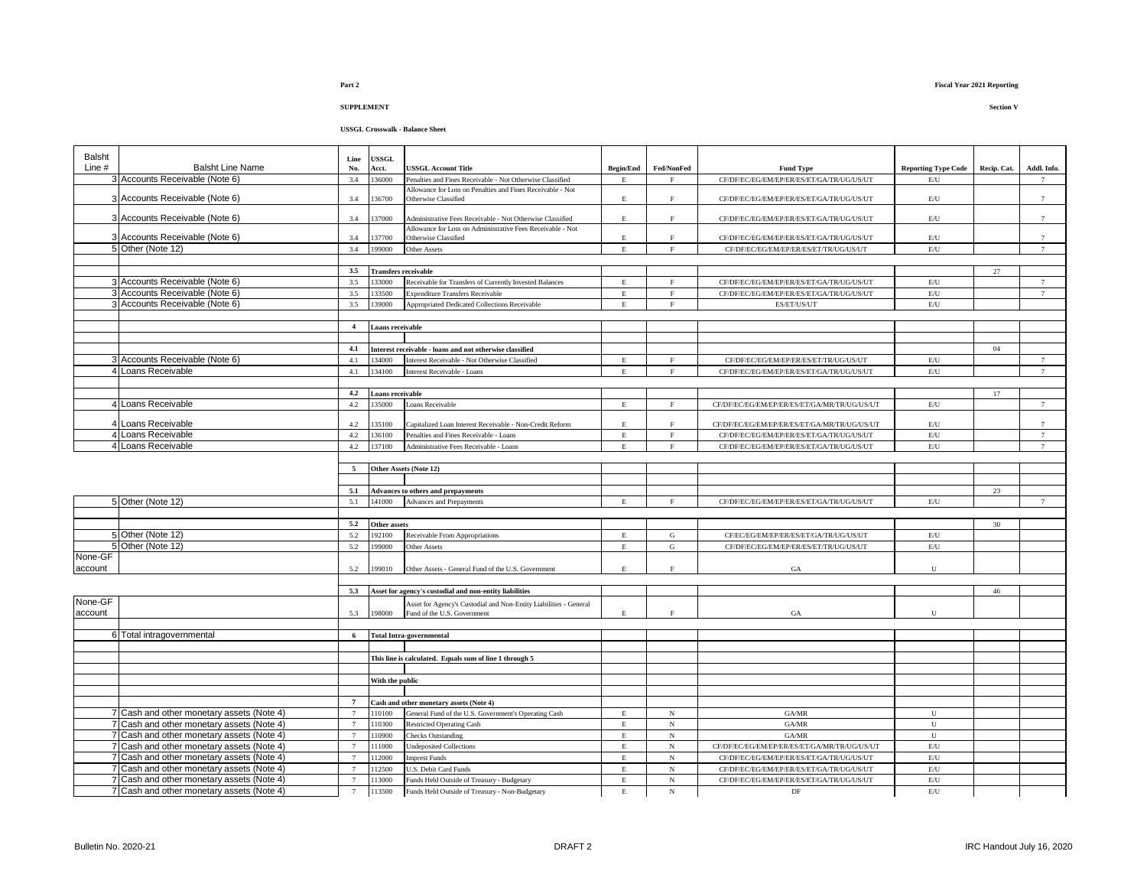| Balsht  |                                           | Line           | USSGL                       |                                                                   |                         |              |                                              |                            |             |                 |
|---------|-------------------------------------------|----------------|-----------------------------|-------------------------------------------------------------------|-------------------------|--------------|----------------------------------------------|----------------------------|-------------|-----------------|
| Line #  | <b>Balsht Line Name</b>                   | No.            | Acct.                       | <b>JSSGL Account Title</b>                                        | <b>Begin/End</b>        | Fed/NonFed   | <b>Fund Type</b>                             | <b>Reporting Type Code</b> | Recip. Cat. | Addl. Info.     |
|         | 3 Accounts Receivable (Note 6)            | 3.4            | 36000                       | Penalties and Fines Receivable - Not Otherwise Classified         | E                       | F            | CF/DF/EC/EG/EM/EP/ER/ES/ET/GA/TR/UG/US/UT    | E/U                        |             | $\tau$          |
|         |                                           |                |                             | Allowance for Loss on Penalties and Fines Receivable - Not        |                         |              |                                              |                            |             |                 |
|         | 3 Accounts Receivable (Note 6)            | 3.4            | 36700                       | Otherwise Classified                                              | $\mathbf E$             | F            | CF/DF/EC/EG/EM/EP/ER/ES/ET/GA/TR/UG/US/UT    | $\mathrm{E}/\mathrm{U}$    |             | $\overline{7}$  |
|         | 3 Accounts Receivable (Note 6)            | 3.4            | 37000                       | Administrative Fees Receivable - Not Otherwise Classified         | E                       | $\mathbf{F}$ | CF/DF/EC/EG/EM/EP/ER/ES/ET/GA/TR/UG/US/UT    | $\mathrm{E}/\mathrm{U}$    |             | $\overline{7}$  |
|         |                                           |                |                             | Allowance for Loss on Administrative Fees Receivable - Not        |                         |              |                                              |                            |             |                 |
|         | 3 Accounts Receivable (Note 6)            | 3.4            | 137700                      | Otherwise Classified                                              | $\mathbf E$             | F            | CF/DF/EC/EG/EM/EP/ER/ES/ET/GA/TR/UG/US/UT    | $\mathrm{E}/\mathrm{U}$    |             | $\overline{7}$  |
|         | 5 Other (Note 12)                         | 3.4            | 199000                      | Other Assets                                                      | E                       | $_{\rm F}$   | CF/DF/EC/EG/EM/EP/ER/ES/ET/TR/UG/US/UT       | $\mathrm{E}/\mathrm{U}$    |             | $\overline{7}$  |
|         |                                           |                |                             |                                                                   |                         |              |                                              |                            |             |                 |
|         |                                           | 3.5            | <b>Transfers receivable</b> |                                                                   |                         |              |                                              |                            | $27\,$      |                 |
|         | 3 Accounts Receivable (Note 6)            | 3.5            | 133000                      | Receivable for Transfers of Currently Invested Balances           | E                       | $_{\rm F}$   | CF/DF/EC/EG/EM/EP/ER/ES/ET/GA/TR/UG/US/UT    | $\mathrm{E}/\mathrm{U}$    |             | $7\phantom{.0}$ |
|         | 3 Accounts Receivable (Note 6)            | 3.5            | 133500                      | <b>Expenditure Transfers Receivable</b>                           | E                       | $\rm F$      | CF/DF/EC/EG/EM/EP/ER/ES/ET/GA/TR/UG/US/UT    | E/U                        |             | $7\overline{ }$ |
|         | 3 Accounts Receivable (Note 6)            | 3.5            | 139000                      | Appropriated Dedicated Collections Receivable                     | $\mathbf E$             | $\rm F$      | ES/ET/US/UT                                  | $\mathrm{E}/\mathrm{U}$    |             |                 |
|         |                                           | $\overline{4}$ |                             |                                                                   |                         |              |                                              |                            |             |                 |
|         |                                           |                | Loans receivable            |                                                                   |                         |              |                                              |                            |             |                 |
|         |                                           | 4.1            |                             | Interest receivable - loans and not otherwise classified          |                         |              |                                              |                            | 04          |                 |
|         | 3 Accounts Receivable (Note 6)            | 4.1            | 134000                      | Interest Receivable - Not Otherwise Classified                    | E                       | F            | CF/DF/EC/EG/EM/EP/ER/ES/ET/TR/UG/US/UT       | E/U                        |             | $7\phantom{.0}$ |
|         | 4 Loans Receivable                        | 4.1            | 134100                      | Interest Receivable - Loans                                       | E                       | F            | CF/DF/EC/EG/EM/EP/ER/ES/ET/GA/TR/UG/US/UT    | E/U                        |             | $\overline{7}$  |
|         |                                           |                |                             |                                                                   |                         |              |                                              |                            |             |                 |
|         |                                           | 4.2            | Loans receivable            |                                                                   |                         |              |                                              |                            | 17          |                 |
|         | 4 Loans Receivable                        | 4.2            | 135000                      | Loans Receivable                                                  | $\mathbf E$             | $\mathbf F$  | CF/DF/EC/EG/EM/EP/ER/ES/ET/GA/MR/TR/UG/US/UT | $\mathrm{E}/\mathrm{U}$    |             | $\tau$          |
|         |                                           |                |                             |                                                                   |                         |              |                                              |                            |             |                 |
|         | 4 Loans Receivable                        | 4.2            | 35100                       | Capitalized Loan Interest Receivable - Non-Credit Reform          | Е                       | $\mathbf{F}$ | CF/DF/EC/EG/EM/EP/ER/ES/ET/GA/MR/TR/UG/US/UT | E/U                        |             | $\overline{7}$  |
|         | 4 Loans Receivable                        | 4.2            | 36100                       | Penalties and Fines Receivable - Loans                            | $\mathbf E$             | $\mathbf F$  | CF/DF/EC/EG/EM/EP/ER/ES/ET/GA/TR/UG/US/UT    | $\mathrm{E}/\mathrm{U}$    |             | $\tau$          |
|         | 4 Loans Receivable                        | 4.2            | 37100                       | Administrative Fees Receivable - Loans                            | E                       | F            | CF/DF/EC/EG/EM/EP/ER/ES/ET/GA/TR/UG/US/UT    | $\mathrm{E}/\mathrm{U}$    |             | $7\phantom{.0}$ |
|         |                                           |                |                             |                                                                   |                         |              |                                              |                            |             |                 |
|         |                                           | 5              |                             | Other Assets (Note 12)                                            |                         |              |                                              |                            |             |                 |
|         |                                           |                |                             |                                                                   |                         |              |                                              |                            |             |                 |
|         |                                           | 5.1            |                             | Advances to others and prepayments                                |                         |              |                                              |                            | 23          |                 |
|         | 5 Other (Note 12)                         | 5.1            | 141000                      | Advances and Prepayments                                          | E                       | $_{\rm F}$   | CF/DF/EC/EG/EM/EP/ER/ES/ET/GA/TR/UG/US/UT    | E/U                        |             | $\overline{7}$  |
|         |                                           | 5.2            |                             |                                                                   |                         |              |                                              |                            |             |                 |
|         | 5 Other (Note 12)                         | 5.2            | Other assets<br>192100      |                                                                   | $\,$ E                  | $\mathbf G$  | CF/EC/EG/EM/EP/ER/ES/ET/GA/TR/UG/US/UT       | $\mathrm{E}/\mathrm{U}$    | 30          |                 |
|         | 5 Other (Note 12)                         | 5.2            | 199000                      | Receivable From Appropriations                                    | $\mathbf E$             | G            | CF/DF/EC/EG/EM/EP/ER/ES/ET/TR/UG/US/UT       | $\mathrm{E}/\mathrm{U}$    |             |                 |
| None-GF |                                           |                |                             | Other Assets                                                      |                         |              |                                              |                            |             |                 |
| account |                                           | 5.2            | 99010                       | Other Assets - General Fund of the U.S. Government                | E                       | $_{\rm F}$   | GA                                           | U                          |             |                 |
|         |                                           |                |                             |                                                                   |                         |              |                                              |                            |             |                 |
|         |                                           | 5.3            |                             | Asset for agency's custodial and non-entity liabilities           |                         |              |                                              |                            | 46          |                 |
| None-GF |                                           |                |                             | Asset for Agency's Custodial and Non-Entity Liabilities - General |                         |              |                                              |                            |             |                 |
| account |                                           | 5.3            | 198000                      | Fund of the U.S. Government                                       | E                       | $\mathbf{F}$ | GA                                           | U                          |             |                 |
|         |                                           |                |                             |                                                                   |                         |              |                                              |                            |             |                 |
|         | 6 Total intragovernmental                 | 6              |                             | <b>Total Intra-governmental</b>                                   |                         |              |                                              |                            |             |                 |
|         |                                           |                |                             |                                                                   |                         |              |                                              |                            |             |                 |
|         |                                           |                |                             | This line is calculated. Equals sum of line 1 through 5           |                         |              |                                              |                            |             |                 |
|         |                                           |                |                             |                                                                   |                         |              |                                              |                            |             |                 |
|         |                                           |                | With the public             |                                                                   |                         |              |                                              |                            |             |                 |
|         |                                           |                |                             |                                                                   |                         |              |                                              |                            |             |                 |
|         |                                           | $\overline{7}$ |                             | Cash and other monetary assets (Note 4)                           |                         |              |                                              |                            |             |                 |
|         | 7 Cash and other monetary assets (Note 4) |                | 110100                      | General Fund of the U.S. Government's Operating Cash              | $\mathop{\hbox{\bf E}}$ | $_{\rm N}$   | GA/MR                                        | U                          |             |                 |
|         | 7 Cash and other monetary assets (Note 4) | $\overline{7}$ | 110300                      | <b>Restricted Operating Cash</b>                                  | $\mathbf E$             | $\mathbf N$  | GA/MR                                        | $\mathbf U$                |             |                 |
|         | 7 Cash and other monetary assets (Note 4) | $\tau$         | 110900                      | <b>Checks Outstanding</b>                                         | $\mathbf E$             | $_{\rm N}$   | $\mathbf{GA} \!/\! \mathbf{MR}$              | ${\bf U}$                  |             |                 |
|         | 7 Cash and other monetary assets (Note 4) | $\overline{7}$ | 111000                      | <b>Undeposited Collections</b>                                    | $\mathbf E$             | $_{\rm N}$   | CF/DF/EC/EG/EM/EP/ER/ES/ET/GA/MR/TR/UG/US/UT | $\mathrm{E}/\mathrm{U}$    |             |                 |
|         | 7 Cash and other monetary assets (Note 4) | $\overline{7}$ | 112000                      | <b>Imprest Funds</b>                                              | $\mathbf E$             | $_{\rm N}$   | CF/DF/EC/EG/EM/EP/ER/ES/ET/GA/TR/UG/US/UT    | $\mathrm{E}/\mathrm{U}$    |             |                 |
|         | 7 Cash and other monetary assets (Note 4) | $\overline{7}$ | 112500                      | U.S. Debit Card Funds                                             | E                       | $_{\rm N}$   | CF/DF/EC/EG/EM/EP/ER/ES/ET/GA/TR/UG/US/UT    | E/U                        |             |                 |
|         | 7 Cash and other monetary assets (Note 4) | $\tau$         | 113000                      | Funds Held Outside of Treasury - Budgetary                        | E                       | $_{\rm N}$   | CF/DF/EC/EG/EM/EP/ER/ES/ET/GA/TR/UG/US/UT    | $\mathrm{E}/\mathrm{U}$    |             |                 |
|         | 7 Cash and other monetary assets (Note 4) | $\tau$         | 113500                      | Funds Held Outside of Treasury - Non-Budgetary                    | $\mathbf E$             | $_{\rm N}$   | DF                                           | E/U                        |             |                 |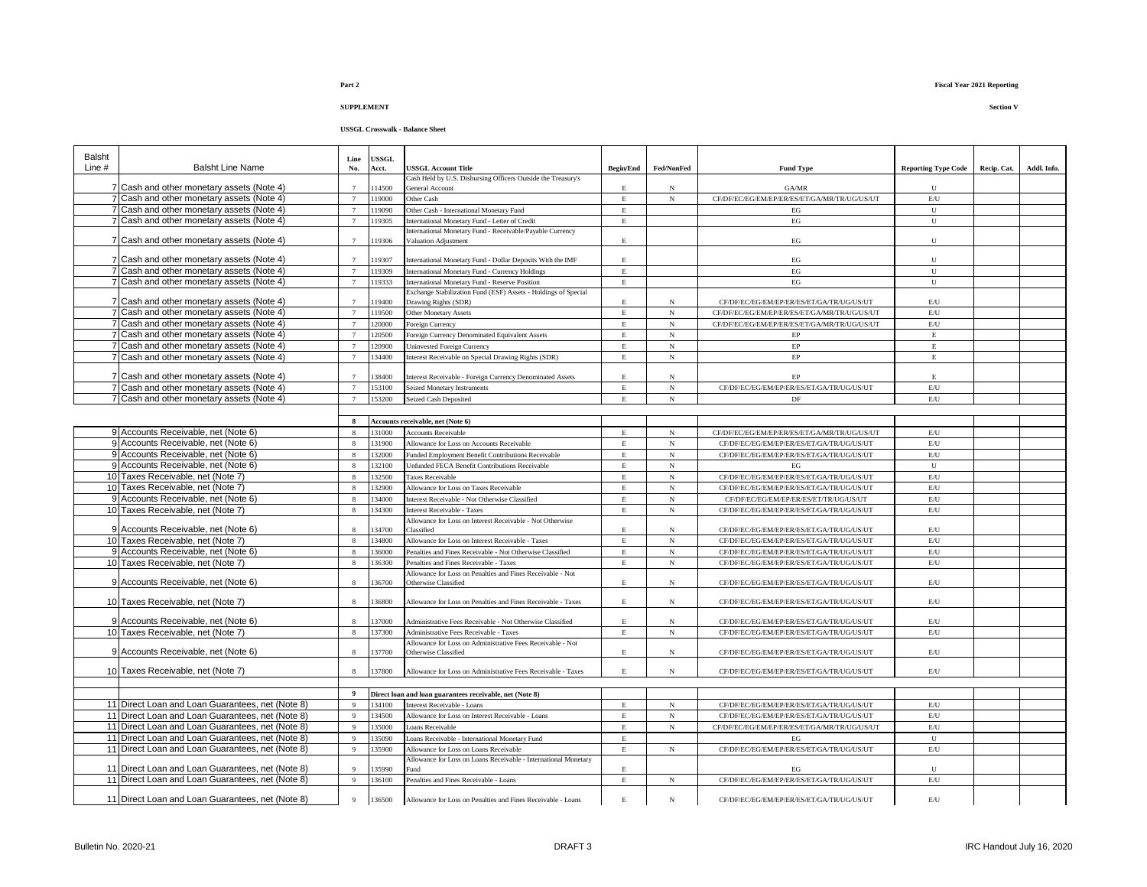### **USSGL Crosswalk - Balance Sheet**

| <b>Balsht</b> |                                                                                        | Line                  | <b>USSGL</b>   |                                                                                 |                         |                 |                                                 |                            |             |             |
|---------------|----------------------------------------------------------------------------------------|-----------------------|----------------|---------------------------------------------------------------------------------|-------------------------|-----------------|-------------------------------------------------|----------------------------|-------------|-------------|
| Line #        | <b>Balsht Line Name</b>                                                                | No.                   | Acct.          | <b>JSSGL Account Title</b>                                                      | <b>Begin/End</b>        | Fed/NonFed      | <b>Fund Type</b>                                | <b>Reporting Type Code</b> | Recip. Cat. | Addl. Info. |
|               | 7 Cash and other monetary assets (Note 4)                                              |                       | 14500          | Cash Held by U.S. Disbursing Officers Outside the Treasury's<br>General Account | E                       | N               | GA/MR                                           | U                          |             |             |
|               | 7 Cash and other monetary assets (Note 4)                                              | $\overline{7}$        | 19000          | Other Cash                                                                      | $\mathbf E$             | $_{\rm N}$      | CF/DF/EC/EG/EM/EP/ER/ES/ET/GA/MR/TR/UG/US/UT    | E/U                        |             |             |
|               | 7 Cash and other monetary assets (Note 4)                                              | $\overline{7}$        | 19090          | Other Cash - International Monetary Fund                                        | E                       |                 | EG                                              | $\mathbf{U}$               |             |             |
|               | 7 Cash and other monetary assets (Note 4)                                              | $7\phantom{.0}$       | 19305          | International Monetary Fund - Letter of Credit                                  | Е                       |                 | $_{\rm EG}$                                     | ${\bf U}$                  |             |             |
|               |                                                                                        |                       |                | international Monetary Fund - Receivable/Payable Currency                       |                         |                 |                                                 |                            |             |             |
|               | 7 Cash and other monetary assets (Note 4)                                              | $\tau$                | 19306          | Valuation Adjustment                                                            | E                       |                 | EG                                              | U                          |             |             |
|               | 7 Cash and other monetary assets (Note 4)                                              |                       | 19307          | International Monetary Fund - Dollar Deposits With the IMF                      | $\mathop{\hbox{\bf E}}$ |                 | $_{\rm EG}$                                     | U                          |             |             |
|               | 7 Cash and other monetary assets (Note 4)                                              | $\tau$                | 19309          | International Monetary Fund - Currency Holdings                                 | E                       |                 | EG                                              | U                          |             |             |
|               | 7 Cash and other monetary assets (Note 4)                                              | $\overline{7}$        | 19333          | <b>International Monetary Fund - Reserve Position</b>                           | $\mathbf E$             |                 | $_{\rm EG}$                                     | ${\bf U}$                  |             |             |
|               |                                                                                        |                       |                | Exchange Stabilization Fund (ESF) Assets - Holdings of Special                  |                         |                 |                                                 |                            |             |             |
|               | 7 Cash and other monetary assets (Note 4)                                              | $\overline{7}$        | 19400          | Drawing Rights (SDR)                                                            | E.                      | N               | CF/DF/EC/EG/EM/EP/ER/ES/ET/GA/TR/UG/US/UT       | E/U                        |             |             |
|               | 7 Cash and other monetary assets (Note 4)                                              |                       | 19500          | Other Monetary Assets                                                           | $\mathbf{E}$            | $\mathbf N$     | CF/DF/EC/EG/EM/EP/ER/ES/ET/GA/MR/TR/UG/US/UT    | E/U                        |             |             |
|               | 7 Cash and other monetary assets (Note 4)                                              | $\overline{7}$        | 20000          | Foreign Currency                                                                | Е                       | $_{\rm N}$      | CF/DF/EC/EG/EM/EP/ER/ES/ET/GA/MR/TR/UG/US/UT    | $\rm E/U$                  |             |             |
|               | 7 Cash and other monetary assets (Note 4)                                              | $\overline{7}$        | 120500         | Foreign Currency Denominated Equivalent Assets                                  | E                       | $_{\rm N}$      | $\rm EP$                                        | $\mathbf E$                |             |             |
|               | 7 Cash and other monetary assets (Note 4)                                              | $\tau$                | 20900          | Jninvested Foreign Currency                                                     | $\mathbf E$             | $_{\rm N}$      | EP                                              | $\mathbf E$                |             |             |
|               | 7 Cash and other monetary assets (Note 4)                                              | $\overline{7}$        | 34400          | Interest Receivable on Special Drawing Rights (SDR)                             | Е                       | $_{\rm N}$      | $\rm EP$                                        | $\mathbf E$                |             |             |
|               |                                                                                        |                       |                |                                                                                 |                         |                 |                                                 |                            |             |             |
|               | 7 Cash and other monetary assets (Note 4)<br>7 Cash and other monetary assets (Note 4) | $\overline{7}$        | 38400<br>53100 | Interest Receivable - Foreign Currency Denominated Assets                       | E.<br>$\mathbf E$       | N<br>$_{\rm N}$ | EP<br>CF/DF/EC/EG/EM/EP/ER/ES/ET/GA/TR/UG/US/UT | E.<br>E/U                  |             |             |
|               | 7 Cash and other monetary assets (Note 4)                                              | $7\phantom{.0}$       | 153200         | <b>Seized Monetary Instruments</b><br><b>Seized Cash Deposited</b>              | Е                       | $_{\rm N}$      | $\rm DF$                                        | $\mathrm{E}/\mathrm{U}$    |             |             |
|               |                                                                                        |                       |                |                                                                                 |                         |                 |                                                 |                            |             |             |
|               |                                                                                        | $\mathbf{x}$          |                | Accounts receivable, net (Note 6)                                               |                         |                 |                                                 |                            |             |             |
|               | 9 Accounts Receivable, net (Note 6)                                                    | 8                     | 31000          | <b>Accounts Receivable</b>                                                      | E                       | $_{\rm N}$      | CF/DF/EC/EG/EM/EP/ER/ES/ET/GA/MR/TR/UG/US/UT    | E/U                        |             |             |
|               | 9 Accounts Receivable, net (Note 6)                                                    | 8                     | 31900          | Allowance for Loss on Accounts Receivable                                       | E                       | $_{\rm N}$      | CF/DF/EC/EG/EM/EP/ER/ES/ET/GA/TR/UG/US/UT       | E/U                        |             |             |
|               | 9 Accounts Receivable, net (Note 6)                                                    | $\mathbf{\hat{x}}$    | 32000          | Funded Employment Benefit Contributions Receivable                              | $_{\rm E}$              | $_{\rm N}$      | CF/DF/EC/EG/EM/EP/ER/ES/ET/GA/TR/UG/US/UT       | E/U                        |             |             |
|               | 9 Accounts Receivable, net (Note 6)                                                    | $\mathbf{8}$          | 32100          | Unfunded FECA Benefit Contributions Receivable                                  | E                       | $_{\rm N}$      | EG                                              | $\mathbf{U}$               |             |             |
|               | 10 Taxes Receivable, net (Note 7)                                                      | $\mathbf{R}$          | 32500          | Taxes Receivable                                                                | E.                      | $_{\rm N}$      | CF/DF/EC/EG/EM/EP/ER/ES/ET/GA/TR/UG/US/UT       | E/U                        |             |             |
|               | 10 Taxes Receivable, net (Note 7)                                                      | $\mathbf{\hat{x}}$    | 32900          | Allowance for Loss on Taxes Receivable                                          | $\mathbf{E}$            | $_{\rm N}$      | CF/DF/EC/EG/EM/EP/ER/ES/ET/GA/TR/UG/US/UT       | E/U                        |             |             |
|               | 9 Accounts Receivable, net (Note 6)                                                    | $\mathbf{\mathbf{R}}$ | 34000          | Interest Receivable - Not Otherwise Classified                                  | $_{\rm E}$              | $_{\rm N}$      | CF/DF/EC/EG/EM/EP/ER/ES/ET/TR/UG/US/UT          | $\mathbf{E}/\mathbf{U}$    |             |             |
|               | 10 Taxes Receivable, net (Note 7)                                                      | $\mathbf{\hat{x}}$    | 34300          | <b>Interest Receivable - Taxes</b>                                              | $\mathbf{E}% _{0}$      | $_{\rm N}$      | CF/DF/EC/EG/EM/EP/ER/ES/ET/GA/TR/UG/US/UT       | $\mathrm{E}/\mathrm{U}$    |             |             |
|               |                                                                                        |                       |                | Allowance for Loss on Interest Receivable - Not Otherwise                       |                         |                 |                                                 |                            |             |             |
|               | 9 Accounts Receivable, net (Note 6)                                                    |                       | 34700          | Classified                                                                      | $\mathbf E$             | $_{\rm N}$      | CF/DF/EC/EG/EM/EP/ER/ES/ET/GA/TR/UG/US/UT       | $\mathbf{E}/\mathbf{U}$    |             |             |
|               | 10 Taxes Receivable, net (Note 7)                                                      | $\mathbf{8}$          | 34800          | Allowance for Loss on Interest Receivable - Taxes                               | $\mathbf E$             | $_{\rm N}$      | CF/DF/EC/EG/EM/EP/ER/ES/ET/GA/TR/UG/US/UT       | $\mathrm{E}/\mathrm{U}$    |             |             |
|               | 9 Accounts Receivable, net (Note 6)                                                    | $\mathbf{\hat{x}}$    | 36000          | Penalties and Fines Receivable - Not Otherwise Classified                       | $_{\rm E}$              | $_{\rm N}$      | CF/DF/EC/EG/EM/EP/ER/ES/ET/GA/TR/UG/US/UT       | E/U                        |             |             |
|               | 10 Taxes Receivable, net (Note 7)                                                      | $\mathbf{8}$          | 36300          | Penalties and Fines Receivable - Taxes                                          | $\mathbf E$             | $_{\rm N}$      | CF/DF/EC/EG/EM/EP/ER/ES/ET/GA/TR/UG/US/UT       | $\mathrm{E}/\mathrm{U}$    |             |             |
|               |                                                                                        | $\mathbf{\hat{z}}$    | 36700          | Allowance for Loss on Penalties and Fines Receivable - Not                      | E                       |                 |                                                 | $\mathbf{E}/\mathbf{U}$    |             |             |
|               | 9 Accounts Receivable, net (Note 6)                                                    |                       |                | Otherwise Classified                                                            |                         | $_{\rm N}$      | CF/DF/EC/EG/EM/EP/ER/ES/ET/GA/TR/UG/US/UT       |                            |             |             |
|               | 10 Taxes Receivable, net (Note 7)                                                      |                       | 36800          | Allowance for Loss on Penalties and Fines Receivable - Taxes                    | Е                       | $_{\rm N}$      | CF/DF/EC/EG/EM/EP/ER/ES/ET/GA/TR/UG/US/UT       | E/U                        |             |             |
|               |                                                                                        |                       |                |                                                                                 |                         |                 |                                                 |                            |             |             |
|               | 9 Accounts Receivable, net (Note 6)                                                    |                       | 37000          | Administrative Fees Receivable - Not Otherwise Classified                       | E.                      | N               | CF/DF/EC/EG/EM/EP/ER/ES/ET/GA/TR/UG/US/UT       | E/U                        |             |             |
|               | 10 Taxes Receivable, net (Note 7)                                                      | $\,$ 8 $\,$           | 37300          | Administrative Fees Receivable - Taxes                                          | $\mathbf E$             | $_{\rm N}$      | CF/DF/EC/EG/EM/EP/ER/ES/ET/GA/TR/UG/US/UT       | $\mathbf{E}/\mathbf{U}$    |             |             |
|               |                                                                                        |                       |                | Allowance for Loss on Administrative Fees Receivable - Not                      |                         |                 |                                                 |                            |             |             |
|               | 9 Accounts Receivable, net (Note 6)                                                    | 8                     | 37700          | Otherwise Classified                                                            | $\mathop{\hbox{\bf E}}$ | $_{\rm N}$      | CF/DF/EC/EG/EM/EP/ER/ES/ET/GA/TR/UG/US/UT       | $\mathbf{E}/\mathbf{U}$    |             |             |
|               | 10 Taxes Receivable, net (Note 7)                                                      | 8                     | 37800          | Allowance for Loss on Administrative Fees Receivable - Taxes                    | E.                      | N               | CF/DF/EC/EG/EM/EP/ER/ES/ET/GA/TR/UG/US/UT       | $\mathrm{E}/\mathrm{U}$    |             |             |
|               |                                                                                        |                       |                |                                                                                 |                         |                 |                                                 |                            |             |             |
|               |                                                                                        |                       |                | Direct loan and loan guarantees receivable, net (Note 8)                        |                         |                 |                                                 |                            |             |             |
|               | 11 Direct Loan and Loan Guarantees, net (Note 8)                                       | 9                     | 34100          | nterest Receivable - Loans                                                      | $\mathbf E$             | $_{\rm N}$      | CF/DF/EC/EG/EM/EP/ER/ES/ET/GA/TR/UG/US/UT       | $\rm E/U$                  |             |             |
|               | 11 Direct Loan and Loan Guarantees, net (Note 8)                                       | 9                     | 34500          | Allowance for Loss on Interest Receivable - Loans                               | E                       | $_{\rm N}$      | CF/DF/EC/EG/EM/EP/ER/ES/ET/GA/TR/UG/US/UT       | $\mathbf{E}/\mathbf{U}$    |             |             |
|               | 11 Direct Loan and Loan Guarantees, net (Note 8)                                       | $\overline{9}$        | 35000          | oans Receivable                                                                 | $\mathbf{E}$            | N               | CF/DF/EC/EG/EM/EP/ER/ES/ET/GA/MR/TR/UG/US/UT    | E/U                        |             |             |
|               | 11 Direct Loan and Loan Guarantees, net (Note 8)                                       | 9                     | 35090          | Loans Receivable - International Monetary Fund                                  | Е                       |                 | EG                                              | ${\bf U}$                  |             |             |
|               | 11 Direct Loan and Loan Guarantees, net (Note 8)                                       | $\overline{9}$        | 35900          | Allowance for Loss on Loans Receivable                                          | E.                      | $_{\rm N}$      | CF/DF/EC/EG/EM/EP/ER/ES/ET/GA/TR/UG/US/UT       | $\mathbf{E}/\mathbf{U}$    |             |             |
|               |                                                                                        |                       |                | Allowance for Loss on Loans Receivable - International Monetary                 |                         |                 |                                                 |                            |             |             |
|               | 11 Direct Loan and Loan Guarantees, net (Note 8)                                       | 9                     | 35990          | Fund                                                                            | E                       |                 | EG                                              | U                          |             |             |
|               | 11 Direct Loan and Loan Guarantees, net (Note 8)                                       | 9                     | 36100          | Penalties and Fines Receivable - Loans                                          | Е                       | N               | CF/DF/EC/EG/EM/EP/ER/ES/ET/GA/TR/UG/US/UT       | $\rm E/U$                  |             |             |
|               | 11 Direct Loan and Loan Guarantees, net (Note 8)                                       | 9                     | 136500         | Allowance for Loss on Penalties and Fines Receivable - Loans                    | $\mathbf E$             | $_{\rm N}$      | CF/DF/EC/EG/EM/EP/ER/ES/ET/GA/TR/UG/US/UT       | E/U                        |             |             |
|               |                                                                                        |                       |                |                                                                                 |                         |                 |                                                 |                            |             |             |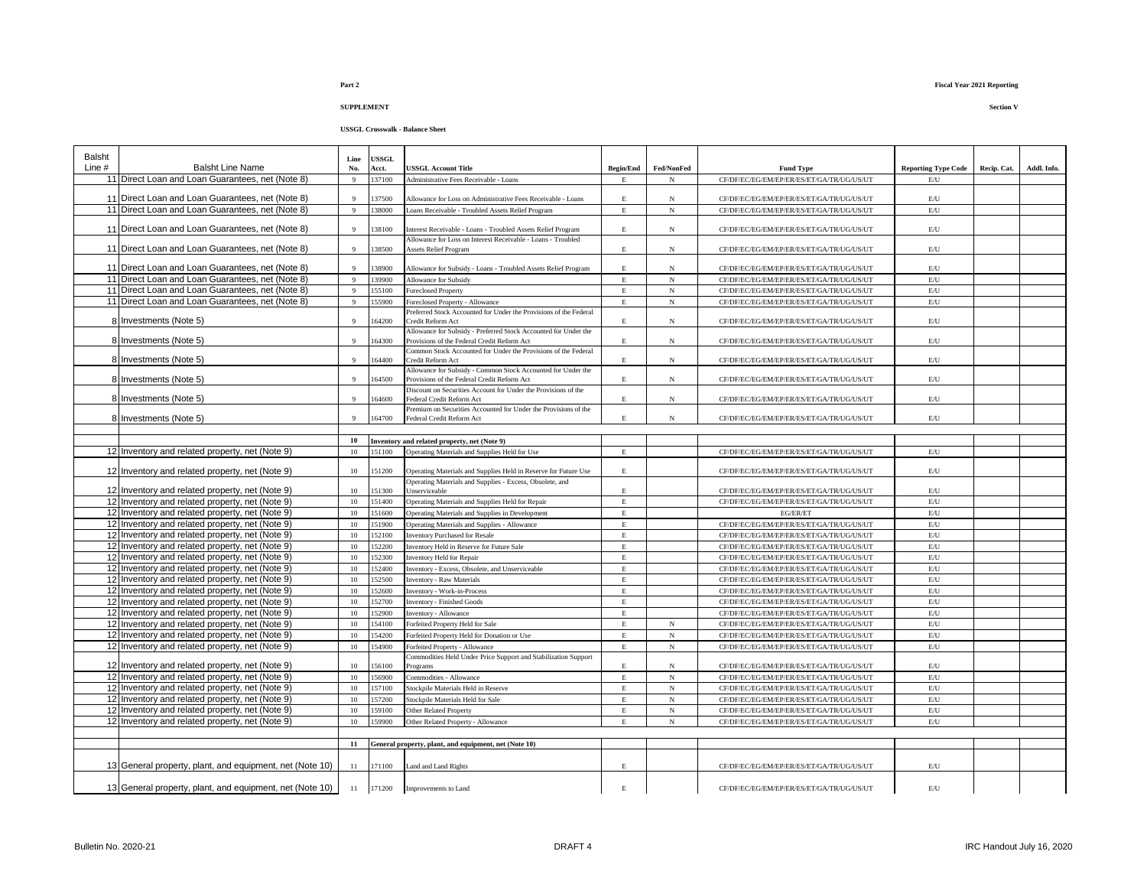### **USSGL Crosswalk - Balance Sheet**

| Balsht   |                                                                                                    | Line           | <b>USSGL</b>   |                                                                                              |                  |            |                                                                                        |                                |             |             |
|----------|----------------------------------------------------------------------------------------------------|----------------|----------------|----------------------------------------------------------------------------------------------|------------------|------------|----------------------------------------------------------------------------------------|--------------------------------|-------------|-------------|
| Line $#$ | <b>Balsht Line Name</b>                                                                            | No.            | Acct.          | <b>USSGL Account Title</b>                                                                   | <b>Begin/End</b> | Fed/NonFed | <b>Fund Type</b>                                                                       | <b>Reporting Type Code</b>     | Recip. Cat. | Addl. Info. |
|          | 11 Direct Loan and Loan Guarantees, net (Note 8)                                                   | $\overline{9}$ | 137100         | Administrative Fees Receivable - Loans                                                       | E                | N          | CF/DF/EC/EG/EM/EP/ER/ES/ET/GA/TR/UG/US/UT                                              | E/U                            |             |             |
|          | 11 Direct Loan and Loan Guarantees, net (Note 8)                                                   | $\overline{9}$ | 37500          | Allowance for Loss on Administrative Fees Receivable - Loans                                 | E.               | $_{\rm N}$ | CF/DF/EC/EG/EM/EP/ER/ES/ET/GA/TR/UG/US/UT                                              | E/U                            |             |             |
|          | 11 Direct Loan and Loan Guarantees, net (Note 8)                                                   | $\overline{9}$ | 138000         | Loans Receivable - Troubled Assets Relief Program                                            | $\mathbf E$      | $_{\rm N}$ | CF/DF/EC/EG/EM/EP/ER/ES/ET/GA/TR/UG/US/UT                                              | E/U                            |             |             |
|          |                                                                                                    |                |                |                                                                                              |                  |            |                                                                                        |                                |             |             |
|          | 11 Direct Loan and Loan Guarantees, net (Note 8)                                                   | $\overline{9}$ | 38100          | Interest Receivable - Loans - Troubled Assets Relief Program                                 | E                | $_{\rm N}$ | CF/DF/EC/EG/EM/EP/ER/ES/ET/GA/TR/UG/US/UT                                              | $\mathrm{E}/\mathrm{U}$        |             |             |
|          |                                                                                                    |                |                | Allowance for Loss on Interest Receivable - Loans - Troubled                                 |                  |            |                                                                                        |                                |             |             |
|          | 11 Direct Loan and Loan Guarantees, net (Note 8)                                                   | $\overline{9}$ | 138500         | <b>Assets Relief Program</b>                                                                 | $\mathbf E$      | $_{\rm N}$ | CF/DF/EC/EG/EM/EP/ER/ES/ET/GA/TR/UG/US/UT                                              | E/U                            |             |             |
|          | 11 Direct Loan and Loan Guarantees, net (Note 8)                                                   | $\overline{9}$ | 138900         | Allowance for Subsidy - Loans - Troubled Assets Relief Program                               | Е                | $_{\rm N}$ | CF/DF/EC/EG/EM/EP/ER/ES/ET/GA/TR/UG/US/UT                                              | E/U                            |             |             |
|          | 11 Direct Loan and Loan Guarantees, net (Note 8)                                                   | $\overline{9}$ | 139900         | Allowance for Subsidy                                                                        | $\mathbf E$      | $_{\rm N}$ | CF/DF/EC/EG/EM/EP/ER/ES/ET/GA/TR/UG/US/UT                                              | E/U                            |             |             |
|          | 11 Direct Loan and Loan Guarantees, net (Note 8)                                                   | $\overline{9}$ | 155100         | <b>Foreclosed Property</b>                                                                   | E                | $_{\rm N}$ | CF/DF/EC/EG/EM/EP/ER/ES/ET/GA/TR/UG/US/UT                                              | $\mathrm{E}/\mathrm{U}$        |             |             |
|          | 11 Direct Loan and Loan Guarantees, net (Note 8)                                                   | $\overline{9}$ | 155900         | Foreclosed Property - Allowance                                                              | E                | $_{\rm N}$ | CF/DF/EC/EG/EM/EP/ER/ES/ET/GA/TR/UG/US/UT                                              | $\mathrm{E}/\mathrm{U}$        |             |             |
|          |                                                                                                    |                |                | Preferred Stock Accounted for Under the Provisions of the Federal                            |                  |            |                                                                                        |                                |             |             |
|          | 8 Investments (Note 5)                                                                             | $\mathbf{Q}$   | 64200          | Credit Reform Act                                                                            | E.               | $_{\rm N}$ | CF/DF/EC/EG/EM/EP/ER/ES/ET/GA/TR/UG/US/UT                                              | $\mathrm{E}/\mathrm{U}$        |             |             |
|          |                                                                                                    |                |                | Allowance for Subsidy - Preferred Stock Accounted for Under the                              |                  |            |                                                                                        |                                |             |             |
|          | 8 Investments (Note 5)                                                                             | $\overline{9}$ | 64300          | Provisions of the Federal Credit Reform Act                                                  | E                | $_{\rm N}$ | CF/DF/EC/EG/EM/EP/ER/ES/ET/GA/TR/UG/US/UT                                              | E/U                            |             |             |
|          | 8 Investments (Note 5)                                                                             | $\mathbf{Q}$   | 64400          | Common Stock Accounted for Under the Provisions of the Federal<br>Credit Reform Act          | E                | $_{\rm N}$ | CF/DF/EC/EG/EM/EP/ER/ES/ET/GA/TR/UG/US/UT                                              | E/U                            |             |             |
|          |                                                                                                    |                |                | Allowance for Subsidy - Common Stock Accounted for Under the                                 |                  |            |                                                                                        |                                |             |             |
|          | 8 Investments (Note 5)                                                                             | $\mathbf Q$    | 64500          | Provisions of the Federal Credit Reform Act                                                  | $\mathbf E$      | $_{\rm N}$ | CF/DF/EC/EG/EM/EP/ER/ES/ET/GA/TR/UG/US/UT                                              | E/U                            |             |             |
|          |                                                                                                    |                |                | Discount on Securities Account for Under the Provisions of the                               |                  |            |                                                                                        |                                |             |             |
|          | 8 Investments (Note 5)                                                                             | $\mathbf{Q}$   | 64600          | Federal Credit Reform Act                                                                    | $\mathbf{E}$     | $_{\rm N}$ | CF/DF/EC/EG/EM/EP/ER/ES/ET/GA/TR/UG/US/UT                                              | E/U                            |             |             |
|          | 8 Investments (Note 5)                                                                             | $\mathbf{Q}$   | 164700         | Premium on Securities Accounted for Under the Provisions of the<br>Federal Credit Reform Act | $\mathbf E$      | $_{\rm N}$ | CF/DF/EC/EG/EM/EP/ER/ES/ET/GA/TR/UG/US/UT                                              | E/U                            |             |             |
|          |                                                                                                    |                |                |                                                                                              |                  |            |                                                                                        |                                |             |             |
|          |                                                                                                    | 10             |                | Inventory and related property, net (Note 9)                                                 |                  |            |                                                                                        |                                |             |             |
|          | 12 Inventory and related property, net (Note 9)                                                    | 10             | 151100         | Operating Materials and Supplies Held for Use                                                | $\mathbf E$      |            | CF/DF/EC/EG/EM/EP/ER/ES/ET/GA/TR/UG/US/UT                                              | $\mathbf{E}/\mathbf{U}$        |             |             |
|          |                                                                                                    |                |                |                                                                                              |                  |            |                                                                                        |                                |             |             |
|          | 12 Inventory and related property, net (Note 9)                                                    | 10             | 51200          | Operating Materials and Supplies Held in Reserve for Future Use                              | E                |            | CF/DF/EC/EG/EM/EP/ER/ES/ET/GA/TR/UG/US/UT                                              | $\mathrm{E}/\mathrm{U}$        |             |             |
|          |                                                                                                    |                |                | Operating Materials and Supplies - Excess, Obsolete, and                                     |                  |            |                                                                                        |                                |             |             |
|          | 12 Inventory and related property, net (Note 9)                                                    | 10             | 51300          | Unserviceable                                                                                | $\mathbf E$      |            | CF/DF/EC/EG/EM/EP/ER/ES/ET/GA/TR/UG/US/UT                                              | $\mathrm{E}/\mathrm{U}$        |             |             |
|          | 12 Inventory and related property, net (Note 9)                                                    | 10             | 151400         | Operating Materials and Supplies Held for Repair                                             | $\mathbf E$      |            | CF/DF/EC/EG/EM/EP/ER/ES/ET/GA/TR/UG/US/UT                                              | E/U                            |             |             |
|          | 12 Inventory and related property, net (Note 9)                                                    | 10             | 151600         | Operating Materials and Supplies in Development                                              | $\mathbf E$      |            | EG/ER/ET                                                                               | $\mathbf{E}/\mathbf{U}$        |             |             |
|          | 12 Inventory and related property, net (Note 9)                                                    | 10             | 151900         | Operating Materials and Supplies - Allowance                                                 | $\mathbf E$      |            | CF/DF/EC/EG/EM/EP/ER/ES/ET/GA/TR/UG/US/UT                                              | $\mathrm{E}/\mathrm{U}$        |             |             |
|          | 12 Inventory and related property, net (Note 9)                                                    | 10             | 52100          | <b>Inventory Purchased for Resale</b>                                                        | E                |            | CF/DF/EC/EG/EM/EP/ER/ES/ET/GA/TR/UG/US/UT                                              | E/U                            |             |             |
|          | 12 Inventory and related property, net (Note 9)                                                    | 10             | 52200          | Inventory Held in Reserve for Future Sale                                                    | $\mathbf E$      |            | CF/DF/EC/EG/EM/EP/ER/ES/ET/GA/TR/UG/US/UT                                              | $\mathrm{E}/\mathrm{U}$        |             |             |
|          | 12 Inventory and related property, net (Note 9)                                                    | 10             | 152300         | <b>Inventory Held for Repair</b>                                                             | $\mathbf E$      |            | CF/DF/EC/EG/EM/EP/ER/ES/ET/GA/TR/UG/US/UT                                              | $\mathbf{E}/\mathbf{U}$        |             |             |
|          | 12 Inventory and related property, net (Note 9)                                                    | 10             | 52400<br>52500 | Inventory - Excess, Obsolete, and Unserviceable                                              | $\mathbf E$      |            | CF/DF/EC/EG/EM/EP/ER/ES/ET/GA/TR/UG/US/UT                                              | $\mathrm{E}/\mathrm{U}$<br>E/U |             |             |
|          | 12 Inventory and related property, net (Note 9)<br>12 Inventory and related property, net (Note 9) | 10<br>10       | 52600          | <b>Inventory - Raw Materials</b><br><b>Inventory - Work-in-Process</b>                       | Е<br>$\mathbf E$ |            | CF/DF/EC/EG/EM/EP/ER/ES/ET/GA/TR/UG/US/UT<br>CF/DF/EC/EG/EM/EP/ER/ES/ET/GA/TR/UG/US/UT | E/U                            |             |             |
|          | 12 Inventory and related property, net (Note 9)                                                    | 10             | 152700         | <b>Inventory - Finished Goods</b>                                                            | $\mathbf E$      |            | CF/DF/EC/EG/EM/EP/ER/ES/ET/GA/TR/UG/US/UT                                              | E/U                            |             |             |
|          | 12 Inventory and related property, net (Note 9)                                                    | 10             | 52900          | Inventory - Allowance                                                                        | $\mathbf E$      |            | CF/DF/EC/EG/EM/EP/ER/ES/ET/GA/TR/UG/US/UT                                              | E/U                            |             |             |
|          | 12 Inventory and related property, net (Note 9)                                                    | 10             | 154100         | Forfeited Property Held for Sale                                                             | $\mathbf E$      | $_{\rm N}$ | CF/DF/EC/EG/EM/EP/ER/ES/ET/GA/TR/UG/US/UT                                              | $\mathrm{E}/\mathrm{U}$        |             |             |
|          | 12 Inventory and related property, net (Note 9)                                                    | 10             | 54200          | Forfeited Property Held for Donation or Use                                                  | $\mathbf E$      | $_{\rm N}$ | CF/DF/EC/EG/EM/EP/ER/ES/ET/GA/TR/UG/US/UT                                              | $\mathrm{E}/\mathrm{U}$        |             |             |
|          | 12 Inventory and related property, net (Note 9)                                                    | 10             | 54900          | Forfeited Property - Allowance                                                               | $\mathbf E$      | $_{\rm N}$ | CF/DF/EC/EG/EM/EP/ER/ES/ET/GA/TR/UG/US/UT                                              | $\mathrm{E}/\mathrm{U}$        |             |             |
|          |                                                                                                    |                |                | Commodities Held Under Price Support and Stabilization Support                               |                  |            |                                                                                        |                                |             |             |
|          | 12 Inventory and related property, net (Note 9)                                                    | 10             | 56100          | Programs                                                                                     | E                | $_{\rm N}$ | CF/DF/EC/EG/EM/EP/ER/ES/ET/GA/TR/UG/US/UT                                              | E/U                            |             |             |
|          | 12 Inventory and related property, net (Note 9)                                                    | 10             | 56900          | Commodities - Allowance                                                                      | $\mathbf{E}$     | $_{\rm N}$ | CF/DF/EC/EG/EM/EP/ER/ES/ET/GA/TR/UG/US/UT                                              | E/U                            |             |             |
|          | 12 Inventory and related property, net (Note 9)                                                    | 10             | 157100         | Stockpile Materials Held in Reserve                                                          | E                | $_{\rm N}$ | CF/DF/EC/EG/EM/EP/ER/ES/ET/GA/TR/UG/US/UT                                              | $\mathrm{E}/\mathrm{U}$        |             |             |
|          | 12 Inventory and related property, net (Note 9)                                                    | 10             | 57200          | Stockpile Materials Held for Sale                                                            | $\mathbf E$      | $_{\rm N}$ | CF/DF/EC/EG/EM/EP/ER/ES/ET/GA/TR/UG/US/UT                                              | E/U                            |             |             |
|          | 12 Inventory and related property, net (Note 9)                                                    | 10             | 59100          | Other Related Property                                                                       | $\mathbf E$      | $_{\rm N}$ | CF/DF/EC/EG/EM/EP/ER/ES/ET/GA/TR/UG/US/UT                                              | $\mathrm{E}/\mathrm{U}$        |             |             |
|          | 12 Inventory and related property, net (Note 9)                                                    | 10             | 159900         | Other Related Property - Allowance                                                           | E                | $_{\rm N}$ | CF/DF/EC/EG/EM/EP/ER/ES/ET/GA/TR/UG/US/UT                                              | E/U                            |             |             |
|          |                                                                                                    |                |                |                                                                                              |                  |            |                                                                                        |                                |             |             |
|          |                                                                                                    | 11             |                | General property, plant, and equipment, net (Note 10)                                        |                  |            |                                                                                        |                                |             |             |
|          | 13 General property, plant, and equipment, net (Note 10)                                           | 11             | 171100         | Land and Land Rights                                                                         | E                |            | CF/DF/EC/EG/EM/EP/ER/ES/ET/GA/TR/UG/US/UT                                              | E/U                            |             |             |
|          | 13 General property, plant, and equipment, net (Note 10)                                           | 11             | 171200         | Improvements to Land                                                                         | $\mathbf E$      |            | CF/DF/EC/EG/EM/EP/ER/ES/ET/GA/TR/UG/US/UT                                              | E/U                            |             |             |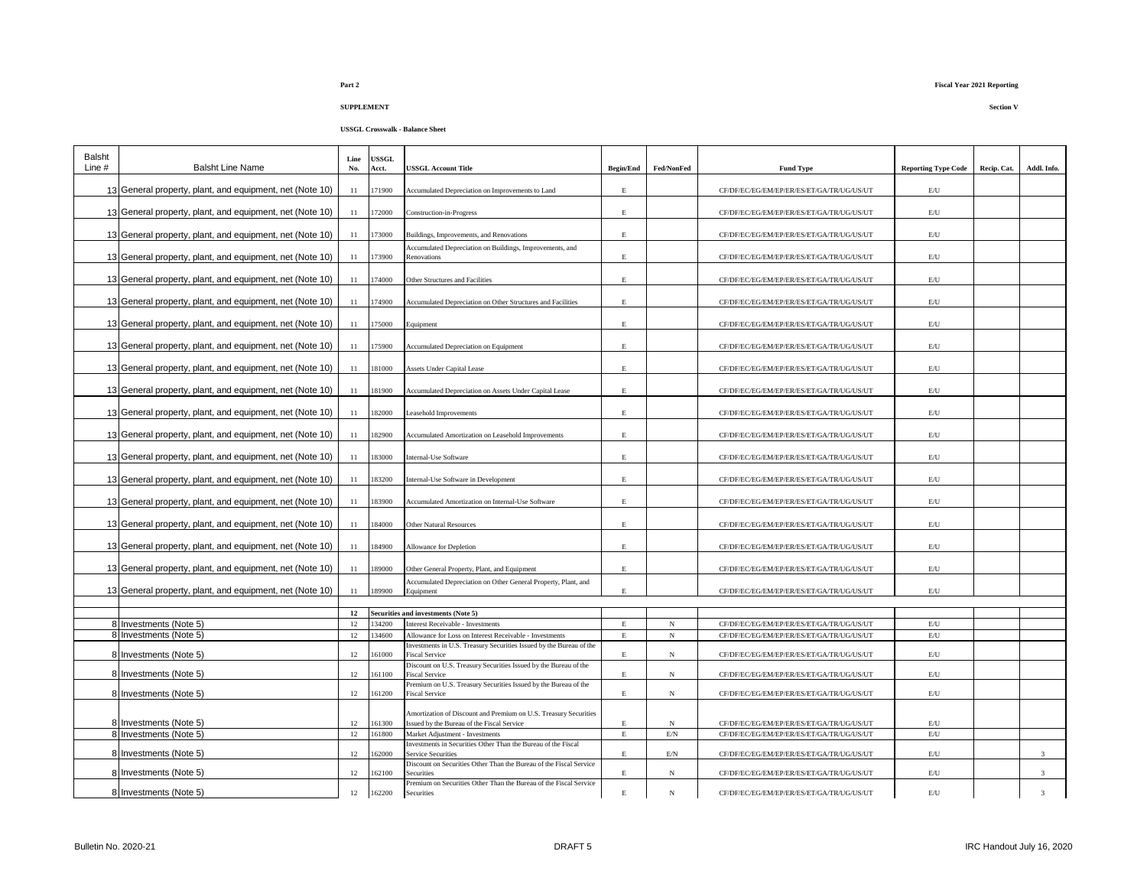### **Part 2 Fiscal Year 2021 Reporting**

| Balsht<br>Line $#$ | <b>Balsht Line Name</b>                                  | Line<br>No. | <b>JSSGL</b><br>Acct. | <b>USSGL Account Title</b>                                                               | <b>Begin/End</b> | Fed/NonFed     | <b>Fund Type</b>                          | <b>Reporting Type Code</b> | Recip. Cat. | Addl. Info.   |
|--------------------|----------------------------------------------------------|-------------|-----------------------|------------------------------------------------------------------------------------------|------------------|----------------|-------------------------------------------|----------------------------|-------------|---------------|
|                    | 13 General property, plant, and equipment, net (Note 10) | 11          | 171900                | Accumulated Depreciation on Improvements to Land                                         | Е                |                | CF/DF/EC/EG/EM/EP/ER/ES/ET/GA/TR/UG/US/UT | E/U                        |             |               |
|                    |                                                          |             |                       |                                                                                          |                  |                |                                           |                            |             |               |
|                    | 13 General property, plant, and equipment, net (Note 10) | 11          | 172000                | Construction-in-Progress                                                                 | E                |                | CF/DF/EC/EG/EM/EP/ER/ES/ET/GA/TR/UG/US/UT | $\mathrm{E}/\mathrm{U}$    |             |               |
|                    | 13 General property, plant, and equipment, net (Note 10) | 11          | 173000                | Buildings, Improvements, and Renovations                                                 | $\mathbf E$      |                | CF/DF/EC/EG/EM/EP/ER/ES/ET/GA/TR/UG/US/UT | $\mathrm{E}/\mathrm{U}$    |             |               |
|                    | 13 General property, plant, and equipment, net (Note 10) | 11          | 173900                | Accumulated Depreciation on Buildings, Improvements, and<br>Renovations                  | Е                |                | CF/DF/EC/EG/EM/EP/ER/ES/ET/GA/TR/UG/US/UT | E/U                        |             |               |
|                    |                                                          |             |                       |                                                                                          |                  |                |                                           |                            |             |               |
|                    | 13 General property, plant, and equipment, net (Note 10) | 11          | 174000                | Other Structures and Facilities                                                          | E                |                | CF/DF/EC/EG/EM/EP/ER/ES/ET/GA/TR/UG/US/UT | E/U                        |             |               |
|                    | 13 General property, plant, and equipment, net (Note 10) | 11          | 174900                | Accumulated Depreciation on Other Structures and Facilities                              | Е                |                | CF/DF/EC/EG/EM/EP/ER/ES/ET/GA/TR/UG/US/UT | E/U                        |             |               |
|                    | 13 General property, plant, and equipment, net (Note 10) | 11          | 175000                | Equipment                                                                                | E                |                | CF/DF/EC/EG/EM/EP/ER/ES/ET/GA/TR/UG/US/UT | $\mathrm{E}/\mathrm{U}$    |             |               |
|                    | 13 General property, plant, and equipment, net (Note 10) | 11          | 175900                | Accumulated Depreciation on Equipment                                                    | E.               |                | CF/DF/EC/EG/EM/EP/ER/ES/ET/GA/TR/UG/US/UT | $\mathrm{E}/\mathrm{U}$    |             |               |
|                    |                                                          |             |                       |                                                                                          |                  |                |                                           |                            |             |               |
|                    | 13 General property, plant, and equipment, net (Note 10) | 11          | 181000                | <b>Assets Under Capital Lease</b>                                                        | Е                |                | CF/DF/EC/EG/EM/EP/ER/ES/ET/GA/TR/UG/US/UT | E/U                        |             |               |
|                    | 13 General property, plant, and equipment, net (Note 10) | 11          | 181900                | Accumulated Depreciation on Assets Under Capital Lease                                   | E                |                | CF/DF/EC/EG/EM/EP/ER/ES/ET/GA/TR/UG/US/UT | E/U                        |             |               |
|                    | 13 General property, plant, and equipment, net (Note 10) | 11          | 182000                | Leasehold Improvements                                                                   | E                |                | CF/DF/EC/EG/EM/EP/ER/ES/ET/GA/TR/UG/US/UT | E/U                        |             |               |
|                    | 13 General property, plant, and equipment, net (Note 10) | 11          | 182900                | Accumulated Amortization on Leasehold Improvements                                       | $\mathbf E$      |                | CF/DF/EC/EG/EM/EP/ER/ES/ET/GA/TR/UG/US/UT | $\mathrm{E}/\mathrm{U}$    |             |               |
|                    | 13 General property, plant, and equipment, net (Note 10) | 11          | 183000                | Internal-Use Software                                                                    | $\mathbf E$      |                | CF/DF/EC/EG/EM/EP/ER/ES/ET/GA/TR/UG/US/UT | $\mathrm{E}/\mathrm{U}$    |             |               |
|                    | 13 General property, plant, and equipment, net (Note 10) | 11          | 183200                | Internal-Use Software in Development                                                     | E                |                | CF/DF/EC/EG/EM/EP/ER/ES/ET/GA/TR/UG/US/UT | $\mathrm{E}/\mathrm{U}$    |             |               |
|                    | 13 General property, plant, and equipment, net (Note 10) | 11          | 183900                | Accumulated Amortization on Internal-Use Software                                        | Е                |                | CF/DF/EC/EG/EM/EP/ER/ES/ET/GA/TR/UG/US/UT | $\mathrm{E}/\mathrm{U}$    |             |               |
|                    |                                                          |             |                       |                                                                                          |                  |                |                                           |                            |             |               |
|                    | 13 General property, plant, and equipment, net (Note 10) | 11          | 84000                 | <b>Other Natural Resources</b>                                                           | Е                |                | CF/DF/EC/EG/EM/EP/ER/ES/ET/GA/TR/UG/US/UT | $\mathrm{E}/\mathrm{U}$    |             |               |
|                    | 13 General property, plant, and equipment, net (Note 10) | 11          | 84900                 | Allowance for Depletion                                                                  | E                |                | CF/DF/EC/EG/EM/EP/ER/ES/ET/GA/TR/UG/US/UT | $\mathrm{E}/\mathrm{U}$    |             |               |
|                    | 13 General property, plant, and equipment, net (Note 10) | 11          | 89000                 | Other General Property, Plant, and Equipment                                             | E                |                | CF/DF/EC/EG/EM/EP/ER/ES/ET/GA/TR/UG/US/UT | $\mathrm{E}/\mathrm{U}$    |             |               |
|                    | 13 General property, plant, and equipment, net (Note 10) | 11          | 189900                | Accumulated Depreciation on Other General Property, Plant, and<br>Equipment              | E                |                | CF/DF/EC/EG/EM/EP/ER/ES/ET/GA/TR/UG/US/UT | E/U                        |             |               |
|                    |                                                          |             |                       |                                                                                          |                  |                |                                           |                            |             |               |
|                    |                                                          | 12          |                       | <b>Securities and investments (Note 5)</b>                                               |                  |                |                                           |                            |             |               |
|                    | 8 Investments (Note 5)                                   | 12          | 134200                | Interest Receivable - Investments                                                        | E                | $_{\rm N}$     | CF/DF/EC/EG/EM/EP/ER/ES/ET/GA/TR/UG/US/UT | E/U                        |             |               |
|                    | 8 Investments (Note 5)                                   | 12          | 34600                 | Allowance for Loss on Interest Receivable - Investments                                  | E                | $_{\rm N}$     | CF/DF/EC/EG/EM/EP/ER/ES/ET/GA/TR/UG/US/UT | E/U                        |             |               |
|                    | 8 Investments (Note 5)                                   | 12          | 61000                 | Investments in U.S. Treasury Securities Issued by the Bureau of the<br>iscal Service     | E                | $_{\rm N}$     | CF/DF/EC/EG/EM/EP/ER/ES/ET/GA/TR/UG/US/UT | $\mathrm{E}/\mathrm{U}$    |             |               |
|                    | 8 Investments (Note 5)                                   | 12          | 61100                 | Discount on U.S. Treasury Securities Issued by the Bureau of the<br>iscal Service        | Е                | $_{\rm N}$     | CF/DF/EC/EG/EM/EP/ER/ES/ET/GA/TR/UG/US/UT | $\mathrm{E}/\mathrm{U}$    |             |               |
|                    | 8 Investments (Note 5)                                   | 12          | 61200                 | Premium on U.S. Treasury Securities Issued by the Bureau of the<br>Fiscal Service        | E                | $_{\rm N}$     | CF/DF/EC/EG/EM/EP/ER/ES/ET/GA/TR/UG/US/UT | $\mathrm{E}/\mathrm{U}$    |             |               |
|                    |                                                          |             |                       | Amortization of Discount and Premium on U.S. Treasury Securities                         |                  |                |                                           |                            |             |               |
|                    | 8 Investments (Note 5)                                   | 12          | 61300                 | sued by the Bureau of the Fiscal Service                                                 | E                | N              | CF/DF/EC/EG/EM/EP/ER/ES/ET/GA/TR/UG/US/UT | E/U                        |             |               |
|                    | 8 Investments (Note 5)                                   | 12          | 61800                 | Market Adjustment - Investments                                                          | E                | E/N            | CF/DF/EC/EG/EM/EP/ER/ES/ET/GA/TR/UG/US/UT | E/U                        |             |               |
|                    |                                                          |             |                       | investments in Securities Other Than the Bureau of the Fiscal                            |                  |                |                                           |                            |             |               |
|                    | 8 Investments (Note 5)                                   | 12          | 62000                 | Service Securities<br>Discount on Securities Other Than the Bureau of the Fiscal Service | E                | $\mathrm{E/N}$ | CF/DF/EC/EG/EM/EP/ER/ES/ET/GA/TR/UG/US/UT | $\mathrm{E}/\mathrm{U}$    |             | $\mathcal{R}$ |
|                    | 8 Investments (Note 5)                                   | 12          | 62100                 | <b>Securities</b>                                                                        | Е                | N              | CF/DF/EC/EG/EM/EP/ER/ES/ET/GA/TR/UG/US/UT | E/U                        |             | 3             |
|                    | 8 Investments (Note 5)                                   | 12          | 162200                | Premium on Securities Other Than the Bureau of the Fiscal Service<br>Securities          | E                | $_{\rm N}$     | CF/DF/EC/EG/EM/EP/ER/ES/ET/GA/TR/UG/US/UT | E/U                        |             | $\mathbf{3}$  |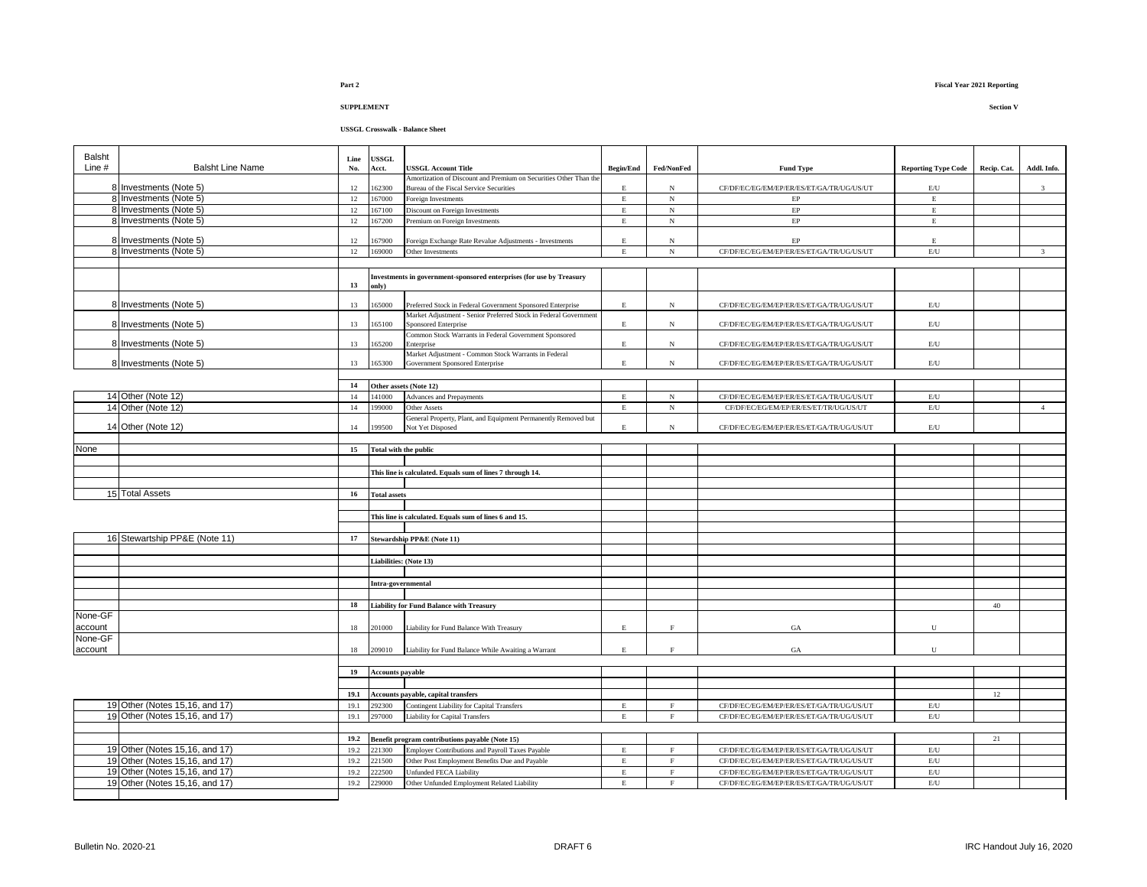| Balsht<br><b>USSGL</b><br>Line<br>Line #<br><b>Balsht Line Name</b><br>No.<br>Acct.<br><b>JSSGL Account Title</b><br><b>Begin/End</b><br>Fed/NonFed<br><b>Fund Type</b><br><b>Reporting Type Code</b><br>Recip. Cat.<br>Amortization of Discount and Premium on Securities Other Than the<br>8 Investments (Note 5)<br>62300<br>12<br>CF/DF/EC/EG/EM/EP/ER/ES/ET/GA/TR/UG/US/UT<br>$\rm E/U$<br>$\overline{3}$<br>Bureau of the Fiscal Service Securities<br>E<br>$_{\rm N}$<br>8 Investments (Note 5)<br>$\mathbf E$<br>12<br>67000<br>E<br>$_{\rm N}$<br>oreign Investments<br>EP<br>8 Investments (Note 5)<br>$_{\rm N}$<br>$\rm EP$<br>$\mathbf E$<br>12<br>67100<br>Discount on Foreign Investments<br>$\mathbf E$<br>8 Investments (Note 5)<br>$\rm EP$<br>$\mathbf E$<br>12<br>Premium on Foreign Investments<br>$\mathbf E$<br>$_{\rm N}$<br>67200<br>$\rm EP$<br>8 Investments (Note 5)<br>12<br>67900<br>$\mathbf E$<br>Foreign Exchange Rate Revalue Adjustments - Investments<br>E<br>$_{\rm N}$<br>8 Investments (Note 5)<br>$3 -$<br>12<br>169000<br>Other Investments<br>$\mathbf E$<br>$_{\rm N}$<br>CF/DF/EC/EG/EM/EP/ER/ES/ET/GA/TR/UG/US/UT<br>$\mathrm{E}/\mathrm{U}$<br>Investments in government-sponsored enterprises (for use by Treasury<br>13<br>only)<br>8 Investments (Note 5)<br>65000<br>CF/DF/EC/EG/EM/EP/ER/ES/ET/GA/TR/UG/US/UT<br>13<br>Preferred Stock in Federal Government Sponsored Enterprise<br>$\mathbf E$<br>$_{\rm N}$<br>E/U<br>Market Adjustment - Senior Preferred Stock in Federal Government<br>8 Investments (Note 5)<br>13<br>165100<br><b>Sponsored Enterprise</b><br>${\bf N}$<br>CF/DF/EC/EG/EM/EP/ER/ES/ET/GA/TR/UG/US/UT<br>$\mathrm{E}/\mathrm{U}$<br>$\mathbf E$<br>Common Stock Warrants in Federal Government Sponsored<br>8 Investments (Note 5)<br>13<br>165200<br>$\mathbf E$<br>${\bf N}$<br>CF/DF/EC/EG/EM/EP/ER/ES/ET/GA/TR/UG/US/UT<br>$\mathrm{E}/\mathrm{U}$<br>Enterprise<br>Market Adjustment - Common Stock Warrants in Federal<br>8 Investments (Note 5)<br>65300<br>$\mathrm{E}/\mathrm{U}$<br>13<br>Government Sponsored Enterprise<br>$\mathbf E$<br>$_{\rm N}$<br>CF/DF/EC/EG/EM/EP/ER/ES/ET/GA/TR/UG/US/UT<br>14<br>Other assets (Note 12)<br>14 Other (Note 12)<br>14<br>141000<br>Advances and Prepayments<br>$\mathbf E$<br>$_{\rm N}$<br>CF/DF/EC/EG/EM/EP/ER/ES/ET/GA/TR/UG/US/UT<br>$\mathrm{E}/\mathrm{U}$<br>14 Other (Note 12)<br>14<br>99000<br>$\mathbf E$<br>$_{\rm N}$<br>CF/DF/EC/EG/EM/EP/ER/ES/ET/TR/UG/US/UT<br>$\mathrm{E}/\mathrm{U}$<br>$\overline{4}$<br>Other Assets<br>General Property, Plant, and Equipment Permanently Removed but<br>14 Other (Note 12)<br>99500<br>CF/DF/EC/EG/EM/EP/ER/ES/ET/GA/TR/UG/US/UT<br>14<br>Not Yet Disposed<br>E<br>$_{\rm N}$<br>$\mathrm{E}/\mathrm{U}$<br>None<br>15<br>Total with the public<br>This line is calculated. Equals sum of lines 7 through 14.<br>15 Total Assets<br>$16\phantom{.0}$<br><b>Total assets</b><br>This line is calculated. Equals sum of lines 6 and 15.<br>16 Stewartship PP&E (Note 11)<br>Stewardship PP&E (Note 11)<br>17<br>Liabilities: (Note 13)<br>Intra-governmental<br>18<br><b>Liability for Fund Balance with Treasury</b><br>40<br>None-GF<br>201000<br>Liability for Fund Balance With Treasury<br>U<br>account<br>18<br>$\mathbf E$<br>F<br>$_{\mathrm{GA}}$<br>None-GF<br>209010<br>Liability for Fund Balance While Awaiting a Warrant<br>${\bf U}$<br>18<br>$\mathbf E$<br>$\rm F$<br>$_{\mathrm{GA}}$<br>account<br>19<br><b>Accounts payable</b><br>12<br>19.1<br><b>Accounts payable, capital transfers</b><br>19 Other (Notes 15,16, and 17)<br>292300<br>19.1<br>Contingent Liability for Capital Transfers<br>CF/DF/EC/EG/EM/EP/ER/ES/ET/GA/TR/UG/US/UT<br>$\mathrm{E}/\mathrm{U}$<br>E<br>$\mathbf{F}$<br>19 Other (Notes 15,16, and 17)<br>19.1<br>297000<br><b>Liability for Capital Transfers</b><br>CF/DF/EC/EG/EM/EP/ER/ES/ET/GA/TR/UG/US/UT<br>$\mathrm{E}/\mathrm{U}$<br>E<br>$\mathbf{F}$<br>21<br>19.2<br>Benefit program contributions payable (Note 15)<br>19 Other (Notes 15,16, and 17)<br>221300<br>CF/DF/EC/EG/EM/EP/ER/ES/ET/GA/TR/UG/US/UT<br>$\mathrm{E}/\mathrm{U}$<br>19.2<br>Employer Contributions and Payroll Taxes Payable<br>$\mathbf E$<br>$\rm F$<br>19 Other (Notes 15,16, and 17)<br>19.2<br>221500<br>Other Post Employment Benefits Due and Payable<br>CF/DF/EC/EG/EM/EP/ER/ES/ET/GA/TR/UG/US/UT<br>$\mathrm{E}/\mathrm{U}$<br>$\mathbf E$<br>$\rm F$<br>19 Other (Notes 15,16, and 17)<br>19.2<br>222500<br>Jnfunded FECA Liability<br>$\mathbf E$<br>$\rm F$<br>CF/DF/EC/EG/EM/EP/ER/ES/ET/GA/TR/UG/US/UT<br>$\mathrm{E}/\mathrm{U}$<br>19 Other (Notes 15,16, and 17)<br>Other Unfunded Employment Related Liability<br>19.2<br>229000<br>CF/DF/EC/EG/EM/EP/ER/ES/ET/GA/TR/UG/US/UT<br>$\mathrm{E}/\mathrm{U}$<br>E<br>F |  |  |  |  |  |             |
|-------------------------------------------------------------------------------------------------------------------------------------------------------------------------------------------------------------------------------------------------------------------------------------------------------------------------------------------------------------------------------------------------------------------------------------------------------------------------------------------------------------------------------------------------------------------------------------------------------------------------------------------------------------------------------------------------------------------------------------------------------------------------------------------------------------------------------------------------------------------------------------------------------------------------------------------------------------------------------------------------------------------------------------------------------------------------------------------------------------------------------------------------------------------------------------------------------------------------------------------------------------------------------------------------------------------------------------------------------------------------------------------------------------------------------------------------------------------------------------------------------------------------------------------------------------------------------------------------------------------------------------------------------------------------------------------------------------------------------------------------------------------------------------------------------------------------------------------------------------------------------------------------------------------------------------------------------------------------------------------------------------------------------------------------------------------------------------------------------------------------------------------------------------------------------------------------------------------------------------------------------------------------------------------------------------------------------------------------------------------------------------------------------------------------------------------------------------------------------------------------------------------------------------------------------------------------------------------------------------------------------------------------------------------------------------------------------------------------------------------------------------------------------------------------------------------------------------------------------------------------------------------------------------------------------------------------------------------------------------------------------------------------------------------------------------------------------------------------------------------------------------------------------------------------------------------------------------------------------------------------------------------------------------------------------------------------------------------------------------------------------------------------------------------------------------------------------------------------------------------------------------------------------------------------------------------------------------------------------------------------------------------------------------------------------------------------------------------------------------------------------------------------------------------------------------------------------------------------------------------------------------------------------------------------------------------------------------------------------------------------------------------------------------------------------------------------------------------------------------------------------------------------------------------------------------------------------------------------------------------------------------------------------------------------------------------------------------------------------------------------------------------------------------------------------------------------------------------------------------------------------------------------------------------------------------------------------------------------------------------------------------------------------------------------------------------------------------------------------------------------------------------------------------------------------------------------------------------------------|--|--|--|--|--|-------------|
|                                                                                                                                                                                                                                                                                                                                                                                                                                                                                                                                                                                                                                                                                                                                                                                                                                                                                                                                                                                                                                                                                                                                                                                                                                                                                                                                                                                                                                                                                                                                                                                                                                                                                                                                                                                                                                                                                                                                                                                                                                                                                                                                                                                                                                                                                                                                                                                                                                                                                                                                                                                                                                                                                                                                                                                                                                                                                                                                                                                                                                                                                                                                                                                                                                                                                                                                                                                                                                                                                                                                                                                                                                                                                                                                                                                                                                                                                                                                                                                                                                                                                                                                                                                                                                                                                                                                                                                                                                                                                                                                                                                                                                                                                                                                                                                                                                                       |  |  |  |  |  |             |
|                                                                                                                                                                                                                                                                                                                                                                                                                                                                                                                                                                                                                                                                                                                                                                                                                                                                                                                                                                                                                                                                                                                                                                                                                                                                                                                                                                                                                                                                                                                                                                                                                                                                                                                                                                                                                                                                                                                                                                                                                                                                                                                                                                                                                                                                                                                                                                                                                                                                                                                                                                                                                                                                                                                                                                                                                                                                                                                                                                                                                                                                                                                                                                                                                                                                                                                                                                                                                                                                                                                                                                                                                                                                                                                                                                                                                                                                                                                                                                                                                                                                                                                                                                                                                                                                                                                                                                                                                                                                                                                                                                                                                                                                                                                                                                                                                                                       |  |  |  |  |  | Addl. Info. |
|                                                                                                                                                                                                                                                                                                                                                                                                                                                                                                                                                                                                                                                                                                                                                                                                                                                                                                                                                                                                                                                                                                                                                                                                                                                                                                                                                                                                                                                                                                                                                                                                                                                                                                                                                                                                                                                                                                                                                                                                                                                                                                                                                                                                                                                                                                                                                                                                                                                                                                                                                                                                                                                                                                                                                                                                                                                                                                                                                                                                                                                                                                                                                                                                                                                                                                                                                                                                                                                                                                                                                                                                                                                                                                                                                                                                                                                                                                                                                                                                                                                                                                                                                                                                                                                                                                                                                                                                                                                                                                                                                                                                                                                                                                                                                                                                                                                       |  |  |  |  |  |             |
|                                                                                                                                                                                                                                                                                                                                                                                                                                                                                                                                                                                                                                                                                                                                                                                                                                                                                                                                                                                                                                                                                                                                                                                                                                                                                                                                                                                                                                                                                                                                                                                                                                                                                                                                                                                                                                                                                                                                                                                                                                                                                                                                                                                                                                                                                                                                                                                                                                                                                                                                                                                                                                                                                                                                                                                                                                                                                                                                                                                                                                                                                                                                                                                                                                                                                                                                                                                                                                                                                                                                                                                                                                                                                                                                                                                                                                                                                                                                                                                                                                                                                                                                                                                                                                                                                                                                                                                                                                                                                                                                                                                                                                                                                                                                                                                                                                                       |  |  |  |  |  |             |
|                                                                                                                                                                                                                                                                                                                                                                                                                                                                                                                                                                                                                                                                                                                                                                                                                                                                                                                                                                                                                                                                                                                                                                                                                                                                                                                                                                                                                                                                                                                                                                                                                                                                                                                                                                                                                                                                                                                                                                                                                                                                                                                                                                                                                                                                                                                                                                                                                                                                                                                                                                                                                                                                                                                                                                                                                                                                                                                                                                                                                                                                                                                                                                                                                                                                                                                                                                                                                                                                                                                                                                                                                                                                                                                                                                                                                                                                                                                                                                                                                                                                                                                                                                                                                                                                                                                                                                                                                                                                                                                                                                                                                                                                                                                                                                                                                                                       |  |  |  |  |  |             |
|                                                                                                                                                                                                                                                                                                                                                                                                                                                                                                                                                                                                                                                                                                                                                                                                                                                                                                                                                                                                                                                                                                                                                                                                                                                                                                                                                                                                                                                                                                                                                                                                                                                                                                                                                                                                                                                                                                                                                                                                                                                                                                                                                                                                                                                                                                                                                                                                                                                                                                                                                                                                                                                                                                                                                                                                                                                                                                                                                                                                                                                                                                                                                                                                                                                                                                                                                                                                                                                                                                                                                                                                                                                                                                                                                                                                                                                                                                                                                                                                                                                                                                                                                                                                                                                                                                                                                                                                                                                                                                                                                                                                                                                                                                                                                                                                                                                       |  |  |  |  |  |             |
|                                                                                                                                                                                                                                                                                                                                                                                                                                                                                                                                                                                                                                                                                                                                                                                                                                                                                                                                                                                                                                                                                                                                                                                                                                                                                                                                                                                                                                                                                                                                                                                                                                                                                                                                                                                                                                                                                                                                                                                                                                                                                                                                                                                                                                                                                                                                                                                                                                                                                                                                                                                                                                                                                                                                                                                                                                                                                                                                                                                                                                                                                                                                                                                                                                                                                                                                                                                                                                                                                                                                                                                                                                                                                                                                                                                                                                                                                                                                                                                                                                                                                                                                                                                                                                                                                                                                                                                                                                                                                                                                                                                                                                                                                                                                                                                                                                                       |  |  |  |  |  |             |
|                                                                                                                                                                                                                                                                                                                                                                                                                                                                                                                                                                                                                                                                                                                                                                                                                                                                                                                                                                                                                                                                                                                                                                                                                                                                                                                                                                                                                                                                                                                                                                                                                                                                                                                                                                                                                                                                                                                                                                                                                                                                                                                                                                                                                                                                                                                                                                                                                                                                                                                                                                                                                                                                                                                                                                                                                                                                                                                                                                                                                                                                                                                                                                                                                                                                                                                                                                                                                                                                                                                                                                                                                                                                                                                                                                                                                                                                                                                                                                                                                                                                                                                                                                                                                                                                                                                                                                                                                                                                                                                                                                                                                                                                                                                                                                                                                                                       |  |  |  |  |  |             |
|                                                                                                                                                                                                                                                                                                                                                                                                                                                                                                                                                                                                                                                                                                                                                                                                                                                                                                                                                                                                                                                                                                                                                                                                                                                                                                                                                                                                                                                                                                                                                                                                                                                                                                                                                                                                                                                                                                                                                                                                                                                                                                                                                                                                                                                                                                                                                                                                                                                                                                                                                                                                                                                                                                                                                                                                                                                                                                                                                                                                                                                                                                                                                                                                                                                                                                                                                                                                                                                                                                                                                                                                                                                                                                                                                                                                                                                                                                                                                                                                                                                                                                                                                                                                                                                                                                                                                                                                                                                                                                                                                                                                                                                                                                                                                                                                                                                       |  |  |  |  |  |             |
|                                                                                                                                                                                                                                                                                                                                                                                                                                                                                                                                                                                                                                                                                                                                                                                                                                                                                                                                                                                                                                                                                                                                                                                                                                                                                                                                                                                                                                                                                                                                                                                                                                                                                                                                                                                                                                                                                                                                                                                                                                                                                                                                                                                                                                                                                                                                                                                                                                                                                                                                                                                                                                                                                                                                                                                                                                                                                                                                                                                                                                                                                                                                                                                                                                                                                                                                                                                                                                                                                                                                                                                                                                                                                                                                                                                                                                                                                                                                                                                                                                                                                                                                                                                                                                                                                                                                                                                                                                                                                                                                                                                                                                                                                                                                                                                                                                                       |  |  |  |  |  |             |
|                                                                                                                                                                                                                                                                                                                                                                                                                                                                                                                                                                                                                                                                                                                                                                                                                                                                                                                                                                                                                                                                                                                                                                                                                                                                                                                                                                                                                                                                                                                                                                                                                                                                                                                                                                                                                                                                                                                                                                                                                                                                                                                                                                                                                                                                                                                                                                                                                                                                                                                                                                                                                                                                                                                                                                                                                                                                                                                                                                                                                                                                                                                                                                                                                                                                                                                                                                                                                                                                                                                                                                                                                                                                                                                                                                                                                                                                                                                                                                                                                                                                                                                                                                                                                                                                                                                                                                                                                                                                                                                                                                                                                                                                                                                                                                                                                                                       |  |  |  |  |  |             |
|                                                                                                                                                                                                                                                                                                                                                                                                                                                                                                                                                                                                                                                                                                                                                                                                                                                                                                                                                                                                                                                                                                                                                                                                                                                                                                                                                                                                                                                                                                                                                                                                                                                                                                                                                                                                                                                                                                                                                                                                                                                                                                                                                                                                                                                                                                                                                                                                                                                                                                                                                                                                                                                                                                                                                                                                                                                                                                                                                                                                                                                                                                                                                                                                                                                                                                                                                                                                                                                                                                                                                                                                                                                                                                                                                                                                                                                                                                                                                                                                                                                                                                                                                                                                                                                                                                                                                                                                                                                                                                                                                                                                                                                                                                                                                                                                                                                       |  |  |  |  |  |             |
|                                                                                                                                                                                                                                                                                                                                                                                                                                                                                                                                                                                                                                                                                                                                                                                                                                                                                                                                                                                                                                                                                                                                                                                                                                                                                                                                                                                                                                                                                                                                                                                                                                                                                                                                                                                                                                                                                                                                                                                                                                                                                                                                                                                                                                                                                                                                                                                                                                                                                                                                                                                                                                                                                                                                                                                                                                                                                                                                                                                                                                                                                                                                                                                                                                                                                                                                                                                                                                                                                                                                                                                                                                                                                                                                                                                                                                                                                                                                                                                                                                                                                                                                                                                                                                                                                                                                                                                                                                                                                                                                                                                                                                                                                                                                                                                                                                                       |  |  |  |  |  |             |
|                                                                                                                                                                                                                                                                                                                                                                                                                                                                                                                                                                                                                                                                                                                                                                                                                                                                                                                                                                                                                                                                                                                                                                                                                                                                                                                                                                                                                                                                                                                                                                                                                                                                                                                                                                                                                                                                                                                                                                                                                                                                                                                                                                                                                                                                                                                                                                                                                                                                                                                                                                                                                                                                                                                                                                                                                                                                                                                                                                                                                                                                                                                                                                                                                                                                                                                                                                                                                                                                                                                                                                                                                                                                                                                                                                                                                                                                                                                                                                                                                                                                                                                                                                                                                                                                                                                                                                                                                                                                                                                                                                                                                                                                                                                                                                                                                                                       |  |  |  |  |  |             |
|                                                                                                                                                                                                                                                                                                                                                                                                                                                                                                                                                                                                                                                                                                                                                                                                                                                                                                                                                                                                                                                                                                                                                                                                                                                                                                                                                                                                                                                                                                                                                                                                                                                                                                                                                                                                                                                                                                                                                                                                                                                                                                                                                                                                                                                                                                                                                                                                                                                                                                                                                                                                                                                                                                                                                                                                                                                                                                                                                                                                                                                                                                                                                                                                                                                                                                                                                                                                                                                                                                                                                                                                                                                                                                                                                                                                                                                                                                                                                                                                                                                                                                                                                                                                                                                                                                                                                                                                                                                                                                                                                                                                                                                                                                                                                                                                                                                       |  |  |  |  |  |             |
|                                                                                                                                                                                                                                                                                                                                                                                                                                                                                                                                                                                                                                                                                                                                                                                                                                                                                                                                                                                                                                                                                                                                                                                                                                                                                                                                                                                                                                                                                                                                                                                                                                                                                                                                                                                                                                                                                                                                                                                                                                                                                                                                                                                                                                                                                                                                                                                                                                                                                                                                                                                                                                                                                                                                                                                                                                                                                                                                                                                                                                                                                                                                                                                                                                                                                                                                                                                                                                                                                                                                                                                                                                                                                                                                                                                                                                                                                                                                                                                                                                                                                                                                                                                                                                                                                                                                                                                                                                                                                                                                                                                                                                                                                                                                                                                                                                                       |  |  |  |  |  |             |
|                                                                                                                                                                                                                                                                                                                                                                                                                                                                                                                                                                                                                                                                                                                                                                                                                                                                                                                                                                                                                                                                                                                                                                                                                                                                                                                                                                                                                                                                                                                                                                                                                                                                                                                                                                                                                                                                                                                                                                                                                                                                                                                                                                                                                                                                                                                                                                                                                                                                                                                                                                                                                                                                                                                                                                                                                                                                                                                                                                                                                                                                                                                                                                                                                                                                                                                                                                                                                                                                                                                                                                                                                                                                                                                                                                                                                                                                                                                                                                                                                                                                                                                                                                                                                                                                                                                                                                                                                                                                                                                                                                                                                                                                                                                                                                                                                                                       |  |  |  |  |  |             |
|                                                                                                                                                                                                                                                                                                                                                                                                                                                                                                                                                                                                                                                                                                                                                                                                                                                                                                                                                                                                                                                                                                                                                                                                                                                                                                                                                                                                                                                                                                                                                                                                                                                                                                                                                                                                                                                                                                                                                                                                                                                                                                                                                                                                                                                                                                                                                                                                                                                                                                                                                                                                                                                                                                                                                                                                                                                                                                                                                                                                                                                                                                                                                                                                                                                                                                                                                                                                                                                                                                                                                                                                                                                                                                                                                                                                                                                                                                                                                                                                                                                                                                                                                                                                                                                                                                                                                                                                                                                                                                                                                                                                                                                                                                                                                                                                                                                       |  |  |  |  |  |             |
|                                                                                                                                                                                                                                                                                                                                                                                                                                                                                                                                                                                                                                                                                                                                                                                                                                                                                                                                                                                                                                                                                                                                                                                                                                                                                                                                                                                                                                                                                                                                                                                                                                                                                                                                                                                                                                                                                                                                                                                                                                                                                                                                                                                                                                                                                                                                                                                                                                                                                                                                                                                                                                                                                                                                                                                                                                                                                                                                                                                                                                                                                                                                                                                                                                                                                                                                                                                                                                                                                                                                                                                                                                                                                                                                                                                                                                                                                                                                                                                                                                                                                                                                                                                                                                                                                                                                                                                                                                                                                                                                                                                                                                                                                                                                                                                                                                                       |  |  |  |  |  |             |
|                                                                                                                                                                                                                                                                                                                                                                                                                                                                                                                                                                                                                                                                                                                                                                                                                                                                                                                                                                                                                                                                                                                                                                                                                                                                                                                                                                                                                                                                                                                                                                                                                                                                                                                                                                                                                                                                                                                                                                                                                                                                                                                                                                                                                                                                                                                                                                                                                                                                                                                                                                                                                                                                                                                                                                                                                                                                                                                                                                                                                                                                                                                                                                                                                                                                                                                                                                                                                                                                                                                                                                                                                                                                                                                                                                                                                                                                                                                                                                                                                                                                                                                                                                                                                                                                                                                                                                                                                                                                                                                                                                                                                                                                                                                                                                                                                                                       |  |  |  |  |  |             |
|                                                                                                                                                                                                                                                                                                                                                                                                                                                                                                                                                                                                                                                                                                                                                                                                                                                                                                                                                                                                                                                                                                                                                                                                                                                                                                                                                                                                                                                                                                                                                                                                                                                                                                                                                                                                                                                                                                                                                                                                                                                                                                                                                                                                                                                                                                                                                                                                                                                                                                                                                                                                                                                                                                                                                                                                                                                                                                                                                                                                                                                                                                                                                                                                                                                                                                                                                                                                                                                                                                                                                                                                                                                                                                                                                                                                                                                                                                                                                                                                                                                                                                                                                                                                                                                                                                                                                                                                                                                                                                                                                                                                                                                                                                                                                                                                                                                       |  |  |  |  |  |             |
|                                                                                                                                                                                                                                                                                                                                                                                                                                                                                                                                                                                                                                                                                                                                                                                                                                                                                                                                                                                                                                                                                                                                                                                                                                                                                                                                                                                                                                                                                                                                                                                                                                                                                                                                                                                                                                                                                                                                                                                                                                                                                                                                                                                                                                                                                                                                                                                                                                                                                                                                                                                                                                                                                                                                                                                                                                                                                                                                                                                                                                                                                                                                                                                                                                                                                                                                                                                                                                                                                                                                                                                                                                                                                                                                                                                                                                                                                                                                                                                                                                                                                                                                                                                                                                                                                                                                                                                                                                                                                                                                                                                                                                                                                                                                                                                                                                                       |  |  |  |  |  |             |
|                                                                                                                                                                                                                                                                                                                                                                                                                                                                                                                                                                                                                                                                                                                                                                                                                                                                                                                                                                                                                                                                                                                                                                                                                                                                                                                                                                                                                                                                                                                                                                                                                                                                                                                                                                                                                                                                                                                                                                                                                                                                                                                                                                                                                                                                                                                                                                                                                                                                                                                                                                                                                                                                                                                                                                                                                                                                                                                                                                                                                                                                                                                                                                                                                                                                                                                                                                                                                                                                                                                                                                                                                                                                                                                                                                                                                                                                                                                                                                                                                                                                                                                                                                                                                                                                                                                                                                                                                                                                                                                                                                                                                                                                                                                                                                                                                                                       |  |  |  |  |  |             |
|                                                                                                                                                                                                                                                                                                                                                                                                                                                                                                                                                                                                                                                                                                                                                                                                                                                                                                                                                                                                                                                                                                                                                                                                                                                                                                                                                                                                                                                                                                                                                                                                                                                                                                                                                                                                                                                                                                                                                                                                                                                                                                                                                                                                                                                                                                                                                                                                                                                                                                                                                                                                                                                                                                                                                                                                                                                                                                                                                                                                                                                                                                                                                                                                                                                                                                                                                                                                                                                                                                                                                                                                                                                                                                                                                                                                                                                                                                                                                                                                                                                                                                                                                                                                                                                                                                                                                                                                                                                                                                                                                                                                                                                                                                                                                                                                                                                       |  |  |  |  |  |             |
|                                                                                                                                                                                                                                                                                                                                                                                                                                                                                                                                                                                                                                                                                                                                                                                                                                                                                                                                                                                                                                                                                                                                                                                                                                                                                                                                                                                                                                                                                                                                                                                                                                                                                                                                                                                                                                                                                                                                                                                                                                                                                                                                                                                                                                                                                                                                                                                                                                                                                                                                                                                                                                                                                                                                                                                                                                                                                                                                                                                                                                                                                                                                                                                                                                                                                                                                                                                                                                                                                                                                                                                                                                                                                                                                                                                                                                                                                                                                                                                                                                                                                                                                                                                                                                                                                                                                                                                                                                                                                                                                                                                                                                                                                                                                                                                                                                                       |  |  |  |  |  |             |
|                                                                                                                                                                                                                                                                                                                                                                                                                                                                                                                                                                                                                                                                                                                                                                                                                                                                                                                                                                                                                                                                                                                                                                                                                                                                                                                                                                                                                                                                                                                                                                                                                                                                                                                                                                                                                                                                                                                                                                                                                                                                                                                                                                                                                                                                                                                                                                                                                                                                                                                                                                                                                                                                                                                                                                                                                                                                                                                                                                                                                                                                                                                                                                                                                                                                                                                                                                                                                                                                                                                                                                                                                                                                                                                                                                                                                                                                                                                                                                                                                                                                                                                                                                                                                                                                                                                                                                                                                                                                                                                                                                                                                                                                                                                                                                                                                                                       |  |  |  |  |  |             |
|                                                                                                                                                                                                                                                                                                                                                                                                                                                                                                                                                                                                                                                                                                                                                                                                                                                                                                                                                                                                                                                                                                                                                                                                                                                                                                                                                                                                                                                                                                                                                                                                                                                                                                                                                                                                                                                                                                                                                                                                                                                                                                                                                                                                                                                                                                                                                                                                                                                                                                                                                                                                                                                                                                                                                                                                                                                                                                                                                                                                                                                                                                                                                                                                                                                                                                                                                                                                                                                                                                                                                                                                                                                                                                                                                                                                                                                                                                                                                                                                                                                                                                                                                                                                                                                                                                                                                                                                                                                                                                                                                                                                                                                                                                                                                                                                                                                       |  |  |  |  |  |             |
|                                                                                                                                                                                                                                                                                                                                                                                                                                                                                                                                                                                                                                                                                                                                                                                                                                                                                                                                                                                                                                                                                                                                                                                                                                                                                                                                                                                                                                                                                                                                                                                                                                                                                                                                                                                                                                                                                                                                                                                                                                                                                                                                                                                                                                                                                                                                                                                                                                                                                                                                                                                                                                                                                                                                                                                                                                                                                                                                                                                                                                                                                                                                                                                                                                                                                                                                                                                                                                                                                                                                                                                                                                                                                                                                                                                                                                                                                                                                                                                                                                                                                                                                                                                                                                                                                                                                                                                                                                                                                                                                                                                                                                                                                                                                                                                                                                                       |  |  |  |  |  |             |
|                                                                                                                                                                                                                                                                                                                                                                                                                                                                                                                                                                                                                                                                                                                                                                                                                                                                                                                                                                                                                                                                                                                                                                                                                                                                                                                                                                                                                                                                                                                                                                                                                                                                                                                                                                                                                                                                                                                                                                                                                                                                                                                                                                                                                                                                                                                                                                                                                                                                                                                                                                                                                                                                                                                                                                                                                                                                                                                                                                                                                                                                                                                                                                                                                                                                                                                                                                                                                                                                                                                                                                                                                                                                                                                                                                                                                                                                                                                                                                                                                                                                                                                                                                                                                                                                                                                                                                                                                                                                                                                                                                                                                                                                                                                                                                                                                                                       |  |  |  |  |  |             |
|                                                                                                                                                                                                                                                                                                                                                                                                                                                                                                                                                                                                                                                                                                                                                                                                                                                                                                                                                                                                                                                                                                                                                                                                                                                                                                                                                                                                                                                                                                                                                                                                                                                                                                                                                                                                                                                                                                                                                                                                                                                                                                                                                                                                                                                                                                                                                                                                                                                                                                                                                                                                                                                                                                                                                                                                                                                                                                                                                                                                                                                                                                                                                                                                                                                                                                                                                                                                                                                                                                                                                                                                                                                                                                                                                                                                                                                                                                                                                                                                                                                                                                                                                                                                                                                                                                                                                                                                                                                                                                                                                                                                                                                                                                                                                                                                                                                       |  |  |  |  |  |             |
|                                                                                                                                                                                                                                                                                                                                                                                                                                                                                                                                                                                                                                                                                                                                                                                                                                                                                                                                                                                                                                                                                                                                                                                                                                                                                                                                                                                                                                                                                                                                                                                                                                                                                                                                                                                                                                                                                                                                                                                                                                                                                                                                                                                                                                                                                                                                                                                                                                                                                                                                                                                                                                                                                                                                                                                                                                                                                                                                                                                                                                                                                                                                                                                                                                                                                                                                                                                                                                                                                                                                                                                                                                                                                                                                                                                                                                                                                                                                                                                                                                                                                                                                                                                                                                                                                                                                                                                                                                                                                                                                                                                                                                                                                                                                                                                                                                                       |  |  |  |  |  |             |
|                                                                                                                                                                                                                                                                                                                                                                                                                                                                                                                                                                                                                                                                                                                                                                                                                                                                                                                                                                                                                                                                                                                                                                                                                                                                                                                                                                                                                                                                                                                                                                                                                                                                                                                                                                                                                                                                                                                                                                                                                                                                                                                                                                                                                                                                                                                                                                                                                                                                                                                                                                                                                                                                                                                                                                                                                                                                                                                                                                                                                                                                                                                                                                                                                                                                                                                                                                                                                                                                                                                                                                                                                                                                                                                                                                                                                                                                                                                                                                                                                                                                                                                                                                                                                                                                                                                                                                                                                                                                                                                                                                                                                                                                                                                                                                                                                                                       |  |  |  |  |  |             |
|                                                                                                                                                                                                                                                                                                                                                                                                                                                                                                                                                                                                                                                                                                                                                                                                                                                                                                                                                                                                                                                                                                                                                                                                                                                                                                                                                                                                                                                                                                                                                                                                                                                                                                                                                                                                                                                                                                                                                                                                                                                                                                                                                                                                                                                                                                                                                                                                                                                                                                                                                                                                                                                                                                                                                                                                                                                                                                                                                                                                                                                                                                                                                                                                                                                                                                                                                                                                                                                                                                                                                                                                                                                                                                                                                                                                                                                                                                                                                                                                                                                                                                                                                                                                                                                                                                                                                                                                                                                                                                                                                                                                                                                                                                                                                                                                                                                       |  |  |  |  |  |             |
|                                                                                                                                                                                                                                                                                                                                                                                                                                                                                                                                                                                                                                                                                                                                                                                                                                                                                                                                                                                                                                                                                                                                                                                                                                                                                                                                                                                                                                                                                                                                                                                                                                                                                                                                                                                                                                                                                                                                                                                                                                                                                                                                                                                                                                                                                                                                                                                                                                                                                                                                                                                                                                                                                                                                                                                                                                                                                                                                                                                                                                                                                                                                                                                                                                                                                                                                                                                                                                                                                                                                                                                                                                                                                                                                                                                                                                                                                                                                                                                                                                                                                                                                                                                                                                                                                                                                                                                                                                                                                                                                                                                                                                                                                                                                                                                                                                                       |  |  |  |  |  |             |
|                                                                                                                                                                                                                                                                                                                                                                                                                                                                                                                                                                                                                                                                                                                                                                                                                                                                                                                                                                                                                                                                                                                                                                                                                                                                                                                                                                                                                                                                                                                                                                                                                                                                                                                                                                                                                                                                                                                                                                                                                                                                                                                                                                                                                                                                                                                                                                                                                                                                                                                                                                                                                                                                                                                                                                                                                                                                                                                                                                                                                                                                                                                                                                                                                                                                                                                                                                                                                                                                                                                                                                                                                                                                                                                                                                                                                                                                                                                                                                                                                                                                                                                                                                                                                                                                                                                                                                                                                                                                                                                                                                                                                                                                                                                                                                                                                                                       |  |  |  |  |  |             |
|                                                                                                                                                                                                                                                                                                                                                                                                                                                                                                                                                                                                                                                                                                                                                                                                                                                                                                                                                                                                                                                                                                                                                                                                                                                                                                                                                                                                                                                                                                                                                                                                                                                                                                                                                                                                                                                                                                                                                                                                                                                                                                                                                                                                                                                                                                                                                                                                                                                                                                                                                                                                                                                                                                                                                                                                                                                                                                                                                                                                                                                                                                                                                                                                                                                                                                                                                                                                                                                                                                                                                                                                                                                                                                                                                                                                                                                                                                                                                                                                                                                                                                                                                                                                                                                                                                                                                                                                                                                                                                                                                                                                                                                                                                                                                                                                                                                       |  |  |  |  |  |             |
|                                                                                                                                                                                                                                                                                                                                                                                                                                                                                                                                                                                                                                                                                                                                                                                                                                                                                                                                                                                                                                                                                                                                                                                                                                                                                                                                                                                                                                                                                                                                                                                                                                                                                                                                                                                                                                                                                                                                                                                                                                                                                                                                                                                                                                                                                                                                                                                                                                                                                                                                                                                                                                                                                                                                                                                                                                                                                                                                                                                                                                                                                                                                                                                                                                                                                                                                                                                                                                                                                                                                                                                                                                                                                                                                                                                                                                                                                                                                                                                                                                                                                                                                                                                                                                                                                                                                                                                                                                                                                                                                                                                                                                                                                                                                                                                                                                                       |  |  |  |  |  |             |
|                                                                                                                                                                                                                                                                                                                                                                                                                                                                                                                                                                                                                                                                                                                                                                                                                                                                                                                                                                                                                                                                                                                                                                                                                                                                                                                                                                                                                                                                                                                                                                                                                                                                                                                                                                                                                                                                                                                                                                                                                                                                                                                                                                                                                                                                                                                                                                                                                                                                                                                                                                                                                                                                                                                                                                                                                                                                                                                                                                                                                                                                                                                                                                                                                                                                                                                                                                                                                                                                                                                                                                                                                                                                                                                                                                                                                                                                                                                                                                                                                                                                                                                                                                                                                                                                                                                                                                                                                                                                                                                                                                                                                                                                                                                                                                                                                                                       |  |  |  |  |  |             |
|                                                                                                                                                                                                                                                                                                                                                                                                                                                                                                                                                                                                                                                                                                                                                                                                                                                                                                                                                                                                                                                                                                                                                                                                                                                                                                                                                                                                                                                                                                                                                                                                                                                                                                                                                                                                                                                                                                                                                                                                                                                                                                                                                                                                                                                                                                                                                                                                                                                                                                                                                                                                                                                                                                                                                                                                                                                                                                                                                                                                                                                                                                                                                                                                                                                                                                                                                                                                                                                                                                                                                                                                                                                                                                                                                                                                                                                                                                                                                                                                                                                                                                                                                                                                                                                                                                                                                                                                                                                                                                                                                                                                                                                                                                                                                                                                                                                       |  |  |  |  |  |             |
|                                                                                                                                                                                                                                                                                                                                                                                                                                                                                                                                                                                                                                                                                                                                                                                                                                                                                                                                                                                                                                                                                                                                                                                                                                                                                                                                                                                                                                                                                                                                                                                                                                                                                                                                                                                                                                                                                                                                                                                                                                                                                                                                                                                                                                                                                                                                                                                                                                                                                                                                                                                                                                                                                                                                                                                                                                                                                                                                                                                                                                                                                                                                                                                                                                                                                                                                                                                                                                                                                                                                                                                                                                                                                                                                                                                                                                                                                                                                                                                                                                                                                                                                                                                                                                                                                                                                                                                                                                                                                                                                                                                                                                                                                                                                                                                                                                                       |  |  |  |  |  |             |
|                                                                                                                                                                                                                                                                                                                                                                                                                                                                                                                                                                                                                                                                                                                                                                                                                                                                                                                                                                                                                                                                                                                                                                                                                                                                                                                                                                                                                                                                                                                                                                                                                                                                                                                                                                                                                                                                                                                                                                                                                                                                                                                                                                                                                                                                                                                                                                                                                                                                                                                                                                                                                                                                                                                                                                                                                                                                                                                                                                                                                                                                                                                                                                                                                                                                                                                                                                                                                                                                                                                                                                                                                                                                                                                                                                                                                                                                                                                                                                                                                                                                                                                                                                                                                                                                                                                                                                                                                                                                                                                                                                                                                                                                                                                                                                                                                                                       |  |  |  |  |  |             |
|                                                                                                                                                                                                                                                                                                                                                                                                                                                                                                                                                                                                                                                                                                                                                                                                                                                                                                                                                                                                                                                                                                                                                                                                                                                                                                                                                                                                                                                                                                                                                                                                                                                                                                                                                                                                                                                                                                                                                                                                                                                                                                                                                                                                                                                                                                                                                                                                                                                                                                                                                                                                                                                                                                                                                                                                                                                                                                                                                                                                                                                                                                                                                                                                                                                                                                                                                                                                                                                                                                                                                                                                                                                                                                                                                                                                                                                                                                                                                                                                                                                                                                                                                                                                                                                                                                                                                                                                                                                                                                                                                                                                                                                                                                                                                                                                                                                       |  |  |  |  |  |             |
|                                                                                                                                                                                                                                                                                                                                                                                                                                                                                                                                                                                                                                                                                                                                                                                                                                                                                                                                                                                                                                                                                                                                                                                                                                                                                                                                                                                                                                                                                                                                                                                                                                                                                                                                                                                                                                                                                                                                                                                                                                                                                                                                                                                                                                                                                                                                                                                                                                                                                                                                                                                                                                                                                                                                                                                                                                                                                                                                                                                                                                                                                                                                                                                                                                                                                                                                                                                                                                                                                                                                                                                                                                                                                                                                                                                                                                                                                                                                                                                                                                                                                                                                                                                                                                                                                                                                                                                                                                                                                                                                                                                                                                                                                                                                                                                                                                                       |  |  |  |  |  |             |
|                                                                                                                                                                                                                                                                                                                                                                                                                                                                                                                                                                                                                                                                                                                                                                                                                                                                                                                                                                                                                                                                                                                                                                                                                                                                                                                                                                                                                                                                                                                                                                                                                                                                                                                                                                                                                                                                                                                                                                                                                                                                                                                                                                                                                                                                                                                                                                                                                                                                                                                                                                                                                                                                                                                                                                                                                                                                                                                                                                                                                                                                                                                                                                                                                                                                                                                                                                                                                                                                                                                                                                                                                                                                                                                                                                                                                                                                                                                                                                                                                                                                                                                                                                                                                                                                                                                                                                                                                                                                                                                                                                                                                                                                                                                                                                                                                                                       |  |  |  |  |  |             |
|                                                                                                                                                                                                                                                                                                                                                                                                                                                                                                                                                                                                                                                                                                                                                                                                                                                                                                                                                                                                                                                                                                                                                                                                                                                                                                                                                                                                                                                                                                                                                                                                                                                                                                                                                                                                                                                                                                                                                                                                                                                                                                                                                                                                                                                                                                                                                                                                                                                                                                                                                                                                                                                                                                                                                                                                                                                                                                                                                                                                                                                                                                                                                                                                                                                                                                                                                                                                                                                                                                                                                                                                                                                                                                                                                                                                                                                                                                                                                                                                                                                                                                                                                                                                                                                                                                                                                                                                                                                                                                                                                                                                                                                                                                                                                                                                                                                       |  |  |  |  |  |             |
|                                                                                                                                                                                                                                                                                                                                                                                                                                                                                                                                                                                                                                                                                                                                                                                                                                                                                                                                                                                                                                                                                                                                                                                                                                                                                                                                                                                                                                                                                                                                                                                                                                                                                                                                                                                                                                                                                                                                                                                                                                                                                                                                                                                                                                                                                                                                                                                                                                                                                                                                                                                                                                                                                                                                                                                                                                                                                                                                                                                                                                                                                                                                                                                                                                                                                                                                                                                                                                                                                                                                                                                                                                                                                                                                                                                                                                                                                                                                                                                                                                                                                                                                                                                                                                                                                                                                                                                                                                                                                                                                                                                                                                                                                                                                                                                                                                                       |  |  |  |  |  |             |
|                                                                                                                                                                                                                                                                                                                                                                                                                                                                                                                                                                                                                                                                                                                                                                                                                                                                                                                                                                                                                                                                                                                                                                                                                                                                                                                                                                                                                                                                                                                                                                                                                                                                                                                                                                                                                                                                                                                                                                                                                                                                                                                                                                                                                                                                                                                                                                                                                                                                                                                                                                                                                                                                                                                                                                                                                                                                                                                                                                                                                                                                                                                                                                                                                                                                                                                                                                                                                                                                                                                                                                                                                                                                                                                                                                                                                                                                                                                                                                                                                                                                                                                                                                                                                                                                                                                                                                                                                                                                                                                                                                                                                                                                                                                                                                                                                                                       |  |  |  |  |  |             |
|                                                                                                                                                                                                                                                                                                                                                                                                                                                                                                                                                                                                                                                                                                                                                                                                                                                                                                                                                                                                                                                                                                                                                                                                                                                                                                                                                                                                                                                                                                                                                                                                                                                                                                                                                                                                                                                                                                                                                                                                                                                                                                                                                                                                                                                                                                                                                                                                                                                                                                                                                                                                                                                                                                                                                                                                                                                                                                                                                                                                                                                                                                                                                                                                                                                                                                                                                                                                                                                                                                                                                                                                                                                                                                                                                                                                                                                                                                                                                                                                                                                                                                                                                                                                                                                                                                                                                                                                                                                                                                                                                                                                                                                                                                                                                                                                                                                       |  |  |  |  |  |             |
|                                                                                                                                                                                                                                                                                                                                                                                                                                                                                                                                                                                                                                                                                                                                                                                                                                                                                                                                                                                                                                                                                                                                                                                                                                                                                                                                                                                                                                                                                                                                                                                                                                                                                                                                                                                                                                                                                                                                                                                                                                                                                                                                                                                                                                                                                                                                                                                                                                                                                                                                                                                                                                                                                                                                                                                                                                                                                                                                                                                                                                                                                                                                                                                                                                                                                                                                                                                                                                                                                                                                                                                                                                                                                                                                                                                                                                                                                                                                                                                                                                                                                                                                                                                                                                                                                                                                                                                                                                                                                                                                                                                                                                                                                                                                                                                                                                                       |  |  |  |  |  |             |
|                                                                                                                                                                                                                                                                                                                                                                                                                                                                                                                                                                                                                                                                                                                                                                                                                                                                                                                                                                                                                                                                                                                                                                                                                                                                                                                                                                                                                                                                                                                                                                                                                                                                                                                                                                                                                                                                                                                                                                                                                                                                                                                                                                                                                                                                                                                                                                                                                                                                                                                                                                                                                                                                                                                                                                                                                                                                                                                                                                                                                                                                                                                                                                                                                                                                                                                                                                                                                                                                                                                                                                                                                                                                                                                                                                                                                                                                                                                                                                                                                                                                                                                                                                                                                                                                                                                                                                                                                                                                                                                                                                                                                                                                                                                                                                                                                                                       |  |  |  |  |  |             |
|                                                                                                                                                                                                                                                                                                                                                                                                                                                                                                                                                                                                                                                                                                                                                                                                                                                                                                                                                                                                                                                                                                                                                                                                                                                                                                                                                                                                                                                                                                                                                                                                                                                                                                                                                                                                                                                                                                                                                                                                                                                                                                                                                                                                                                                                                                                                                                                                                                                                                                                                                                                                                                                                                                                                                                                                                                                                                                                                                                                                                                                                                                                                                                                                                                                                                                                                                                                                                                                                                                                                                                                                                                                                                                                                                                                                                                                                                                                                                                                                                                                                                                                                                                                                                                                                                                                                                                                                                                                                                                                                                                                                                                                                                                                                                                                                                                                       |  |  |  |  |  |             |
|                                                                                                                                                                                                                                                                                                                                                                                                                                                                                                                                                                                                                                                                                                                                                                                                                                                                                                                                                                                                                                                                                                                                                                                                                                                                                                                                                                                                                                                                                                                                                                                                                                                                                                                                                                                                                                                                                                                                                                                                                                                                                                                                                                                                                                                                                                                                                                                                                                                                                                                                                                                                                                                                                                                                                                                                                                                                                                                                                                                                                                                                                                                                                                                                                                                                                                                                                                                                                                                                                                                                                                                                                                                                                                                                                                                                                                                                                                                                                                                                                                                                                                                                                                                                                                                                                                                                                                                                                                                                                                                                                                                                                                                                                                                                                                                                                                                       |  |  |  |  |  |             |
|                                                                                                                                                                                                                                                                                                                                                                                                                                                                                                                                                                                                                                                                                                                                                                                                                                                                                                                                                                                                                                                                                                                                                                                                                                                                                                                                                                                                                                                                                                                                                                                                                                                                                                                                                                                                                                                                                                                                                                                                                                                                                                                                                                                                                                                                                                                                                                                                                                                                                                                                                                                                                                                                                                                                                                                                                                                                                                                                                                                                                                                                                                                                                                                                                                                                                                                                                                                                                                                                                                                                                                                                                                                                                                                                                                                                                                                                                                                                                                                                                                                                                                                                                                                                                                                                                                                                                                                                                                                                                                                                                                                                                                                                                                                                                                                                                                                       |  |  |  |  |  |             |
|                                                                                                                                                                                                                                                                                                                                                                                                                                                                                                                                                                                                                                                                                                                                                                                                                                                                                                                                                                                                                                                                                                                                                                                                                                                                                                                                                                                                                                                                                                                                                                                                                                                                                                                                                                                                                                                                                                                                                                                                                                                                                                                                                                                                                                                                                                                                                                                                                                                                                                                                                                                                                                                                                                                                                                                                                                                                                                                                                                                                                                                                                                                                                                                                                                                                                                                                                                                                                                                                                                                                                                                                                                                                                                                                                                                                                                                                                                                                                                                                                                                                                                                                                                                                                                                                                                                                                                                                                                                                                                                                                                                                                                                                                                                                                                                                                                                       |  |  |  |  |  |             |
|                                                                                                                                                                                                                                                                                                                                                                                                                                                                                                                                                                                                                                                                                                                                                                                                                                                                                                                                                                                                                                                                                                                                                                                                                                                                                                                                                                                                                                                                                                                                                                                                                                                                                                                                                                                                                                                                                                                                                                                                                                                                                                                                                                                                                                                                                                                                                                                                                                                                                                                                                                                                                                                                                                                                                                                                                                                                                                                                                                                                                                                                                                                                                                                                                                                                                                                                                                                                                                                                                                                                                                                                                                                                                                                                                                                                                                                                                                                                                                                                                                                                                                                                                                                                                                                                                                                                                                                                                                                                                                                                                                                                                                                                                                                                                                                                                                                       |  |  |  |  |  |             |
|                                                                                                                                                                                                                                                                                                                                                                                                                                                                                                                                                                                                                                                                                                                                                                                                                                                                                                                                                                                                                                                                                                                                                                                                                                                                                                                                                                                                                                                                                                                                                                                                                                                                                                                                                                                                                                                                                                                                                                                                                                                                                                                                                                                                                                                                                                                                                                                                                                                                                                                                                                                                                                                                                                                                                                                                                                                                                                                                                                                                                                                                                                                                                                                                                                                                                                                                                                                                                                                                                                                                                                                                                                                                                                                                                                                                                                                                                                                                                                                                                                                                                                                                                                                                                                                                                                                                                                                                                                                                                                                                                                                                                                                                                                                                                                                                                                                       |  |  |  |  |  |             |
|                                                                                                                                                                                                                                                                                                                                                                                                                                                                                                                                                                                                                                                                                                                                                                                                                                                                                                                                                                                                                                                                                                                                                                                                                                                                                                                                                                                                                                                                                                                                                                                                                                                                                                                                                                                                                                                                                                                                                                                                                                                                                                                                                                                                                                                                                                                                                                                                                                                                                                                                                                                                                                                                                                                                                                                                                                                                                                                                                                                                                                                                                                                                                                                                                                                                                                                                                                                                                                                                                                                                                                                                                                                                                                                                                                                                                                                                                                                                                                                                                                                                                                                                                                                                                                                                                                                                                                                                                                                                                                                                                                                                                                                                                                                                                                                                                                                       |  |  |  |  |  |             |
|                                                                                                                                                                                                                                                                                                                                                                                                                                                                                                                                                                                                                                                                                                                                                                                                                                                                                                                                                                                                                                                                                                                                                                                                                                                                                                                                                                                                                                                                                                                                                                                                                                                                                                                                                                                                                                                                                                                                                                                                                                                                                                                                                                                                                                                                                                                                                                                                                                                                                                                                                                                                                                                                                                                                                                                                                                                                                                                                                                                                                                                                                                                                                                                                                                                                                                                                                                                                                                                                                                                                                                                                                                                                                                                                                                                                                                                                                                                                                                                                                                                                                                                                                                                                                                                                                                                                                                                                                                                                                                                                                                                                                                                                                                                                                                                                                                                       |  |  |  |  |  |             |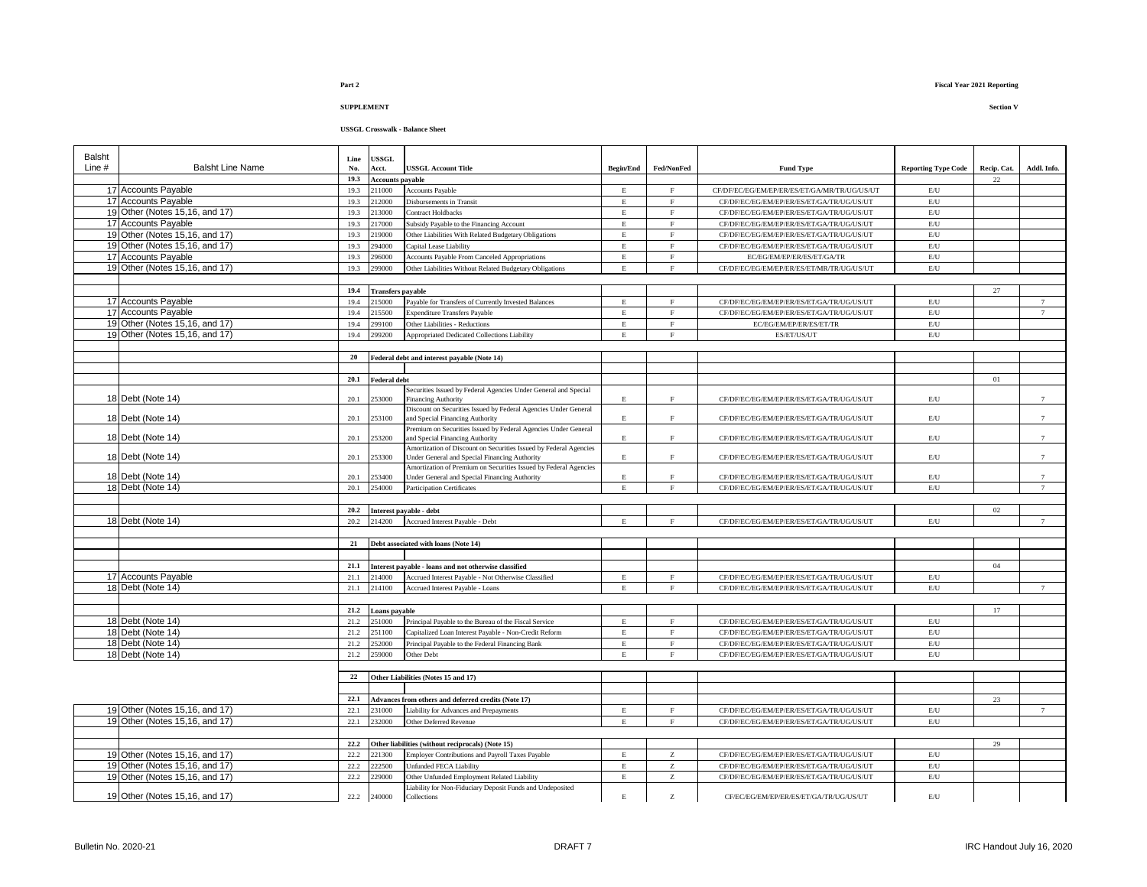### **USSGL Crosswalk - Balance Sheet**

| Balsht   |                                        | Line         | <b>JSSGL</b>             |                                                                                               |                  |                |                                                                                        |                                                    |             |                 |
|----------|----------------------------------------|--------------|--------------------------|-----------------------------------------------------------------------------------------------|------------------|----------------|----------------------------------------------------------------------------------------|----------------------------------------------------|-------------|-----------------|
| Line $#$ | <b>Balsht Line Name</b>                | No.          | Acct.                    | <b>USSGL Account Title</b>                                                                    | <b>Begin/End</b> | Fed/NonFed     | <b>Fund Type</b>                                                                       | <b>Reporting Type Code</b>                         | Recip. Cat. | Addl. Info.     |
|          |                                        | 19.3         | <b>Accounts payable</b>  |                                                                                               |                  |                |                                                                                        |                                                    | 22          |                 |
|          | 17 Accounts Payable                    | 19.3         | 211000                   | <b>Accounts Payable</b>                                                                       | $\mathbf E$      | F              | CF/DF/EC/EG/EM/EP/ER/ES/ET/GA/MR/TR/UG/US/UT                                           | E/U                                                |             |                 |
|          | 17 Accounts Payable                    | 19.3         | 212000                   | Disbursements in Transit                                                                      | $\mathbf E$      | F              | CF/DF/EC/EG/EM/EP/ER/ES/ET/GA/TR/UG/US/UT                                              | E/U                                                |             |                 |
|          | 19 Other (Notes 15,16, and 17)         | 19.3         | 213000                   | <b>Contract Holdbacks</b>                                                                     | $\mathbf E$      | $\rm F$        | CF/DF/EC/EG/EM/EP/ER/ES/ET/GA/TR/UG/US/UT                                              | $\mathrm{E}/\mathrm{U}$                            |             |                 |
|          | 17 Accounts Payable                    | 19.3         | 17000                    | Subsidy Payable to the Financing Account                                                      | $\mathbf E$      | $\mathbf{F}$   | CF/DF/EC/EG/EM/EP/ER/ES/ET/GA/TR/UG/US/UT                                              | $\mathrm{E}/\mathrm{U}$                            |             |                 |
|          | 19 Other (Notes 15,16, and 17)         | 19.3         | 19000                    | Other Liabilities With Related Budgetary Obligations                                          | $\mathbf E$      | $\rm F$        | CF/DF/EC/EG/EM/EP/ER/ES/ET/GA/TR/UG/US/UT                                              | $\mathrm{E}/\mathrm{U}$                            |             |                 |
|          | 19 Other (Notes 15,16, and 17)         | 19.3         | 94000                    | Capital Lease Liability                                                                       | $\mathbf{E}$     | F              | CF/DF/EC/EG/EM/EP/ER/ES/ET/GA/TR/UG/US/UT                                              | E/U                                                |             |                 |
|          | 17 Accounts Payable                    | 19.3         | 96000                    | Accounts Payable From Canceled Appropriations                                                 | $\mathbf E$      | $\rm F$        | EC/EG/EM/EP/ER/ES/ET/GA/TR                                                             | $\mathrm{E}/\mathrm{U}$                            |             |                 |
|          | 19 Other (Notes 15,16, and 17)         | 19.3         | 299000                   | Other Liabilities Without Related Budgetary Obligations                                       | E.               | $\mathbf F$    | CF/DF/EC/EG/EM/EP/ER/ES/ET/MR/TR/UG/US/UT                                              | $\mathrm{E}/\mathrm{U}$                            |             |                 |
|          |                                        |              |                          |                                                                                               |                  |                |                                                                                        |                                                    |             |                 |
|          |                                        | 19.4         | <b>Transfers payable</b> |                                                                                               |                  |                |                                                                                        |                                                    | 27          |                 |
|          | 17 Accounts Payable                    | 19.4         | 15000                    | Payable for Transfers of Currently Invested Balances                                          | $\mathbf E$      | $\rm F$        | CF/DF/EC/EG/EM/EP/ER/ES/ET/GA/TR/UG/US/UT                                              | $\mathrm{E}/\mathrm{U}$                            |             | $\overline{7}$  |
|          | 17 Accounts Payable                    | 19.4         | 15500                    | <b>Expenditure Transfers Payable</b>                                                          | E                | F              | CF/DF/EC/EG/EM/EP/ER/ES/ET/GA/TR/UG/US/UT                                              | $\mathrm{E}/\mathrm{U}$                            |             | 7               |
|          | 19 Other (Notes 15,16, and 17)         | 19.4         | 99100                    | Other Liabilities - Reductions                                                                | $\mathbf{E}$     | $\mathbf{F}$   | EC/EG/EM/EP/ER/ES/ET/TR                                                                | E/U                                                |             |                 |
|          | 19 Other (Notes 15,16, and 17)         | 19.4         | 99200                    | Appropriated Dedicated Collections Liability                                                  | E                | $\mathbf{F}$   | ES/ET/US/UT                                                                            | $\mathrm{E}/\mathrm{U}$                            |             |                 |
|          |                                        |              |                          |                                                                                               |                  |                |                                                                                        |                                                    |             |                 |
|          |                                        | 20           |                          | Federal debt and interest payable (Note 14)                                                   |                  |                |                                                                                        |                                                    |             |                 |
|          |                                        |              |                          |                                                                                               |                  |                |                                                                                        |                                                    |             |                 |
|          |                                        | 20.1         | <b>Federal debt</b>      |                                                                                               |                  |                |                                                                                        |                                                    | 01          |                 |
|          | 18 Debt (Note 14)                      | 20.1         | :53000                   | Securities Issued by Federal Agencies Under General and Special<br><b>Financing Authority</b> | $\mathbf E$      | $\mathbf F$    | CF/DF/EC/EG/EM/EP/ER/ES/ET/GA/TR/UG/US/UT                                              | $\mathrm{E}/\mathrm{U}$                            |             |                 |
|          |                                        |              |                          | Discount on Securities Issued by Federal Agencies Under General                               |                  |                |                                                                                        |                                                    |             |                 |
|          | 18 Debt (Note 14)                      | 20.1         | 53100                    | and Special Financing Authority                                                               | E.               | $\mathbf F$    | CF/DF/EC/EG/EM/EP/ER/ES/ET/GA/TR/UG/US/UT                                              | E/U                                                |             | 7               |
|          |                                        |              |                          | Premium on Securities Issued by Federal Agencies Under General                                |                  |                |                                                                                        |                                                    |             |                 |
|          | 18 Debt (Note 14)                      | 20.1         | 253200                   | and Special Financing Authority                                                               | $\mathbf E$      | $\rm F$        | CF/DF/EC/EG/EM/EP/ER/ES/ET/GA/TR/UG/US/UT                                              | $\mathrm{E}/\mathrm{U}$                            |             | $\overline{7}$  |
|          |                                        |              |                          | Amortization of Discount on Securities Issued by Federal Agencies                             |                  |                |                                                                                        |                                                    |             |                 |
|          | 18 Debt (Note 14)                      | 20.1         | 53300                    | Under General and Special Financing Authority                                                 | E.               | $\mathbf F$    | CF/DF/EC/EG/EM/EP/ER/ES/ET/GA/TR/UG/US/UT                                              | $\mathrm{E}/\mathrm{U}$                            |             | $\tau$          |
|          |                                        |              | 253400                   | Amortization of Premium on Securities Issued by Federal Agencies                              | $\mathbf E$      | F              |                                                                                        |                                                    |             | $\overline{7}$  |
|          | 18 Debt (Note 14)<br>18 Debt (Note 14) | 20.1<br>20.1 | 254000                   | Under General and Special Financing Authority<br>Participation Certificates                   | $\mathbf E$      | $\mathbf{F}$   | CF/DF/EC/EG/EM/EP/ER/ES/ET/GA/TR/UG/US/UT<br>CF/DF/EC/EG/EM/EP/ER/ES/ET/GA/TR/UG/US/UT | $\mathrm{E}/\mathrm{U}$<br>$\mathrm{E}/\mathrm{U}$ |             | $\overline{7}$  |
|          |                                        |              |                          |                                                                                               |                  |                |                                                                                        |                                                    |             |                 |
|          |                                        | 20.2         |                          |                                                                                               |                  |                |                                                                                        |                                                    | 02          |                 |
|          | 18 Debt (Note 14)                      | 20.2         | 214200                   | Interest payable - debt<br>Accrued Interest Payable - Debt                                    | $\mathbf E$      | $\rm F$        | CF/DF/EC/EG/EM/EP/ER/ES/ET/GA/TR/UG/US/UT                                              | $\mathrm{E}/\mathrm{U}$                            |             | 7               |
|          |                                        |              |                          |                                                                                               |                  |                |                                                                                        |                                                    |             |                 |
|          |                                        | 21           |                          | Debt associated with loans (Note 14)                                                          |                  |                |                                                                                        |                                                    |             |                 |
|          |                                        |              |                          |                                                                                               |                  |                |                                                                                        |                                                    |             |                 |
|          |                                        | 21.1         |                          | Interest payable - loans and not otherwise classified                                         |                  |                |                                                                                        |                                                    | 04          |                 |
|          | 17 Accounts Payable                    | 21.1         | 214000                   | Accrued Interest Payable - Not Otherwise Classified                                           | E                | $\rm F$        | CF/DF/EC/EG/EM/EP/ER/ES/ET/GA/TR/UG/US/UT                                              | E/U                                                |             |                 |
|          | 18 Debt (Note 14)                      | 21.1         | 214100                   | Accrued Interest Payable - Loans                                                              | $\mathbf E$      | $\overline{F}$ | CF/DF/EC/EG/EM/EP/ER/ES/ET/GA/TR/UG/US/UT                                              | $\mathrm{E}/\mathrm{U}$                            |             | $\overline{7}$  |
|          |                                        |              |                          |                                                                                               |                  |                |                                                                                        |                                                    |             |                 |
|          |                                        | 21.2         | Loans payable            |                                                                                               |                  |                |                                                                                        |                                                    | 17          |                 |
|          | 18 Debt (Note 14)                      | 21.2         | 51000                    | Principal Payable to the Bureau of the Fiscal Service                                         | $\mathbf E$      | $\mathbf F$    | CF/DF/EC/EG/EM/EP/ER/ES/ET/GA/TR/UG/US/UT                                              | $\mathrm{E}/\mathrm{U}$                            |             |                 |
|          | 18 Debt (Note 14)                      | 21.2         | :51100                   | Capitalized Loan Interest Payable - Non-Credit Reform                                         | $\mathbf E$      | $\mathbf F$    | CF/DF/EC/EG/EM/EP/ER/ES/ET/GA/TR/UG/US/UT                                              | $\mathrm{E}/\mathrm{U}$                            |             |                 |
|          | 18 Debt (Note 14)                      | 21.2         | :52000                   | Principal Payable to the Federal Financing Bank                                               | $\mathbf E$      | $\mathbf F$    | CF/DF/EC/EG/EM/EP/ER/ES/ET/GA/TR/UG/US/UT                                              | $\mathrm{E}/\mathrm{U}$                            |             |                 |
|          | 18 Debt (Note 14)                      | 21.2         | 259000                   | Other Debt                                                                                    | $\mathbf E$      | $\mathbf{F}$   | CF/DF/EC/EG/EM/EP/ER/ES/ET/GA/TR/UG/US/UT                                              | $\mathrm{E}/\mathrm{U}$                            |             |                 |
|          |                                        |              |                          |                                                                                               |                  |                |                                                                                        |                                                    |             |                 |
|          |                                        | 22           |                          | Other Liabilities (Notes 15 and 17)                                                           |                  |                |                                                                                        |                                                    |             |                 |
|          |                                        |              |                          |                                                                                               |                  |                |                                                                                        |                                                    |             |                 |
|          |                                        | 22.1         |                          | Advances from others and deferred credits (Note 17)                                           |                  |                |                                                                                        |                                                    | 23          |                 |
|          | 19 Other (Notes 15,16, and 17)         | 22.1         | :31000                   | Liability for Advances and Prepayments                                                        | $\mathbf E$      | $\mathbf F$    | CF/DF/EC/EG/EM/EP/ER/ES/ET/GA/TR/UG/US/UT                                              | $\mathrm{E}/\mathrm{U}$                            |             | $7\overline{ }$ |
|          | 19 Other (Notes 15,16, and 17)         | 22.1         | :32000                   | Other Deferred Revenue                                                                        | $\mathbf E$      | F              | CF/DF/EC/EG/EM/EP/ER/ES/ET/GA/TR/UG/US/UT                                              | E/U                                                |             |                 |
|          |                                        |              |                          |                                                                                               |                  |                |                                                                                        |                                                    |             |                 |
|          |                                        | 22.2         |                          | Other liabilities (without reciprocals) (Note 15)                                             |                  |                |                                                                                        |                                                    | 29          |                 |
|          | 19 Other (Notes 15,16, and 17)         | 22.2         | 221300                   | Employer Contributions and Payroll Taxes Payable                                              | $\mathbf E$      | Z              | CF/DF/EC/EG/EM/EP/ER/ES/ET/GA/TR/UG/US/UT                                              | $\mathrm{E}/\mathrm{U}$                            |             |                 |
|          | 19 Other (Notes 15,16, and 17)         | 22.2         | 22500                    | <b>Unfunded FECA Liability</b>                                                                | $\mathbf E$      | $\rm{Z}$       | CF/DF/EC/EG/EM/EP/ER/ES/ET/GA/TR/UG/US/UT                                              | $\mathrm{E}/\mathrm{U}$                            |             |                 |
|          | 19 Other (Notes 15,16, and 17)         | 22.2         | 229000                   | Other Unfunded Employment Related Liability                                                   | $\mathbf E$      | $\rm{Z}$       | CF/DF/EC/EG/EM/EP/ER/ES/ET/GA/TR/UG/US/UT                                              | $\mathrm{E}/\mathrm{U}$                            |             |                 |
|          |                                        |              |                          | Liability for Non-Fiduciary Deposit Funds and Undeposited                                     |                  |                |                                                                                        |                                                    |             |                 |
|          | 19 Other (Notes 15,16, and 17)         | 22.2         | 240000                   | Collections                                                                                   | $\mathbf E$      | Z              | CF/EC/EG/EM/EP/ER/ES/ET/GA/TR/UG/US/UT                                                 | E/U                                                |             |                 |
|          |                                        |              |                          |                                                                                               |                  |                |                                                                                        |                                                    |             |                 |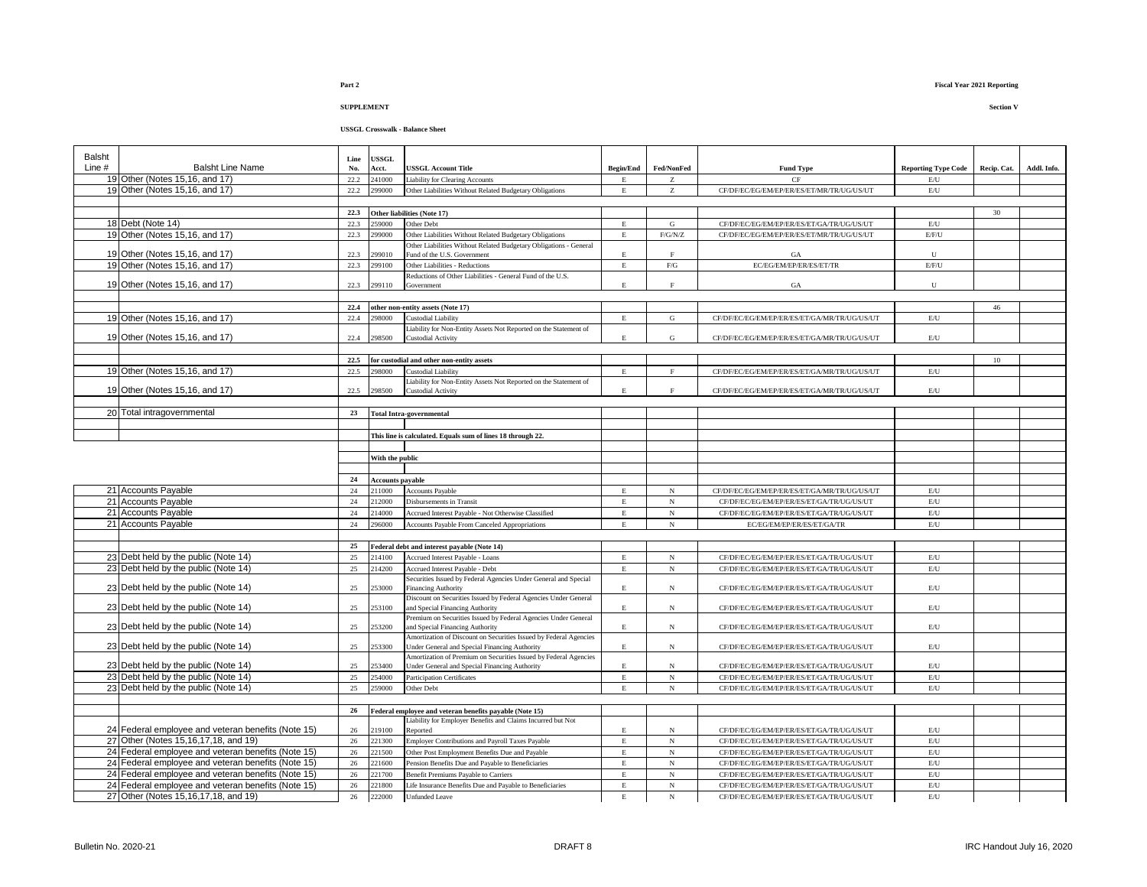### **USSGL Crosswalk - Balance Sheet**

| Balsht   |                                                                                                          | Line     | <b>USSGL</b>            |                                                                                                                              |                  |                          |                                                                                        |                            |             |             |
|----------|----------------------------------------------------------------------------------------------------------|----------|-------------------------|------------------------------------------------------------------------------------------------------------------------------|------------------|--------------------------|----------------------------------------------------------------------------------------|----------------------------|-------------|-------------|
| Line $#$ | <b>Balsht Line Name</b>                                                                                  | No.      | Acct.                   | <b>USSGL Account Title</b>                                                                                                   | <b>Begin/End</b> | Fed/NonFed               | <b>Fund Type</b>                                                                       | <b>Reporting Type Code</b> | Recip. Cat. | Addl. Info. |
|          | 19 Other (Notes 15,16, and 17)                                                                           | 22.2     | 241000                  | <b>Liability for Clearing Accounts</b>                                                                                       | $\mathbf E$      | z                        | CF                                                                                     | $\mathrm{E}/\mathrm{U}$    |             |             |
|          | 19 Other (Notes 15,16, and 17)                                                                           | 22.2     | 299000                  | Other Liabilities Without Related Budgetary Obligations                                                                      | $\mathbf E$      | z                        | CF/DF/EC/EG/EM/EP/ER/ES/ET/MR/TR/UG/US/UT                                              | E/U                        |             |             |
|          |                                                                                                          |          |                         |                                                                                                                              |                  |                          |                                                                                        |                            |             |             |
|          |                                                                                                          | 22.3     |                         | Other liabilities (Note 17)                                                                                                  |                  |                          |                                                                                        |                            | 30          |             |
|          | 18 Debt (Note 14)                                                                                        | 22.3     | 259000                  | Other Debt                                                                                                                   | E                | G                        | CF/DF/EC/EG/EM/EP/ER/ES/ET/GA/TR/UG/US/UT                                              | E/U                        |             |             |
|          | 19 Other (Notes 15,16, and 17)                                                                           | 22.3     | 299000                  | Other Liabilities Without Related Budgetary Obligations<br>Other Liabilities Without Related Budgetary Obligations - General | $\mathbf E$      | F/G/N/Z                  | CF/DF/EC/EG/EM/EP/ER/ES/ET/MR/TR/UG/US/UT                                              | E/F/U                      |             |             |
|          | 19 Other (Notes 15,16, and 17)                                                                           | 22.3     | 299010                  | Fund of the U.S. Government                                                                                                  | $\mathbf E$      | $\mathbf F$              | GA                                                                                     | $\mathbf{U}$               |             |             |
|          | 19 Other (Notes 15,16, and 17)                                                                           | 22.3     | 299100                  | Other Liabilities - Reductions                                                                                               | $\mathbf E$      | ${\rm F/G}$              | EC/EG/EM/EP/ER/ES/ET/TR                                                                | E/F/U                      |             |             |
|          |                                                                                                          |          |                         | Reductions of Other Liabilities - General Fund of the U.S.                                                                   |                  |                          |                                                                                        |                            |             |             |
|          | 19 Other (Notes 15,16, and 17)                                                                           | 22.3     | 299110                  | Government                                                                                                                   | E                | $\rm F$                  | GA                                                                                     | U                          |             |             |
|          |                                                                                                          |          |                         |                                                                                                                              |                  |                          |                                                                                        |                            |             |             |
|          |                                                                                                          | 22.4     |                         | other non-entity assets (Note 17)                                                                                            |                  |                          |                                                                                        |                            | 46          |             |
|          | 19 Other (Notes 15,16, and 17)                                                                           | 22.4     | 298000                  | <b>Custodial Liability</b>                                                                                                   | $\mathbf E$      | G                        | CF/DF/EC/EG/EM/EP/ER/ES/ET/GA/MR/TR/UG/US/UT                                           | E/U                        |             |             |
|          | 19 Other (Notes 15,16, and 17)                                                                           | 22.4     | 298500                  | Liability for Non-Entity Assets Not Reported on the Statement of<br>Custodial Activity                                       | E                | G                        | CF/DF/EC/EG/EM/EP/ER/ES/ET/GA/MR/TR/UG/US/UT                                           | $\mathrm{E}/\mathrm{U}$    |             |             |
|          |                                                                                                          |          |                         |                                                                                                                              |                  |                          |                                                                                        |                            |             |             |
|          |                                                                                                          | 22.5     |                         | for custodial and other non-entity assets                                                                                    |                  |                          |                                                                                        |                            | 10          |             |
|          | 19 Other (Notes 15,16, and 17)                                                                           | 22.5     | 298000                  | Custodial Liability                                                                                                          | $\mathbf E$      | $\mathbf{F}$             | CF/DF/EC/EG/EM/EP/ER/ES/ET/GA/MR/TR/UG/US/UT                                           | E/U                        |             |             |
|          |                                                                                                          |          |                         | Liability for Non-Entity Assets Not Reported on the Statement of                                                             |                  |                          |                                                                                        |                            |             |             |
|          | 19 Other (Notes 15,16, and 17)                                                                           | 22.5     | 298500                  | Custodial Activity                                                                                                           | E                | $\rm F$                  | CF/DF/EC/EG/EM/EP/ER/ES/ET/GA/MR/TR/UG/US/UT                                           | E/U                        |             |             |
|          |                                                                                                          |          |                         |                                                                                                                              |                  |                          |                                                                                        |                            |             |             |
|          | 20 Total intragovernmental                                                                               | 23       |                         | <b>Total Intra-governmental</b>                                                                                              |                  |                          |                                                                                        |                            |             |             |
|          |                                                                                                          |          |                         |                                                                                                                              |                  |                          |                                                                                        |                            |             |             |
|          |                                                                                                          |          |                         | This line is calculated. Equals sum of lines 18 through 22.                                                                  |                  |                          |                                                                                        |                            |             |             |
|          |                                                                                                          |          | With the public         |                                                                                                                              |                  |                          |                                                                                        |                            |             |             |
|          |                                                                                                          |          |                         |                                                                                                                              |                  |                          |                                                                                        |                            |             |             |
|          |                                                                                                          | 24       | <b>Accounts payable</b> |                                                                                                                              |                  |                          |                                                                                        |                            |             |             |
|          | 21 Accounts Payable                                                                                      | 24       | 211000                  | <b>Accounts Payable</b>                                                                                                      |                  | $_{\rm N}$               | CF/DF/EC/EG/EM/EP/ER/ES/ET/GA/MR/TR/UG/US/UT                                           | $\mathrm{E}/\mathrm{U}$    |             |             |
|          | 21 Accounts Payable                                                                                      | $24\,$   | 212000                  | Disbursements in Transit                                                                                                     | $\mathbf E$      | $_{\rm N}$               | CF/DF/EC/EG/EM/EP/ER/ES/ET/GA/TR/UG/US/UT                                              | E/U                        |             |             |
|          | 21 Accounts Payable                                                                                      | 24       | 214000                  | Accrued Interest Payable - Not Otherwise Classified                                                                          | E                | $_{\rm N}$               | CF/DF/EC/EG/EM/EP/ER/ES/ET/GA/TR/UG/US/UT                                              | $\mathrm{E}/\mathrm{U}$    |             |             |
|          | 21 Accounts Payable                                                                                      | 24       | 296000                  | <b>Accounts Payable From Canceled Appropriations</b>                                                                         | E                | $_{\rm N}$               | EC/EG/EM/EP/ER/ES/ET/GA/TR                                                             | $\mathrm{E}/\mathrm{U}$    |             |             |
|          |                                                                                                          |          |                         |                                                                                                                              |                  |                          |                                                                                        |                            |             |             |
|          |                                                                                                          | 25       |                         | Federal debt and interest payable (Note 14)                                                                                  |                  |                          |                                                                                        |                            |             |             |
|          | 23 Debt held by the public (Note 14)                                                                     | 25       | 214100                  | Accrued Interest Payable - Loans                                                                                             | $\mathbf E$      | $_{\rm N}$               | CF/DF/EC/EG/EM/EP/ER/ES/ET/GA/TR/UG/US/UT                                              | E/U                        |             |             |
|          | 23 Debt held by the public (Note 14)                                                                     | 25       | 214200                  | Accrued Interest Payable - Debt                                                                                              | $\mathbf E$      | $_{\rm N}$               | CF/DF/EC/EG/EM/EP/ER/ES/ET/GA/TR/UG/US/UT                                              | $\mathrm{E}/\mathrm{U}$    |             |             |
|          |                                                                                                          |          |                         | Securities Issued by Federal Agencies Under General and Special                                                              |                  |                          |                                                                                        |                            |             |             |
|          | 23 Debt held by the public (Note 14)                                                                     | 25       | :53000                  | Financing Authority<br>Discount on Securities Issued by Federal Agencies Under General                                       | E                | $_{\rm N}$               | CF/DF/EC/EG/EM/EP/ER/ES/ET/GA/TR/UG/US/UT                                              | $\mathrm{E}/\mathrm{U}$    |             |             |
|          | 23 Debt held by the public (Note 14)                                                                     | 25       | 253100                  | and Special Financing Authority                                                                                              | $\mathbf E$      | $_{\rm N}$               | CF/DF/EC/EG/EM/EP/ER/ES/ET/GA/TR/UG/US/UT                                              | $\mathrm{E}/\mathrm{U}$    |             |             |
|          |                                                                                                          |          |                         | Premium on Securities Issued by Federal Agencies Under General                                                               |                  |                          |                                                                                        |                            |             |             |
|          | 23 Debt held by the public (Note 14)                                                                     | 25       | 253200                  | and Special Financing Authority                                                                                              | $\mathbf E$      | $_{\rm N}$               | CF/DF/EC/EG/EM/EP/ER/ES/ET/GA/TR/UG/US/UT                                              | E/U                        |             |             |
|          |                                                                                                          | 25       | 253300                  | Amortization of Discount on Securities Issued by Federal Agencies                                                            |                  |                          |                                                                                        | E/U                        |             |             |
|          | 23 Debt held by the public (Note 14)                                                                     |          |                         | <b>Jnder General and Special Financing Authority</b><br>Amortization of Premium on Securities Issued by Federal Agencies     | E                | $_{\rm N}$               | CF/DF/EC/EG/EM/EP/ER/ES/ET/GA/TR/UG/US/UT                                              |                            |             |             |
|          | 23 Debt held by the public (Note 14)                                                                     | 25       | 253400                  | Jnder General and Special Financing Authority                                                                                | $\mathbf E$      | $_{\rm N}$               | CF/DF/EC/EG/EM/EP/ER/ES/ET/GA/TR/UG/US/UT                                              | $\mathrm{E}/\mathrm{U}$    |             |             |
|          | 23 Debt held by the public (Note 14)                                                                     | 25       | 254000                  | Participation Certificates                                                                                                   | $\mathbf E$      | $_{\rm N}$               | CF/DF/EC/EG/EM/EP/ER/ES/ET/GA/TR/UG/US/UT                                              | E/U                        |             |             |
|          | 23 Debt held by the public (Note 14)                                                                     | 25       | 259000                  | Other Debt                                                                                                                   | $\mathbf E$      | $_{\rm N}$               | CF/DF/EC/EG/EM/EP/ER/ES/ET/GA/TR/UG/US/UT                                              | E/U                        |             |             |
|          |                                                                                                          |          |                         |                                                                                                                              |                  |                          |                                                                                        |                            |             |             |
|          |                                                                                                          | 26       |                         | Federal employee and veteran benefits payable (Note 15)                                                                      |                  |                          |                                                                                        |                            |             |             |
|          |                                                                                                          |          |                         | Liability for Employer Benefits and Claims Incurred but Not                                                                  |                  |                          |                                                                                        |                            |             |             |
|          | 24 Federal employee and veteran benefits (Note 15)                                                       | 26       | 219100                  | Reported                                                                                                                     | $\mathbf E$      | $_{\rm N}$               | CF/DF/EC/EG/EM/EP/ER/ES/ET/GA/TR/UG/US/UT                                              | $\mathrm{E}/\mathrm{U}$    |             |             |
|          | 27 Other (Notes 15,16,17,18, and 19)                                                                     | 26       | 221300                  | Employer Contributions and Payroll Taxes Payable                                                                             | $\mathbf E$      | $_{\rm N}$               | CF/DF/EC/EG/EM/EP/ER/ES/ET/GA/TR/UG/US/UT                                              | $\mathrm{E}/\mathrm{U}$    |             |             |
|          | 24 Federal employee and veteran benefits (Note 15)<br>24 Federal employee and veteran benefits (Note 15) | 26<br>26 | 221500<br>221600        | Other Post Employment Benefits Due and Payable                                                                               | E<br>$\mathbf E$ | $_{\rm N}$<br>$_{\rm N}$ | CF/DF/EC/EG/EM/EP/ER/ES/ET/GA/TR/UG/US/UT                                              | E/U<br>E/U                 |             |             |
|          | 24 Federal employee and veteran benefits (Note 15)                                                       | 26       | 221700                  | Pension Benefits Due and Payable to Beneficiaries<br>Benefit Premiums Payable to Carriers                                    | E                | $_{\rm N}$               | CF/DF/EC/EG/EM/EP/ER/ES/ET/GA/TR/UG/US/UT                                              | $\mathrm{E}/\mathrm{U}$    |             |             |
|          | 24 Federal employee and veteran benefits (Note 15)                                                       | 26       | 221800                  | Life Insurance Benefits Due and Payable to Beneficiaries                                                                     | E                | $_{\rm N}$               | CF/DF/EC/EG/EM/EP/ER/ES/ET/GA/TR/UG/US/UT<br>CF/DF/EC/EG/EM/EP/ER/ES/ET/GA/TR/UG/US/UT | E/U                        |             |             |
|          | 27 Other (Notes 15,16,17,18, and 19)                                                                     | 26       | 222000                  | <b>Unfunded Leave</b>                                                                                                        | $\mathbf E$      | $_{\rm N}$               | CF/DF/EC/EG/EM/EP/ER/ES/ET/GA/TR/UG/US/UT                                              | E/U                        |             |             |
|          |                                                                                                          |          |                         |                                                                                                                              |                  |                          |                                                                                        |                            |             |             |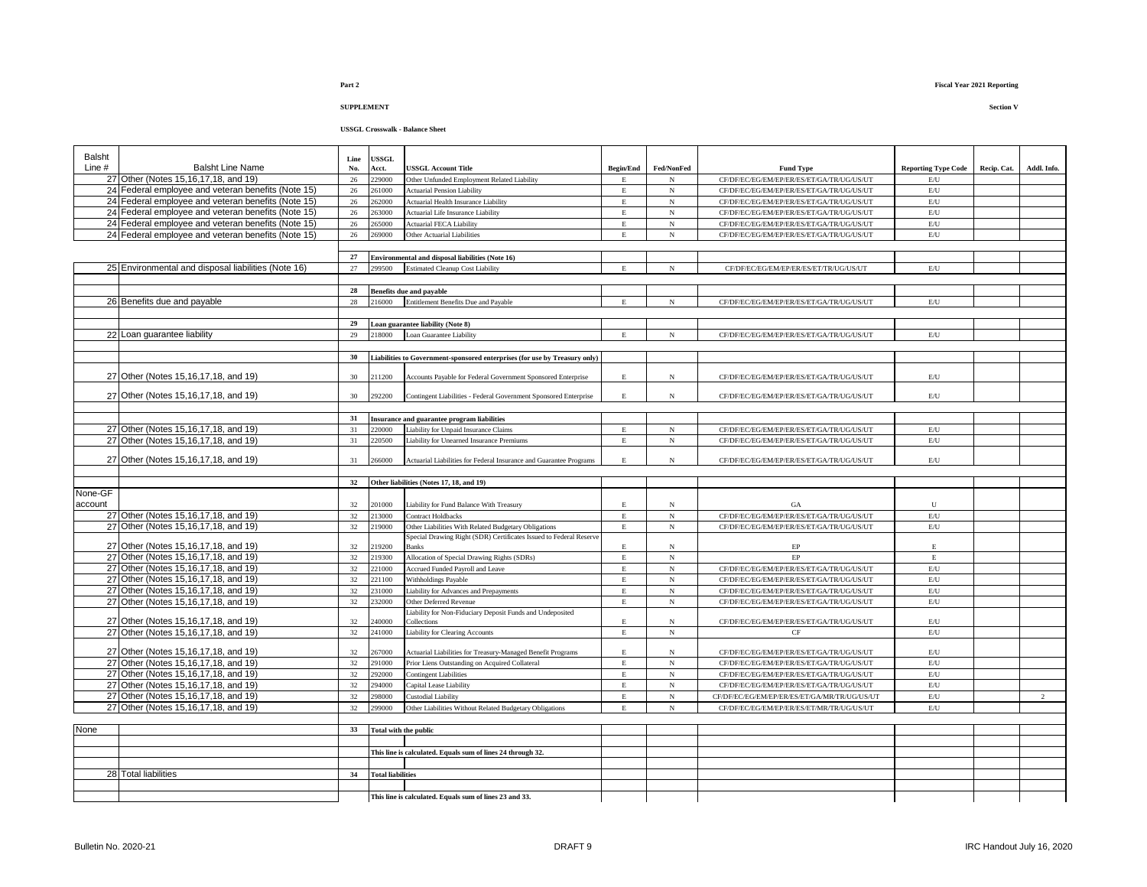### **USSGL Crosswalk - Balance Sheet**

| <b>Balsht</b> |                                                                              | Line       | <b>ISSGL</b>                 |                                                                                             |                         |                          |                                                                                           |                                |             |                |
|---------------|------------------------------------------------------------------------------|------------|------------------------------|---------------------------------------------------------------------------------------------|-------------------------|--------------------------|-------------------------------------------------------------------------------------------|--------------------------------|-------------|----------------|
| Line #        | <b>Balsht Line Name</b>                                                      | No.        | Acct.                        | <b>JSSGL Account Title</b>                                                                  | <b>Begin/End</b>        | Fed/NonFed               | <b>Fund Type</b>                                                                          | <b>Reporting Type Code</b>     | Recip. Cat. | Addl. Info.    |
|               | 27 Other (Notes 15, 16, 17, 18, and 19)                                      | 26         | 229000                       | Other Unfunded Employment Related Liability                                                 | Е                       | $_{\rm N}$               | CF/DF/EC/EG/EM/EP/ER/ES/ET/GA/TR/UG/US/UT                                                 | E/U                            |             |                |
|               | 24 Federal employee and veteran benefits (Note 15)                           | 26         | 261000                       | <b>Actuarial Pension Liability</b>                                                          | $\mathbf E$             | $_{\rm N}$               | CF/DF/EC/EG/EM/EP/ER/ES/ET/GA/TR/UG/US/UT                                                 | E/U                            |             |                |
|               | 24 Federal employee and veteran benefits (Note 15)                           | 26         | 262000                       | Actuarial Health Insurance Liability                                                        | Е                       | $_{\rm N}$               | CF/DF/EC/EG/EM/EP/ER/ES/ET/GA/TR/UG/US/UT                                                 | $\mathrm{E}/\mathrm{U}$        |             |                |
|               | 24 Federal employee and veteran benefits (Note 15)                           | 26         | 63000                        | Actuarial Life Insurance Liability                                                          | E                       | $_{\rm N}$               | CF/DF/EC/EG/EM/EP/ER/ES/ET/GA/TR/UG/US/UT                                                 | $\mathrm{E}/\mathrm{U}$        |             |                |
|               | 24 Federal employee and veteran benefits (Note 15)                           | $26\,$     | 265000                       | <b>Actuarial FECA Liability</b>                                                             | E                       | $_{\rm N}$               | CF/DF/EC/EG/EM/EP/ER/ES/ET/GA/TR/UG/US/UT                                                 | $\mathrm{E}/\mathrm{U}$        |             |                |
|               | 24 Federal employee and veteran benefits (Note 15)                           | 26         | 269000                       | Other Actuarial Liabilities                                                                 | $\mathbf E$             | $_{\rm N}$               | CF/DF/EC/EG/EM/EP/ER/ES/ET/GA/TR/UG/US/UT                                                 | $\mathrm{E}/\mathrm{U}$        |             |                |
|               |                                                                              | 27         |                              |                                                                                             |                         |                          |                                                                                           |                                |             |                |
|               | 25 Environmental and disposal liabilities (Note 16)                          | 27         | 299500                       | Environmental and disposal liabilities (Note 16)<br><b>Estimated Cleanup Cost Liability</b> | E                       | $_{\rm N}$               | CF/DF/EC/EG/EM/EP/ER/ES/ET/TR/UG/US/UT                                                    | E/U                            |             |                |
|               |                                                                              |            |                              |                                                                                             |                         |                          |                                                                                           |                                |             |                |
|               |                                                                              | ${\bf 28}$ |                              | <b>Benefits due and payable</b>                                                             |                         |                          |                                                                                           |                                |             |                |
|               | 26 Benefits due and payable                                                  | 28         | 216000                       | Entitlement Benefits Due and Payable                                                        | E                       | $_{\rm N}$               | CF/DF/EC/EG/EM/EP/ER/ES/ET/GA/TR/UG/US/UT                                                 | $\mathrm{E}/\mathrm{U}$        |             |                |
|               |                                                                              |            |                              |                                                                                             |                         |                          |                                                                                           |                                |             |                |
|               |                                                                              | 29         |                              | oan guarantee liability (Note 8)                                                            |                         |                          |                                                                                           |                                |             |                |
|               | 22 Loan quarantee liability                                                  | 29         | 218000                       | Loan Guarantee Liability                                                                    | E                       | $_{\rm N}$               | CF/DF/EC/EG/EM/EP/ER/ES/ET/GA/TR/UG/US/UT                                                 | $\mathrm{E}/\mathrm{U}$        |             |                |
|               |                                                                              |            |                              |                                                                                             |                         |                          |                                                                                           |                                |             |                |
|               |                                                                              | 30         |                              | Liabilities to Government-sponsored enterprises (for use by Treasury only)                  |                         |                          |                                                                                           |                                |             |                |
|               |                                                                              |            |                              |                                                                                             |                         |                          |                                                                                           |                                |             |                |
|               | 27 Other (Notes 15,16,17,18, and 19)                                         | 30         | 211200                       | Accounts Payable for Federal Government Sponsored Enterprise                                | E                       | $_{\rm N}$               | CF/DF/EC/EG/EM/EP/ER/ES/ET/GA/TR/UG/US/UT                                                 | $\rm E/U$                      |             |                |
|               | 27 Other (Notes 15,16,17,18, and 19)                                         | 30         | 292200                       | Contingent Liabilities - Federal Government Sponsored Enterprise                            | E                       | $_{\rm N}$               | CF/DF/EC/EG/EM/EP/ER/ES/ET/GA/TR/UG/US/UT                                                 | $\mathrm{E}/\mathrm{U}$        |             |                |
|               |                                                                              |            |                              |                                                                                             |                         |                          |                                                                                           |                                |             |                |
|               |                                                                              | 31         |                              | Insurance and guarantee program liabilities                                                 |                         |                          |                                                                                           |                                |             |                |
|               | 27 Other (Notes 15,16,17,18, and 19)                                         | 31         | 220000                       | Liability for Unpaid Insurance Claims                                                       | E                       | $_{\rm N}$               | CF/DF/EC/EG/EM/EP/ER/ES/ET/GA/TR/UG/US/UT                                                 | $\rm E/U$                      |             |                |
|               | 27 Other (Notes 15,16,17,18, and 19)                                         | 31         | 220500                       | Liability for Unearned Insurance Premiums                                                   | $\mathbf E$             | $_{\rm N}$               | CF/DF/EC/EG/EM/EP/ER/ES/ET/GA/TR/UG/US/UT                                                 | $\mathrm{E}/\mathrm{U}$        |             |                |
|               |                                                                              |            |                              |                                                                                             |                         |                          |                                                                                           |                                |             |                |
|               | 27 Other (Notes 15,16,17,18, and 19)                                         | 31         | 66000                        | Actuarial Liabilities for Federal Insurance and Guarantee Programs                          | E                       | $_{\rm N}$               | CF/DF/EC/EG/EM/EP/ER/ES/ET/GA/TR/UG/US/UT                                                 | E/U                            |             |                |
|               |                                                                              |            |                              |                                                                                             |                         |                          |                                                                                           |                                |             |                |
| None-GF       |                                                                              | 32         |                              | Other liabilities (Notes 17, 18, and 19)                                                    |                         |                          |                                                                                           |                                |             |                |
| account       |                                                                              | 32         | 201000                       | Liability for Fund Balance With Treasury                                                    | E                       | $_{\rm N}$               | GA                                                                                        | ${\bf U}$                      |             |                |
|               | 27 Other (Notes 15,16,17,18, and 19)                                         | 32         | 213000                       | Contract Holdbacks                                                                          | E                       | $_{\rm N}$               | CF/DF/EC/EG/EM/EP/ER/ES/ET/GA/TR/UG/US/UT                                                 | $\mathrm{E}/\mathrm{U}$        |             |                |
|               | 27 Other (Notes 15,16,17,18, and 19)                                         | 32         | 219000                       | Other Liabilities With Related Budgetary Obligations                                        | $_{\rm E}$              | $_{\rm N}$               | CF/DF/EC/EG/EM/EP/ER/ES/ET/GA/TR/UG/US/UT                                                 | $\mathbf{E}/\mathbf{U}$        |             |                |
|               |                                                                              |            |                              | Special Drawing Right (SDR) Certificates Issued to Federal Reserve                          |                         |                          |                                                                                           |                                |             |                |
|               | 27 Other (Notes 15,16,17,18, and 19)                                         | 32         | 219200                       | <b>Banks</b>                                                                                | E                       | $_{\rm N}$               | $\rm EP$                                                                                  | E                              |             |                |
|               | 27 Other (Notes 15.16.17.18, and 19)                                         | 32         | 219300                       | Allocation of Special Drawing Rights (SDRs)                                                 | $\mathbf E$             | $_{\rm N}$               | EP                                                                                        | $\mathbf E$                    |             |                |
|               | 27 Other (Notes 15,16,17,18, and 19)                                         | 32         | 221000                       | Accrued Funded Payroll and Leave                                                            | E                       | $_{\rm N}$               | CF/DF/EC/EG/EM/EP/ER/ES/ET/GA/TR/UG/US/UT                                                 | $\mathrm{E}/\mathrm{U}$        |             |                |
|               | 27 Other (Notes 15,16,17,18, and 19)                                         | 32         | 221100                       | <b>Withholdings Payable</b>                                                                 | E                       | $_{\rm N}$               | CF/DF/EC/EG/EM/EP/ER/ES/ET/GA/TR/UG/US/UT                                                 | $\mathbf{E}/\mathbf{U}$        |             |                |
|               | 27 Other (Notes 15,16,17,18, and 19)                                         | 32         | 231000                       | Liability for Advances and Prepayments                                                      | $\mathbf E$             | $_{\rm N}$               | CF/DF/EC/EG/EM/EP/ER/ES/ET/GA/TR/UG/US/UT                                                 | $\mathrm{E}/\mathrm{U}$        |             |                |
|               | 27 Other (Notes 15,16,17,18, and 19)                                         | 32         | 232000                       | Other Deferred Revenue<br>Liability for Non-Fiduciary Deposit Funds and Undeposited         | E                       | $_{\rm N}$               | CF/DF/EC/EG/EM/EP/ER/ES/ET/GA/TR/UG/US/UT                                                 | $\mathbf{E}/\mathbf{U}$        |             |                |
|               | 27 Other (Notes 15,16,17,18, and 19)                                         | 32         | 240000                       | Collections                                                                                 | $\mathop{\hbox{\bf E}}$ | $_{\rm N}$               | CF/DF/EC/EG/EM/EP/ER/ES/ET/GA/TR/UG/US/UT                                                 | $\mathrm{E}/\mathrm{U}$        |             |                |
|               | 27 Other (Notes 15,16,17,18, and 19)                                         | 32         | 241000                       | <b>Liability for Clearing Accounts</b>                                                      | E                       | $_{\rm N}$               | CF                                                                                        | $\mathbf{E}/\mathbf{U}$        |             |                |
|               |                                                                              |            |                              |                                                                                             |                         |                          |                                                                                           |                                |             |                |
|               | 27 Other (Notes 15,16,17,18, and 19)                                         | 32         | 267000                       | Actuarial Liabilities for Treasury-Managed Benefit Programs                                 | E                       | N                        | CF/DF/EC/EG/EM/EP/ER/ES/ET/GA/TR/UG/US/UT                                                 | $\mathrm{E}/\mathrm{U}$        |             |                |
|               | 27 Other (Notes 15,16,17,18, and 19)                                         | 32         | 291000                       | Prior Liens Outstanding on Acquired Collateral                                              | E.                      | $_{\rm N}$               | CF/DF/EC/EG/EM/EP/ER/ES/ET/GA/TR/UG/US/UT                                                 | $\rm E/U$                      |             |                |
|               | 27 Other (Notes 15,16,17,18, and 19)                                         | 32         | 292000                       | <b>Contingent Liabilities</b>                                                               | E                       | $_{\rm N}$               | CF/DF/EC/EG/EM/EP/ER/ES/ET/GA/TR/UG/US/UT                                                 | $\mathrm{E}/\mathrm{U}$        |             |                |
|               | 27 Other (Notes 15,16,17,18, and 19)                                         | 32         | 294000                       | Capital Lease Liability                                                                     | $\mathbf E$             | $_{\rm N}$               | CF/DF/EC/EG/EM/EP/ER/ES/ET/GA/TR/UG/US/UT                                                 | E/U                            |             |                |
|               | 27 Other (Notes 15,16,17,18, and 19)<br>27 Other (Notes 15,16,17,18, and 19) | 32<br>32   | 298000<br>299000             | Custodial Liability<br>Other Liabilities Without Related Budgetary Obligations              | E<br>E                  | $_{\rm N}$<br>$_{\rm N}$ | CF/DF/EC/EG/EM/EP/ER/ES/ET/GA/MR/TR/UG/US/UT<br>CF/DF/EC/EG/EM/EP/ER/ES/ET/MR/TR/UG/US/UT | $\mathrm{E}/\mathrm{U}$<br>E/U |             | $\overline{2}$ |
|               |                                                                              |            |                              |                                                                                             |                         |                          |                                                                                           |                                |             |                |
| None          |                                                                              | 33         | <b>Total with the public</b> |                                                                                             |                         |                          |                                                                                           |                                |             |                |
|               |                                                                              |            |                              |                                                                                             |                         |                          |                                                                                           |                                |             |                |
|               |                                                                              |            |                              | This line is calculated. Equals sum of lines 24 through 32.                                 |                         |                          |                                                                                           |                                |             |                |
|               |                                                                              |            |                              |                                                                                             |                         |                          |                                                                                           |                                |             |                |
|               | 28 Total liabilities                                                         | 34         | <b>Total liabilities</b>     |                                                                                             |                         |                          |                                                                                           |                                |             |                |
|               |                                                                              |            |                              |                                                                                             |                         |                          |                                                                                           |                                |             |                |
|               |                                                                              |            |                              | This line is calculated. Equals sum of lines 23 and 33.                                     |                         |                          |                                                                                           |                                |             |                |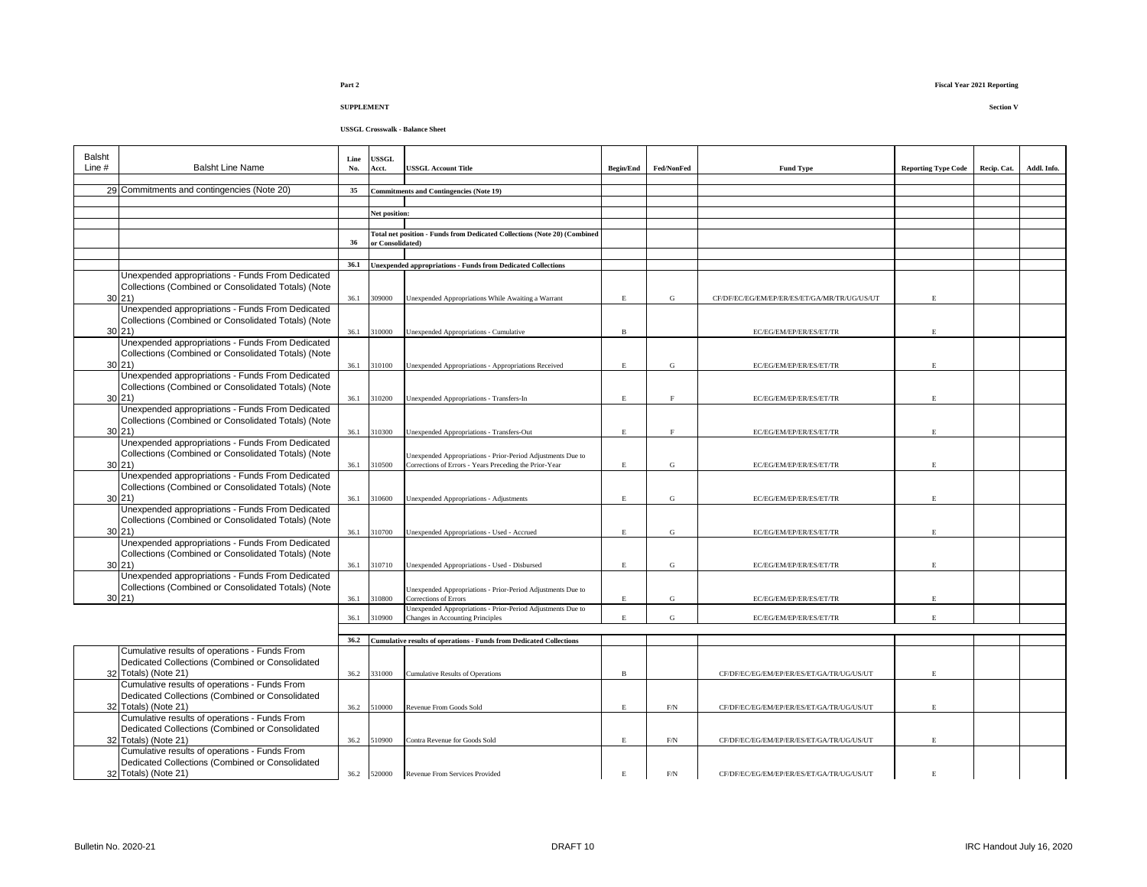### **USSGL Crosswalk - Balance Sheet**

| Balsht<br>Line $#$ | <b>Balsht Line Name</b>                                                                                 | Line<br>No. | USSGL<br>Acct.   | <b>USSGL Account Title</b>                                                                                            | <b>Begin/End</b> | Fed/NonFed   | <b>Fund Type</b>                             | <b>Reporting Type Code</b> | Recip. Cat. | Addl. Info. |
|--------------------|---------------------------------------------------------------------------------------------------------|-------------|------------------|-----------------------------------------------------------------------------------------------------------------------|------------------|--------------|----------------------------------------------|----------------------------|-------------|-------------|
|                    |                                                                                                         |             |                  |                                                                                                                       |                  |              |                                              |                            |             |             |
|                    | 29 Commitments and contingencies (Note 20)                                                              | 35          |                  | Commitments and Contingencies (Note 19)                                                                               |                  |              |                                              |                            |             |             |
|                    |                                                                                                         |             |                  |                                                                                                                       |                  |              |                                              |                            |             |             |
|                    |                                                                                                         |             | Net position:    |                                                                                                                       |                  |              |                                              |                            |             |             |
|                    |                                                                                                         |             |                  | Total net position - Funds from Dedicated Collections (Note 20) (Combined                                             |                  |              |                                              |                            |             |             |
|                    |                                                                                                         | 36          | or Consolidated) |                                                                                                                       |                  |              |                                              |                            |             |             |
|                    |                                                                                                         |             |                  |                                                                                                                       |                  |              |                                              |                            |             |             |
|                    |                                                                                                         | 36.1        |                  | <b>Unexpended appropriations - Funds from Dedicated Collections</b>                                                   |                  |              |                                              |                            |             |             |
|                    | Unexpended appropriations - Funds From Dedicated                                                        |             |                  |                                                                                                                       |                  |              |                                              |                            |             |             |
|                    | Collections (Combined or Consolidated Totals) (Note                                                     |             |                  |                                                                                                                       |                  |              |                                              |                            |             |             |
|                    | 30 21                                                                                                   |             | 36.1 309000      | Unexpended Appropriations While Awaiting a Warrant                                                                    | E.               | ${\bf G}$    | CF/DF/EC/EG/EM/EP/ER/ES/ET/GA/MR/TR/UG/US/UT | E.                         |             |             |
|                    | Unexpended appropriations - Funds From Dedicated<br>Collections (Combined or Consolidated Totals) (Note |             |                  |                                                                                                                       |                  |              |                                              |                            |             |             |
|                    | 30 21                                                                                                   |             | 36.1 310000      | Unexpended Appropriations - Cumulative                                                                                | B                |              | EC/EG/EM/EP/ER/ES/ET/TR                      | E.                         |             |             |
|                    | Unexpended appropriations - Funds From Dedicated                                                        |             |                  |                                                                                                                       |                  |              |                                              |                            |             |             |
|                    | Collections (Combined or Consolidated Totals) (Note                                                     |             |                  |                                                                                                                       |                  |              |                                              |                            |             |             |
|                    | 30 21                                                                                                   |             | 36.1 310100      | Unexpended Appropriations - Appropriations Received                                                                   | E                | ${\bf G}$    | EC/EG/EM/EP/ER/ES/ET/TR                      | E.                         |             |             |
|                    | Unexpended appropriations - Funds From Dedicated                                                        |             |                  |                                                                                                                       |                  |              |                                              |                            |             |             |
|                    | Collections (Combined or Consolidated Totals) (Note                                                     |             |                  |                                                                                                                       |                  |              |                                              |                            |             |             |
|                    | 30 21                                                                                                   |             | 36.1 310200      | Unexpended Appropriations - Transfers-In                                                                              | R                | $\mathbf{F}$ | EC/EG/EM/EP/ER/ES/ET/TR                      | $\mathbf{E}$               |             |             |
|                    | Unexpended appropriations - Funds From Dedicated                                                        |             |                  |                                                                                                                       |                  |              |                                              |                            |             |             |
|                    | Collections (Combined or Consolidated Totals) (Note<br>30 21                                            |             |                  |                                                                                                                       |                  |              |                                              |                            |             |             |
|                    | Unexpended appropriations - Funds From Dedicated                                                        |             | 36.1 310300      | Unexpended Appropriations - Transfers-Out                                                                             | E                | $\rm F$      | EC/EG/EM/EP/ER/ES/ET/TR                      | E                          |             |             |
|                    | Collections (Combined or Consolidated Totals) (Note                                                     |             |                  |                                                                                                                       |                  |              |                                              |                            |             |             |
|                    | 30 21                                                                                                   | 36.1        | 310500           | Unexpended Appropriations - Prior-Period Adjustments Due to<br>Corrections of Errors - Years Preceding the Prior-Year | E.               | ${\bf G}$    | EC/EG/EM/EP/ER/ES/ET/TR                      | E                          |             |             |
|                    | Unexpended appropriations - Funds From Dedicated                                                        |             |                  |                                                                                                                       |                  |              |                                              |                            |             |             |
|                    | Collections (Combined or Consolidated Totals) (Note                                                     |             |                  |                                                                                                                       |                  |              |                                              |                            |             |             |
|                    | 30 21                                                                                                   | 36.1        | 310600           | Unexpended Appropriations - Adjustments                                                                               | $\mathbf E$      | ${\bf G}$    | EC/EG/EM/EP/ER/ES/ET/TR                      | $\mathbf E$                |             |             |
|                    | Unexpended appropriations - Funds From Dedicated                                                        |             |                  |                                                                                                                       |                  |              |                                              |                            |             |             |
|                    | Collections (Combined or Consolidated Totals) (Note                                                     |             |                  |                                                                                                                       |                  |              |                                              |                            |             |             |
|                    | 30 21                                                                                                   | 36.1        | 310700           | Unexpended Appropriations - Used - Accrued                                                                            | E                | G            | EC/EG/EM/EP/ER/ES/ET/TR                      | E                          |             |             |
|                    | Unexpended appropriations - Funds From Dedicated                                                        |             |                  |                                                                                                                       |                  |              |                                              |                            |             |             |
|                    | Collections (Combined or Consolidated Totals) (Note<br>30 21                                            | 36.1        | 310710           | Unexpended Appropriations - Used - Disbursed                                                                          | E                | G            | EC/EG/EM/EP/ER/ES/ET/TR                      | $\mathbf E$                |             |             |
|                    | Unexpended appropriations - Funds From Dedicated                                                        |             |                  |                                                                                                                       |                  |              |                                              |                            |             |             |
|                    | Collections (Combined or Consolidated Totals) (Note                                                     |             |                  | Unexpended Appropriations - Prior-Period Adjustments Due to                                                           |                  |              |                                              |                            |             |             |
|                    | 30 21                                                                                                   | 36.1        | 310800           | Corrections of Errors                                                                                                 | E.               | G            | EC/EG/EM/EP/ER/ES/ET/TR                      | E                          |             |             |
|                    |                                                                                                         |             |                  | Unexpended Appropriations - Prior-Period Adjustments Due to                                                           |                  |              |                                              |                            |             |             |
|                    |                                                                                                         | 36.1        | 310900           | Changes in Accounting Principles                                                                                      | E.               | $\mathbf G$  | EC/EG/EM/EP/ER/ES/ET/TR                      | $\mathbf E$                |             |             |
|                    |                                                                                                         | 36.2        |                  |                                                                                                                       |                  |              |                                              |                            |             |             |
|                    | Cumulative results of operations - Funds From                                                           |             |                  | <b>Cumulative results of operations - Funds from Dedicated Collections</b>                                            |                  |              |                                              |                            |             |             |
|                    | Dedicated Collections (Combined or Consolidated                                                         |             |                  |                                                                                                                       |                  |              |                                              |                            |             |             |
|                    | 32 Totals) (Note 21)                                                                                    |             | 36.2 331000      | <b>Cumulative Results of Operations</b>                                                                               | $\, {\bf B}$     |              | CF/DF/EC/EG/EM/EP/ER/ES/ET/GA/TR/UG/US/UT    | E.                         |             |             |
|                    | Cumulative results of operations - Funds From                                                           |             |                  |                                                                                                                       |                  |              |                                              |                            |             |             |
|                    | Dedicated Collections (Combined or Consolidated                                                         |             |                  |                                                                                                                       |                  |              |                                              |                            |             |             |
|                    | 32 Totals) (Note 21)                                                                                    | 36.2        | 510000           | Revenue From Goods Sold                                                                                               | E                | $\rm{F/N}$   | CF/DF/EC/EG/EM/EP/ER/ES/ET/GA/TR/UG/US/UT    | E                          |             |             |
|                    | Cumulative results of operations - Funds From                                                           |             |                  |                                                                                                                       |                  |              |                                              |                            |             |             |
|                    | Dedicated Collections (Combined or Consolidated                                                         |             |                  |                                                                                                                       |                  |              |                                              |                            |             |             |
|                    | 32 Totals) (Note 21)                                                                                    | 36.2        | 510900           | Contra Revenue for Goods Sold                                                                                         | E.               | $\mbox{F/N}$ | CF/DF/EC/EG/EM/EP/ER/ES/ET/GA/TR/UG/US/UT    | $\mathbf E$                |             |             |
|                    | Cumulative results of operations - Funds From<br>Dedicated Collections (Combined or Consolidated        |             |                  |                                                                                                                       |                  |              |                                              |                            |             |             |
|                    | 32 Totals) (Note 21)                                                                                    |             | 36.2 520000      | Revenue From Services Provided                                                                                        | $\mathbf E$      | $\rm{F/N}$   | CF/DF/EC/EG/EM/EP/ER/ES/ET/GA/TR/UG/US/UT    | E                          |             |             |
|                    |                                                                                                         |             |                  |                                                                                                                       |                  |              |                                              |                            |             |             |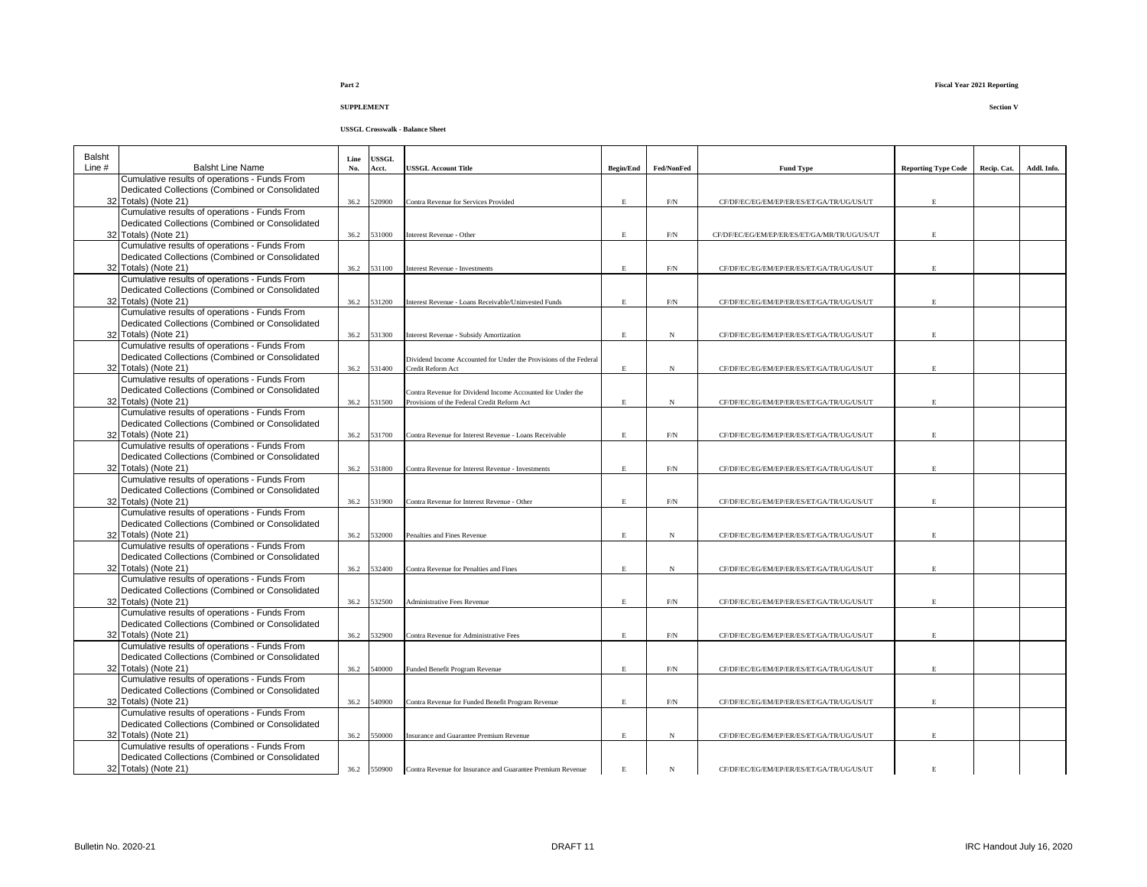| <b>Balsht</b> |                                                                                                  | Line | USSGL       |                                                                                                           |                  |              |                                              |                            |             |             |
|---------------|--------------------------------------------------------------------------------------------------|------|-------------|-----------------------------------------------------------------------------------------------------------|------------------|--------------|----------------------------------------------|----------------------------|-------------|-------------|
| Line #        | <b>Balsht Line Name</b>                                                                          | No.  | Acct.       | <b>JSSGL Account Title</b>                                                                                | <b>Begin/End</b> | Fed/NonFed   | <b>Fund Type</b>                             | <b>Reporting Type Code</b> | Recip. Cat. | Addl. Info. |
|               | Cumulative results of operations - Funds From<br>Dedicated Collections (Combined or Consolidated |      |             |                                                                                                           |                  |              |                                              |                            |             |             |
|               | 32 Totals) (Note 21)                                                                             | 36.2 | 520900      | Contra Revenue for Services Provided                                                                      | E.               | $\rm{F/N}$   | CF/DF/EC/EG/EM/EP/ER/ES/ET/GA/TR/UG/US/UT    | F.                         |             |             |
|               | Cumulative results of operations - Funds From                                                    |      |             |                                                                                                           |                  |              |                                              |                            |             |             |
|               | Dedicated Collections (Combined or Consolidated                                                  |      |             |                                                                                                           |                  |              |                                              |                            |             |             |
|               | 32 Totals) (Note 21)                                                                             | 36.2 | 531000      | Interest Revenue - Other                                                                                  | E                | F/N          | CF/DF/EC/EG/EM/EP/ER/ES/ET/GA/MR/TR/UG/US/UT |                            |             |             |
|               | Cumulative results of operations - Funds From<br>Dedicated Collections (Combined or Consolidated |      |             |                                                                                                           |                  |              |                                              |                            |             |             |
|               | 32 Totals) (Note 21)                                                                             | 36.2 | 531100      | <b>Interest Revenue - Investments</b>                                                                     | E.               | $\rm{F/N}$   | CF/DF/EC/EG/EM/EP/ER/ES/ET/GA/TR/UG/US/UT    | E.                         |             |             |
|               | Cumulative results of operations - Funds From                                                    |      |             |                                                                                                           |                  |              |                                              |                            |             |             |
|               | Dedicated Collections (Combined or Consolidated                                                  |      |             |                                                                                                           |                  |              |                                              |                            |             |             |
|               | 32 Totals) (Note 21)                                                                             | 36.2 | 531200      | Interest Revenue - Loans Receivable/Uninvested Funds                                                      | E                | $\mbox{F/N}$ | CF/DF/EC/EG/EM/EP/ER/ES/ET/GA/TR/UG/US/UT    | E                          |             |             |
|               | Cumulative results of operations - Funds From<br>Dedicated Collections (Combined or Consolidated |      |             |                                                                                                           |                  |              |                                              |                            |             |             |
|               | 32 Totals) (Note 21)                                                                             | 36.2 | 531300      | <b>Interest Revenue - Subsidy Amortization</b>                                                            | E                | N            | CF/DF/EC/EG/EM/EP/ER/ES/ET/GA/TR/UG/US/UT    | E                          |             |             |
|               | Cumulative results of operations - Funds From                                                    |      |             |                                                                                                           |                  |              |                                              |                            |             |             |
|               | Dedicated Collections (Combined or Consolidated                                                  |      |             | Dividend Income Accounted for Under the Provisions of the Federal                                         |                  |              |                                              |                            |             |             |
|               | 32 Totals) (Note 21)                                                                             | 36.2 | 531400      | Credit Reform Act                                                                                         | $\mathbf E$      | N            | CF/DF/EC/EG/EM/EP/ER/ES/ET/GA/TR/UG/US/UT    | E.                         |             |             |
|               | Cumulative results of operations - Funds From                                                    |      |             |                                                                                                           |                  |              |                                              |                            |             |             |
|               | Dedicated Collections (Combined or Consolidated<br>32 Totals) (Note 21)                          | 36.2 | 531500      | Contra Revenue for Dividend Income Accounted for Under the<br>Provisions of the Federal Credit Reform Act | $\mathbf E$      | $_{\rm N}$   | CF/DF/EC/EG/EM/EP/ER/ES/ET/GA/TR/UG/US/UT    | E.                         |             |             |
|               | Cumulative results of operations - Funds From                                                    |      |             |                                                                                                           |                  |              |                                              |                            |             |             |
|               | Dedicated Collections (Combined or Consolidated                                                  |      |             |                                                                                                           |                  |              |                                              |                            |             |             |
|               | 32 Totals) (Note 21)                                                                             | 36.2 | 531700      | Contra Revenue for Interest Revenue - Loans Receivable                                                    | E                | $\rm{F/N}$   | CF/DF/EC/EG/EM/EP/ER/ES/ET/GA/TR/UG/US/UT    | E.                         |             |             |
|               | Cumulative results of operations - Funds From                                                    |      |             |                                                                                                           |                  |              |                                              |                            |             |             |
|               | Dedicated Collections (Combined or Consolidated                                                  |      |             |                                                                                                           |                  |              |                                              |                            |             |             |
|               | 32 Totals) (Note 21)<br>Cumulative results of operations - Funds From                            | 36.2 | 531800      | Contra Revenue for Interest Revenue - Investments                                                         | E                | $\rm{F/N}$   | CF/DF/EC/EG/EM/EP/ER/ES/ET/GA/TR/UG/US/UT    | E.                         |             |             |
|               | Dedicated Collections (Combined or Consolidated                                                  |      |             |                                                                                                           |                  |              |                                              |                            |             |             |
|               | 32 Totals) (Note 21)                                                                             | 36.2 | 531900      | Contra Revenue for Interest Revenue - Other                                                               | $\mathbf E$      | $\mbox{F/N}$ | CF/DF/EC/EG/EM/EP/ER/ES/ET/GA/TR/UG/US/UT    | E                          |             |             |
|               | Cumulative results of operations - Funds From                                                    |      |             |                                                                                                           |                  |              |                                              |                            |             |             |
|               | Dedicated Collections (Combined or Consolidated                                                  |      |             |                                                                                                           |                  |              |                                              |                            |             |             |
|               | 32 Totals) (Note 21)<br>Cumulative results of operations - Funds From                            | 36.2 | 532000      | Penalties and Fines Revenue                                                                               | E                | N            | CF/DF/EC/EG/EM/EP/ER/ES/ET/GA/TR/UG/US/UT    | E                          |             |             |
|               | Dedicated Collections (Combined or Consolidated                                                  |      |             |                                                                                                           |                  |              |                                              |                            |             |             |
|               | 32 Totals) (Note 21)                                                                             | 36.2 | 532400      | Contra Revenue for Penalties and Fines                                                                    | $\mathbf E$      | $_{\rm N}$   | CF/DF/EC/EG/EM/EP/ER/ES/ET/GA/TR/UG/US/UT    | E.                         |             |             |
|               | Cumulative results of operations - Funds From                                                    |      |             |                                                                                                           |                  |              |                                              |                            |             |             |
|               | Dedicated Collections (Combined or Consolidated                                                  |      |             |                                                                                                           |                  |              |                                              |                            |             |             |
|               | 32 Totals) (Note 21)<br>Cumulative results of operations - Funds From                            | 36.2 | 532500      | Administrative Fees Revenue                                                                               | E.               | $\rm{F/N}$   | CF/DF/EC/EG/EM/EP/ER/ES/ET/GA/TR/UG/US/UT    |                            |             |             |
|               | Dedicated Collections (Combined or Consolidated                                                  |      |             |                                                                                                           |                  |              |                                              |                            |             |             |
|               | 32 Totals) (Note 21)                                                                             | 36.2 | 532900      | Contra Revenue for Administrative Fees                                                                    | $\mathbf{E}$     | $\mbox{F/N}$ | CF/DF/EC/EG/EM/EP/ER/ES/ET/GA/TR/UG/US/UT    |                            |             |             |
|               | Cumulative results of operations - Funds From                                                    |      |             |                                                                                                           |                  |              |                                              |                            |             |             |
|               | Dedicated Collections (Combined or Consolidated                                                  |      |             |                                                                                                           |                  |              |                                              |                            |             |             |
|               | 32 Totals) (Note 21)                                                                             | 36.2 | 540000      | Junded Benefit Program Revenue                                                                            | $\mathbf E$      | $\rm{F/N}$   | CF/DF/EC/EG/EM/EP/ER/ES/ET/GA/TR/UG/US/UT    |                            |             |             |
|               | Cumulative results of operations - Funds From<br>Dedicated Collections (Combined or Consolidated |      |             |                                                                                                           |                  |              |                                              |                            |             |             |
|               | 32 Totals) (Note 21)                                                                             | 36.2 | 540900      | Contra Revenue for Funded Benefit Program Revenue                                                         | Е                | F/N          | CF/DF/EC/EG/EM/EP/ER/ES/ET/GA/TR/UG/US/UT    | E.                         |             |             |
|               | Cumulative results of operations - Funds From                                                    |      |             |                                                                                                           |                  |              |                                              |                            |             |             |
|               | Dedicated Collections (Combined or Consolidated                                                  |      |             |                                                                                                           |                  |              |                                              |                            |             |             |
|               | 32 Totals) (Note 21)                                                                             | 36.2 | 550000      | nsurance and Guarantee Premium Revenue                                                                    | $\mathbf E$      | $_{\rm N}$   | CF/DF/EC/EG/EM/EP/ER/ES/ET/GA/TR/UG/US/UT    | E.                         |             |             |
|               | Cumulative results of operations - Funds From<br>Dedicated Collections (Combined or Consolidated |      |             |                                                                                                           |                  |              |                                              |                            |             |             |
|               | 32 Totals) (Note 21)                                                                             |      | 36.2 550900 | Contra Revenue for Insurance and Guarantee Premium Revenue                                                | E                | $_{\rm N}$   | CF/DF/EC/EG/EM/EP/ER/ES/ET/GA/TR/UG/US/UT    | E                          |             |             |
|               |                                                                                                  |      |             |                                                                                                           |                  |              |                                              |                            |             |             |

### **Part 2 Fiscal Year 2021 Reporting**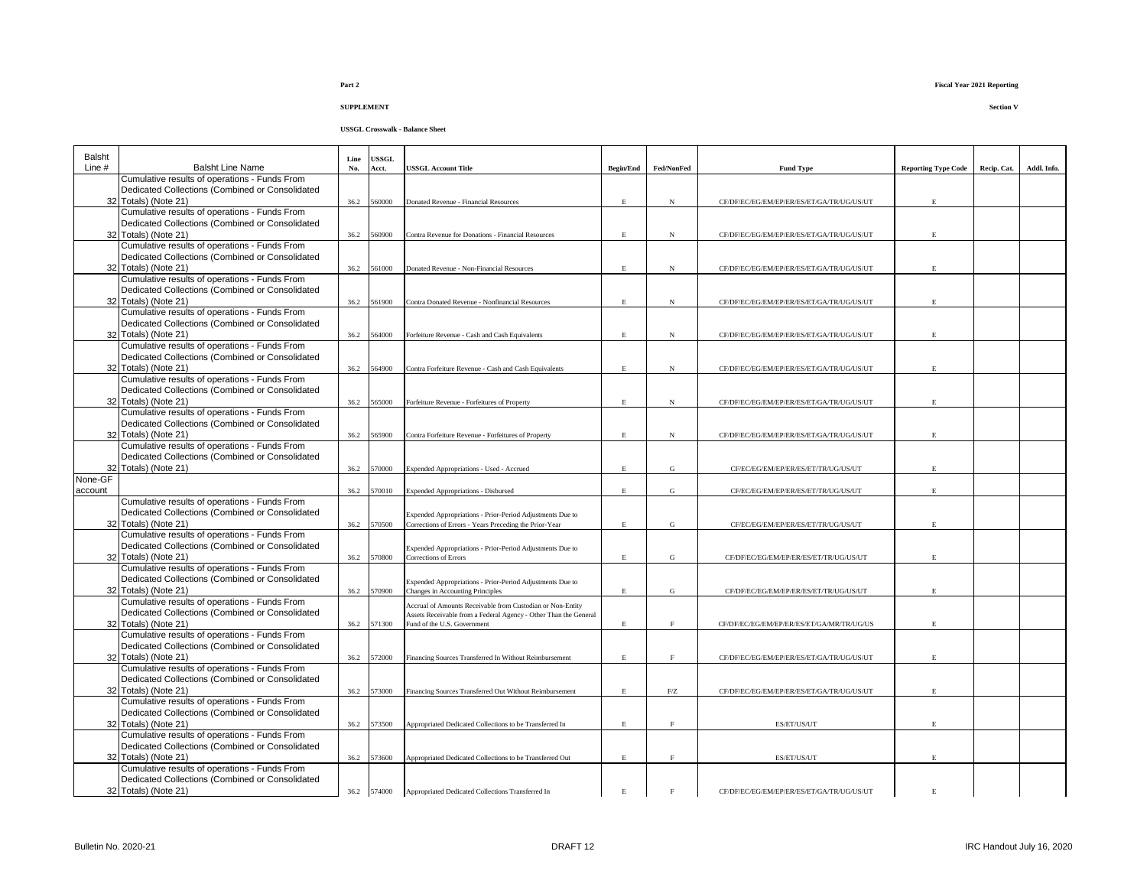**USSGL Crosswalk - Balance Sheet**

| Balsht<br>Line $#$ | <b>Balsht Line Name</b>                                                                          | Line<br>No. | <b>ISSGL</b><br>Acct. | USSGL Account Title                                                                             | <b>Begin/End</b> | Fed/NonFed        | <b>Fund Type</b>                          | <b>Reporting Type Code</b> | Recip. Cat. | Addl. Info. |
|--------------------|--------------------------------------------------------------------------------------------------|-------------|-----------------------|-------------------------------------------------------------------------------------------------|------------------|-------------------|-------------------------------------------|----------------------------|-------------|-------------|
|                    | Cumulative results of operations - Funds From                                                    |             |                       |                                                                                                 |                  |                   |                                           |                            |             |             |
|                    | Dedicated Collections (Combined or Consolidated                                                  |             |                       |                                                                                                 |                  |                   |                                           |                            |             |             |
|                    | 32 Totals) (Note 21)<br>Cumulative results of operations - Funds From                            | 36.2        | 560000                | Donated Revenue - Financial Resources                                                           | $\mathbf E$      | N                 | CF/DF/EC/EG/EM/EP/ER/ES/ET/GA/TR/UG/US/UT | $\mathbf{E}% _{0}$         |             |             |
|                    | Dedicated Collections (Combined or Consolidated                                                  |             |                       |                                                                                                 |                  |                   |                                           |                            |             |             |
|                    | 32 Totals) (Note 21)                                                                             | 36.2        | 560900                | Contra Revenue for Donations - Financial Resources                                              | E.               | N                 | CF/DF/EC/EG/EM/EP/ER/ES/ET/GA/TR/UG/US/UT | E                          |             |             |
|                    | Cumulative results of operations - Funds From                                                    |             |                       |                                                                                                 |                  |                   |                                           |                            |             |             |
|                    | Dedicated Collections (Combined or Consolidated                                                  |             |                       |                                                                                                 |                  |                   |                                           |                            |             |             |
|                    | 32 Totals) (Note 21)<br>Cumulative results of operations - Funds From                            | 36.2        | 561000                | Donated Revenue - Non-Financial Resources                                                       | E.               | N                 | CF/DF/EC/EG/EM/EP/ER/ES/ET/GA/TR/UG/US/UT | E                          |             |             |
|                    | Dedicated Collections (Combined or Consolidated                                                  |             |                       |                                                                                                 |                  |                   |                                           |                            |             |             |
|                    | 32 Totals) (Note 21)                                                                             | 36.2        | 561900                | Contra Donated Revenue - Nonfinancial Resources                                                 | E.               | N                 | CF/DF/EC/EG/EM/EP/ER/ES/ET/GA/TR/UG/US/UT |                            |             |             |
|                    | Cumulative results of operations - Funds From                                                    |             |                       |                                                                                                 |                  |                   |                                           |                            |             |             |
|                    | Dedicated Collections (Combined or Consolidated                                                  |             |                       |                                                                                                 |                  |                   |                                           |                            |             |             |
|                    | 32 Totals) (Note 21)<br>Cumulative results of operations - Funds From                            | 36.2        | 564000                | Forfeiture Revenue - Cash and Cash Equivalents                                                  | E                | $_{\rm N}$        | CF/DF/EC/EG/EM/EP/ER/ES/ET/GA/TR/UG/US/UT |                            |             |             |
|                    | Dedicated Collections (Combined or Consolidated                                                  |             |                       |                                                                                                 |                  |                   |                                           |                            |             |             |
|                    | 32 Totals) (Note 21)                                                                             | 36.2        | 564900                | Contra Forfeiture Revenue - Cash and Cash Equivalents                                           | $\mathbf E$      | $_{\rm N}$        | CF/DF/EC/EG/EM/EP/ER/ES/ET/GA/TR/UG/US/UT |                            |             |             |
|                    | Cumulative results of operations - Funds From                                                    |             |                       |                                                                                                 |                  |                   |                                           |                            |             |             |
|                    | Dedicated Collections (Combined or Consolidated                                                  |             |                       |                                                                                                 |                  |                   |                                           |                            |             |             |
|                    | 32 Totals) (Note 21)                                                                             | 36.2        | 565000                | Forfeiture Revenue - Forfeitures of Property                                                    | $\mathbf E$      | N                 | CF/DF/EC/EG/EM/EP/ER/ES/ET/GA/TR/UG/US/UT |                            |             |             |
|                    | Cumulative results of operations - Funds From<br>Dedicated Collections (Combined or Consolidated |             |                       |                                                                                                 |                  |                   |                                           |                            |             |             |
|                    | 32 Totals) (Note 21)                                                                             | 36.2        | 565900                | Contra Forfeiture Revenue - Forfeitures of Property                                             | E                | $_{\rm N}$        | CF/DF/EC/EG/EM/EP/ER/ES/ET/GA/TR/UG/US/UT |                            |             |             |
|                    | Cumulative results of operations - Funds From                                                    |             |                       |                                                                                                 |                  |                   |                                           |                            |             |             |
|                    | Dedicated Collections (Combined or Consolidated                                                  |             |                       |                                                                                                 |                  |                   |                                           |                            |             |             |
|                    | 32 Totals) (Note 21)                                                                             | 36.2        | 570000                | Expended Appropriations - Used - Accrued                                                        | E.               | G                 | CF/EC/EG/EM/EP/ER/ES/ET/TR/UG/US/UT       |                            |             |             |
| None-GF<br>account |                                                                                                  | 36.2        | 70010                 | <b>Expended Appropriations - Disbursed</b>                                                      | E                | G                 | CF/EC/EG/EM/EP/ER/ES/ET/TR/UG/US/UT       | $\mathbf{E}$               |             |             |
|                    | Cumulative results of operations - Funds From                                                    |             |                       |                                                                                                 |                  |                   |                                           |                            |             |             |
|                    | Dedicated Collections (Combined or Consolidated                                                  |             |                       | Expended Appropriations - Prior-Period Adjustments Due to                                       |                  |                   |                                           |                            |             |             |
|                    | 32 Totals) (Note 21)                                                                             | 36.2        | 570500                | Corrections of Errors - Years Preceding the Prior-Year                                          | E                | G                 | CF/EC/EG/EM/EP/ER/ES/ET/TR/UG/US/UT       |                            |             |             |
|                    | Cumulative results of operations - Funds From                                                    |             |                       |                                                                                                 |                  |                   |                                           |                            |             |             |
|                    | Dedicated Collections (Combined or Consolidated<br>32 Totals) (Note 21)                          | 36.2        | 570800                | Expended Appropriations - Prior-Period Adjustments Due to<br>Corrections of Errors              | E.               | G                 | CF/DF/EC/EG/EM/EP/ER/ES/ET/TR/UG/US/UT    |                            |             |             |
|                    | Cumulative results of operations - Funds From                                                    |             |                       |                                                                                                 |                  |                   |                                           |                            |             |             |
|                    | Dedicated Collections (Combined or Consolidated                                                  |             |                       | Expended Appropriations - Prior-Period Adjustments Due to                                       |                  |                   |                                           |                            |             |             |
|                    | 32 Totals) (Note 21)                                                                             | 36.2        | 570900                | Changes in Accounting Principles                                                                | E                | G                 | CF/DF/EC/EG/EM/EP/ER/ES/ET/TR/UG/US/UT    |                            |             |             |
|                    | Cumulative results of operations - Funds From                                                    |             |                       | Accrual of Amounts Receivable from Custodian or Non-Entity                                      |                  |                   |                                           |                            |             |             |
|                    | Dedicated Collections (Combined or Consolidated<br>32 Totals) (Note 21)                          | 36.2        | 571300                | Assets Receivable from a Federal Agency - Other Than the General<br>Fund of the U.S. Government | E                | $\mathbf{F}$      | CF/DF/EC/EG/EM/EP/ER/ES/ET/GA/MR/TR/UG/US |                            |             |             |
|                    | Cumulative results of operations - Funds From                                                    |             |                       |                                                                                                 |                  |                   |                                           |                            |             |             |
|                    | Dedicated Collections (Combined or Consolidated                                                  |             |                       |                                                                                                 |                  |                   |                                           |                            |             |             |
|                    | 32 Totals) (Note 21)                                                                             | 36.2        | 572000                | Financing Sources Transferred In Without Reimbursement                                          | E                | $\rm F$           | CF/DF/EC/EG/EM/EP/ER/ES/ET/GA/TR/UG/US/UT |                            |             |             |
|                    | Cumulative results of operations - Funds From                                                    |             |                       |                                                                                                 |                  |                   |                                           |                            |             |             |
|                    | Dedicated Collections (Combined or Consolidated<br>32 Totals) (Note 21)                          | 36.2        | 573000                | Financing Sources Transferred Out Without Reimbursement                                         | $\mathbf{E}$     | ${\rm F}/{\rm Z}$ | CF/DF/EC/EG/EM/EP/ER/ES/ET/GA/TR/UG/US/UT |                            |             |             |
|                    | Cumulative results of operations - Funds From                                                    |             |                       |                                                                                                 |                  |                   |                                           |                            |             |             |
|                    | Dedicated Collections (Combined or Consolidated                                                  |             |                       |                                                                                                 |                  |                   |                                           |                            |             |             |
|                    | 32 Totals) (Note 21)                                                                             | 36.2        | 573500                | Appropriated Dedicated Collections to be Transferred In                                         | E                | $\mathbf{F}$      | ES/ET/US/UT                               |                            |             |             |
|                    | Cumulative results of operations - Funds From                                                    |             |                       |                                                                                                 |                  |                   |                                           |                            |             |             |
|                    | Dedicated Collections (Combined or Consolidated<br>32 Totals) (Note 21)                          | 36.2        | 573600                | Appropriated Dedicated Collections to be Transferred Out                                        | E                | $\mathbf F$       | ES/ET/US/UT                               |                            |             |             |
|                    | Cumulative results of operations - Funds From                                                    |             |                       |                                                                                                 |                  |                   |                                           |                            |             |             |
|                    | Dedicated Collections (Combined or Consolidated                                                  |             |                       |                                                                                                 |                  |                   |                                           |                            |             |             |
|                    | 32 Totals) (Note 21)                                                                             |             | 36.2 574000           | Appropriated Dedicated Collections Transferred In                                               | E                |                   | CF/DF/EC/EG/EM/EP/ER/ES/ET/GA/TR/UG/US/UT | E.                         |             |             |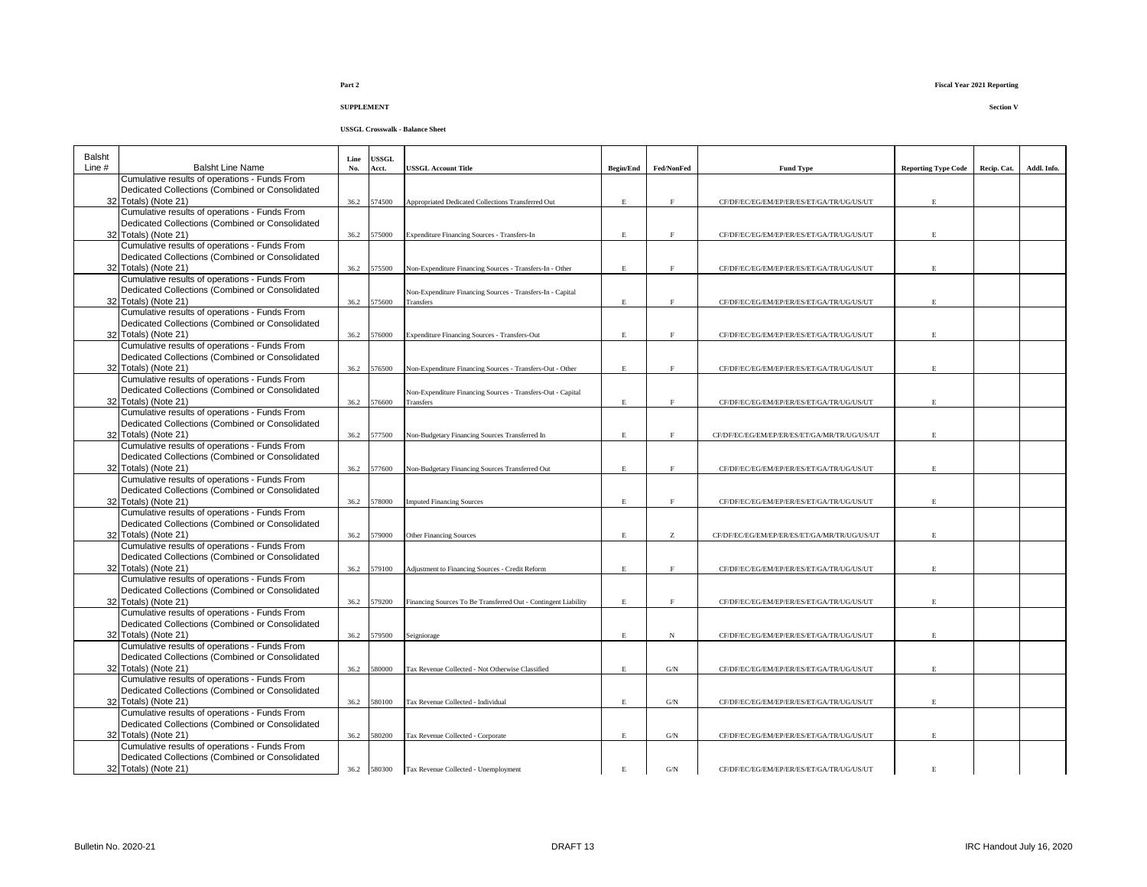| Balsht   |                                                                                                  | Line | <b>USSGL</b> |                                                                |                  |                |                                              |                            |             |             |
|----------|--------------------------------------------------------------------------------------------------|------|--------------|----------------------------------------------------------------|------------------|----------------|----------------------------------------------|----------------------------|-------------|-------------|
| Line $#$ | <b>Balsht Line Name</b>                                                                          | No.  | Acct.        | <b>USSGL Account Title</b>                                     | <b>Begin/End</b> | Fed/NonFed     | <b>Fund Type</b>                             | <b>Reporting Type Code</b> | Recip. Cat. | Addl. Info. |
|          | Cumulative results of operations - Funds From                                                    |      |              |                                                                |                  |                |                                              |                            |             |             |
|          | Dedicated Collections (Combined or Consolidated                                                  |      |              |                                                                |                  |                |                                              | $\mathbf{E}% _{0}$         |             |             |
|          | 32 Totals) (Note 21)<br>Cumulative results of operations - Funds From                            | 36.2 | 574500       | Appropriated Dedicated Collections Transferred Out             | $\mathbf E$      | $\rm F$        | CF/DF/EC/EG/EM/EP/ER/ES/ET/GA/TR/UG/US/UT    |                            |             |             |
|          |                                                                                                  |      |              |                                                                |                  |                |                                              |                            |             |             |
|          | Dedicated Collections (Combined or Consolidated                                                  |      |              |                                                                |                  |                |                                              |                            |             |             |
|          | 32 Totals) (Note 21)                                                                             |      | 36.2 575000  | Expenditure Financing Sources - Transfers-In                   | $\mathbf E$      | $\mathbf{F}$   | CF/DF/EC/EG/EM/EP/ER/ES/ET/GA/TR/UG/US/UT    |                            |             |             |
|          | Cumulative results of operations - Funds From                                                    |      |              |                                                                |                  |                |                                              |                            |             |             |
|          | Dedicated Collections (Combined or Consolidated                                                  |      |              |                                                                |                  |                |                                              |                            |             |             |
|          | 32 Totals) (Note 21)                                                                             |      | 36.2 575500  | Non-Expenditure Financing Sources - Transfers-In - Other       | E                | E              | CF/DF/EC/EG/EM/EP/ER/ES/ET/GA/TR/UG/US/UT    |                            |             |             |
|          | Cumulative results of operations - Funds From                                                    |      |              |                                                                |                  |                |                                              |                            |             |             |
|          | Dedicated Collections (Combined or Consolidated                                                  |      |              | Non-Expenditure Financing Sources - Transfers-In - Capital     |                  |                |                                              |                            |             |             |
|          | 32 Totals) (Note 21)                                                                             |      | 36.2 575600  | Transfers                                                      | E                | $\mathbf{F}$   | CF/DF/EC/EG/EM/EP/ER/ES/ET/GA/TR/UG/US/UT    |                            |             |             |
|          | Cumulative results of operations - Funds From                                                    |      |              |                                                                |                  |                |                                              |                            |             |             |
|          | Dedicated Collections (Combined or Consolidated                                                  |      |              |                                                                |                  |                |                                              |                            |             |             |
|          | 32 Totals) (Note 21)                                                                             | 36.2 | 576000       | Expenditure Financing Sources - Transfers-Out                  | E                | F              | CF/DF/EC/EG/EM/EP/ER/ES/ET/GA/TR/UG/US/UT    |                            |             |             |
|          | Cumulative results of operations - Funds From                                                    |      |              |                                                                |                  |                |                                              |                            |             |             |
|          | Dedicated Collections (Combined or Consolidated                                                  |      |              |                                                                |                  |                |                                              |                            |             |             |
|          | 32 Totals) (Note 21)                                                                             | 36.2 | 576500       | Non-Expenditure Financing Sources - Transfers-Out - Other      | $\mathbf E$      | $\mathbf{F}$   | CF/DF/EC/EG/EM/EP/ER/ES/ET/GA/TR/UG/US/UT    |                            |             |             |
|          | Cumulative results of operations - Funds From                                                    |      |              |                                                                |                  |                |                                              |                            |             |             |
|          | Dedicated Collections (Combined or Consolidated                                                  |      |              | Non-Expenditure Financing Sources - Transfers-Out - Capital    |                  |                |                                              |                            |             |             |
|          | 32 Totals) (Note 21)                                                                             |      | 36.2 576600  | Transfers                                                      | $\mathbf E$      | F              | CF/DF/EC/EG/EM/EP/ER/ES/ET/GA/TR/UG/US/UT    |                            |             |             |
|          | Cumulative results of operations - Funds From                                                    |      |              |                                                                |                  |                |                                              |                            |             |             |
|          | Dedicated Collections (Combined or Consolidated                                                  |      |              |                                                                |                  |                |                                              |                            |             |             |
|          | 32 Totals) (Note 21)                                                                             |      | 36.2 577500  | Non-Budgetary Financing Sources Transferred In                 | E                | F              | CF/DF/EC/EG/EM/EP/ER/ES/ET/GA/MR/TR/UG/US/UT |                            |             |             |
|          | Cumulative results of operations - Funds From                                                    |      |              |                                                                |                  |                |                                              |                            |             |             |
|          | Dedicated Collections (Combined or Consolidated                                                  |      |              |                                                                |                  |                |                                              |                            |             |             |
|          | 32 Totals) (Note 21)                                                                             |      | 36.2 577600  | Non-Budgetary Financing Sources Transferred Out                | E                | F              | CF/DF/EC/EG/EM/EP/ER/ES/ET/GA/TR/UG/US/UT    |                            |             |             |
|          | Cumulative results of operations - Funds From                                                    |      |              |                                                                |                  |                |                                              |                            |             |             |
|          | Dedicated Collections (Combined or Consolidated                                                  |      |              |                                                                |                  |                |                                              |                            |             |             |
|          | 32 Totals) (Note 21)                                                                             | 36.2 | 578000       | <b>Imputed Financing Sources</b>                               | E                | F              | CF/DF/EC/EG/EM/EP/ER/ES/ET/GA/TR/UG/US/UT    |                            |             |             |
|          | Cumulative results of operations - Funds From                                                    |      |              |                                                                |                  |                |                                              |                            |             |             |
|          | Dedicated Collections (Combined or Consolidated                                                  |      |              |                                                                |                  |                |                                              |                            |             |             |
|          | 32 Totals) (Note 21)                                                                             |      | 36.2 579000  | <b>Other Financing Sources</b>                                 | E                | $\rm{Z}$       | CF/DF/EC/EG/EM/EP/ER/ES/ET/GA/MR/TR/UG/US/UT |                            |             |             |
|          | Cumulative results of operations - Funds From                                                    |      |              |                                                                |                  |                |                                              |                            |             |             |
|          | Dedicated Collections (Combined or Consolidated                                                  |      |              |                                                                |                  |                |                                              |                            |             |             |
|          | 32 Totals) (Note 21)                                                                             |      | 36.2 579100  | Adjustment to Financing Sources - Credit Reform                | E                | $\mathbf{F}$   | CF/DF/EC/EG/EM/EP/ER/ES/ET/GA/TR/UG/US/UT    |                            |             |             |
|          | Cumulative results of operations - Funds From                                                    |      |              |                                                                |                  |                |                                              |                            |             |             |
|          | Dedicated Collections (Combined or Consolidated                                                  |      |              |                                                                |                  |                |                                              |                            |             |             |
|          | 32 Totals) (Note 21)                                                                             |      | 36.2 579200  | Financing Sources To Be Transferred Out - Contingent Liability | E                | $\mathbf{F}$   | CF/DF/EC/EG/EM/EP/ER/ES/ET/GA/TR/UG/US/UT    |                            |             |             |
|          | Cumulative results of operations - Funds From                                                    |      |              |                                                                |                  |                |                                              |                            |             |             |
|          | Dedicated Collections (Combined or Consolidated                                                  |      |              |                                                                |                  |                |                                              |                            |             |             |
|          | 32 Totals) (Note 21)                                                                             |      | 36.2 579500  | Seigniorage                                                    | $\mathbf{E}$     | $_{\rm N}$     | CF/DF/EC/EG/EM/EP/ER/ES/ET/GA/TR/UG/US/UT    |                            |             |             |
|          | Cumulative results of operations - Funds From<br>Dedicated Collections (Combined or Consolidated |      |              |                                                                |                  |                |                                              |                            |             |             |
|          |                                                                                                  |      |              |                                                                |                  |                |                                              |                            |             |             |
|          | 32 Totals) (Note 21)<br>Cumulative results of operations - Funds From                            | 36.2 | 580000       | Tax Revenue Collected - Not Otherwise Classified               | E                | G/N            | CF/DF/EC/EG/EM/EP/ER/ES/ET/GA/TR/UG/US/UT    |                            |             |             |
|          | Dedicated Collections (Combined or Consolidated                                                  |      |              |                                                                |                  |                |                                              |                            |             |             |
|          | 32 Totals) (Note 21)                                                                             |      |              |                                                                |                  |                |                                              |                            |             |             |
|          | Cumulative results of operations - Funds From                                                    | 36.2 | 580100       | Tax Revenue Collected - Individual                             | $\mathbf E$      | $\mathrm{G/N}$ | CF/DF/EC/EG/EM/EP/ER/ES/ET/GA/TR/UG/US/UT    |                            |             |             |
|          | Dedicated Collections (Combined or Consolidated                                                  |      |              |                                                                |                  |                |                                              |                            |             |             |
|          | 32 Totals) (Note 21)                                                                             |      |              |                                                                |                  |                |                                              |                            |             |             |
|          | Cumulative results of operations - Funds From                                                    | 36.2 | 580200       | Tax Revenue Collected - Corporate                              | E                | G/N            | CF/DF/EC/EG/EM/EP/ER/ES/ET/GA/TR/UG/US/UT    |                            |             |             |
|          | Dedicated Collections (Combined or Consolidated                                                  |      |              |                                                                |                  |                |                                              |                            |             |             |
|          | 32 Totals) (Note 21)                                                                             |      | 36.2 580300  |                                                                | E.               | $\mathrm{G/N}$ | CF/DF/EC/EG/EM/EP/ER/ES/ET/GA/TR/UG/US/UT    |                            |             |             |
|          |                                                                                                  |      |              | Tax Revenue Collected - Unemployment                           |                  |                |                                              |                            |             |             |
|          |                                                                                                  |      |              |                                                                |                  |                |                                              |                            |             |             |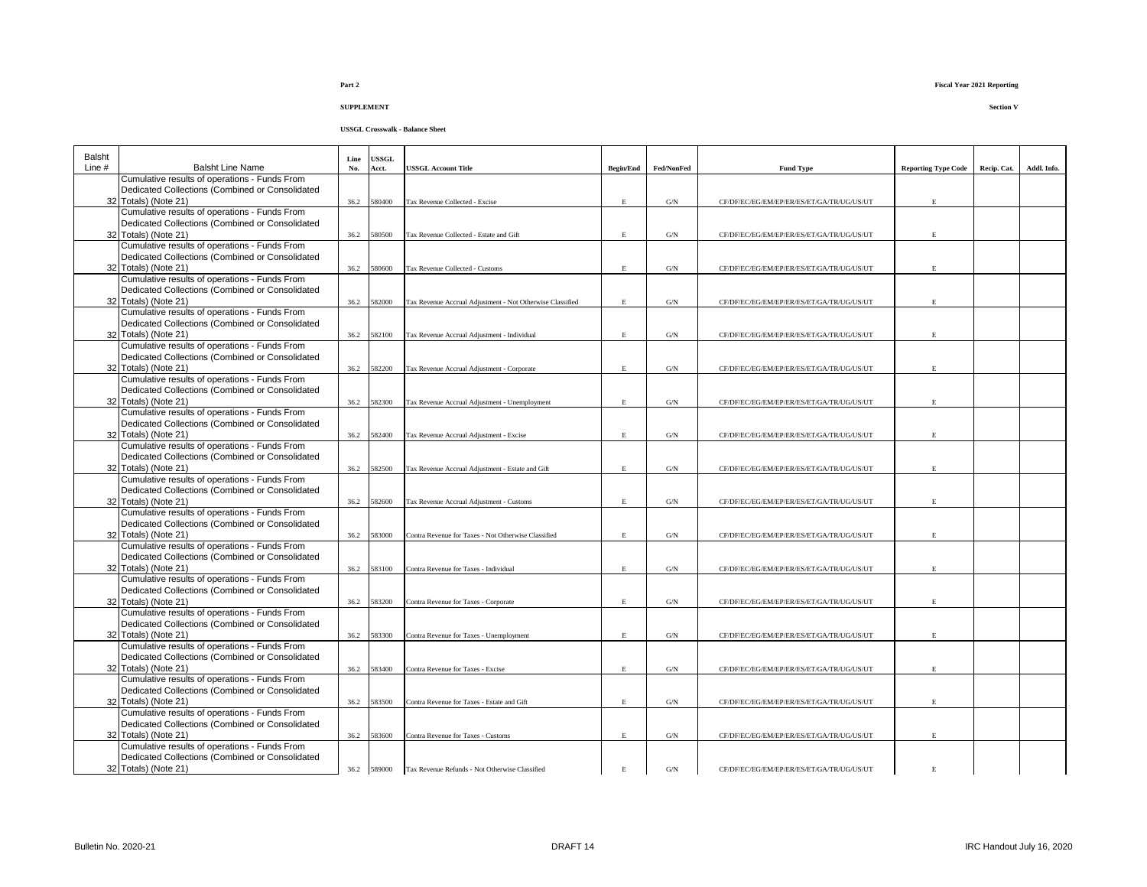| <b>Balsht</b> |                                                                                                  | Line | USSGL       |                                                           |                  |                |                                           |                            |             |             |
|---------------|--------------------------------------------------------------------------------------------------|------|-------------|-----------------------------------------------------------|------------------|----------------|-------------------------------------------|----------------------------|-------------|-------------|
| Line #        | <b>Balsht Line Name</b>                                                                          | No.  | Acct.       | <b>USSGL Account Title</b>                                | <b>Begin/End</b> | Fed/NonFed     | <b>Fund Type</b>                          | <b>Reporting Type Code</b> | Recip. Cat. | Addl. Info. |
|               | Cumulative results of operations - Funds From                                                    |      |             |                                                           |                  |                |                                           |                            |             |             |
|               | Dedicated Collections (Combined or Consolidated                                                  |      |             |                                                           |                  |                |                                           |                            |             |             |
|               | 32 Totals) (Note 21)                                                                             |      | 36.2 580400 | Tax Revenue Collected - Excise                            | $\mathbf E$      | $\mathrm{G/N}$ | CF/DF/EC/EG/EM/EP/ER/ES/ET/GA/TR/UG/US/UT | E                          |             |             |
|               | Cumulative results of operations - Funds From                                                    |      |             |                                                           |                  |                |                                           |                            |             |             |
|               | Dedicated Collections (Combined or Consolidated                                                  |      |             |                                                           |                  |                |                                           |                            |             |             |
|               | 32 Totals) (Note 21)                                                                             |      | 36.2 580500 | Tax Revenue Collected - Estate and Gift                   | $\mathbf E$      | G/N            | CF/DF/EC/EG/EM/EP/ER/ES/ET/GA/TR/UG/US/UT | E.                         |             |             |
|               | Cumulative results of operations - Funds From                                                    |      |             |                                                           |                  |                |                                           |                            |             |             |
|               | Dedicated Collections (Combined or Consolidated                                                  |      |             |                                                           |                  |                |                                           |                            |             |             |
|               | 32 Totals) (Note 21)                                                                             | 36.2 | 580600      | Tax Revenue Collected - Customs                           | $\mathbf E$      | $\mathrm{G/N}$ | CF/DF/EC/EG/EM/EP/ER/ES/ET/GA/TR/UG/US/UT | E                          |             |             |
|               | Cumulative results of operations - Funds From<br>Dedicated Collections (Combined or Consolidated |      |             |                                                           |                  |                |                                           |                            |             |             |
|               | 32 Totals) (Note 21)                                                                             | 36.2 | 582000      | Tax Revenue Accrual Adjustment - Not Otherwise Classified | $\mathbf E$      | $\mathrm{G/N}$ | CF/DF/EC/EG/EM/EP/ER/ES/ET/GA/TR/UG/US/UT | $\mathbf E$                |             |             |
|               | Cumulative results of operations - Funds From                                                    |      |             |                                                           |                  |                |                                           |                            |             |             |
|               | Dedicated Collections (Combined or Consolidated                                                  |      |             |                                                           |                  |                |                                           |                            |             |             |
|               | 32 Totals) (Note 21)                                                                             | 36.2 | 582100      | Tax Revenue Accrual Adjustment - Individual               | $\mathbf E$      | $\mathrm{G/N}$ | CF/DF/EC/EG/EM/EP/ER/ES/ET/GA/TR/UG/US/UT | $\mathbf E$                |             |             |
|               | Cumulative results of operations - Funds From                                                    |      |             |                                                           |                  |                |                                           |                            |             |             |
|               | Dedicated Collections (Combined or Consolidated                                                  |      |             |                                                           |                  |                |                                           |                            |             |             |
|               | 32 Totals) (Note 21)                                                                             | 36.2 | 582200      | Tax Revenue Accrual Adjustment - Corporate                | $\mathbf E$      | $\mathrm{G/N}$ | CF/DF/EC/EG/EM/EP/ER/ES/ET/GA/TR/UG/US/UT | $\mathbf E$                |             |             |
|               | Cumulative results of operations - Funds From                                                    |      |             |                                                           |                  |                |                                           |                            |             |             |
|               | Dedicated Collections (Combined or Consolidated                                                  |      |             |                                                           |                  |                |                                           |                            |             |             |
|               | 32 Totals) (Note 21)                                                                             | 36.2 | 582300      | Tax Revenue Accrual Adjustment - Unemployment             | $\mathbf E$      | G/N            | CF/DF/EC/EG/EM/EP/ER/ES/ET/GA/TR/UG/US/UT | E                          |             |             |
|               | Cumulative results of operations - Funds From                                                    |      |             |                                                           |                  |                |                                           |                            |             |             |
|               | Dedicated Collections (Combined or Consolidated                                                  |      |             |                                                           |                  |                |                                           |                            |             |             |
|               | 32 Totals) (Note 21)                                                                             | 36.2 | 582400      | Tax Revenue Accrual Adjustment - Excise                   | $\mathbf E$      | G/N            | CF/DF/EC/EG/EM/EP/ER/ES/ET/GA/TR/UG/US/UT | E                          |             |             |
|               | Cumulative results of operations - Funds From                                                    |      |             |                                                           |                  |                |                                           |                            |             |             |
|               | Dedicated Collections (Combined or Consolidated                                                  |      |             |                                                           |                  |                |                                           |                            |             |             |
|               | 32 Totals) (Note 21)                                                                             | 36.2 | 582500      | Tax Revenue Accrual Adjustment - Estate and Gift          | $\mathbf E$      | G/N            | CF/DF/EC/EG/EM/EP/ER/ES/ET/GA/TR/UG/US/UT | E                          |             |             |
|               | Cumulative results of operations - Funds From<br>Dedicated Collections (Combined or Consolidated |      |             |                                                           |                  |                |                                           |                            |             |             |
|               | 32 Totals) (Note 21)                                                                             | 36.2 | 582600      | Tax Revenue Accrual Adjustment - Customs                  | $\mathbf E$      | $\mathrm{G/N}$ | CF/DF/EC/EG/EM/EP/ER/ES/ET/GA/TR/UG/US/UT | $\mathbf E$                |             |             |
|               | Cumulative results of operations - Funds From                                                    |      |             |                                                           |                  |                |                                           |                            |             |             |
|               | Dedicated Collections (Combined or Consolidated                                                  |      |             |                                                           |                  |                |                                           |                            |             |             |
|               | 32 Totals) (Note 21)                                                                             | 36.2 | 583000      | Contra Revenue for Taxes - Not Otherwise Classified       | $\mathbf E$      | G/N            | CF/DF/EC/EG/EM/EP/ER/ES/ET/GA/TR/UG/US/UT | E                          |             |             |
|               | Cumulative results of operations - Funds From                                                    |      |             |                                                           |                  |                |                                           |                            |             |             |
|               | Dedicated Collections (Combined or Consolidated                                                  |      |             |                                                           |                  |                |                                           |                            |             |             |
|               | 32 Totals) (Note 21)                                                                             | 36.2 | 583100      | Contra Revenue for Taxes - Individual                     | $\mathbf E$      | $\mathrm{G/N}$ | CF/DF/EC/EG/EM/EP/ER/ES/ET/GA/TR/UG/US/UT | E                          |             |             |
|               | Cumulative results of operations - Funds From                                                    |      |             |                                                           |                  |                |                                           |                            |             |             |
|               | Dedicated Collections (Combined or Consolidated                                                  |      |             |                                                           |                  |                |                                           |                            |             |             |
|               | 32 Totals) (Note 21)                                                                             | 36.2 | 583200      | Contra Revenue for Taxes - Corporate                      | $\mathbf E$      | $\mathrm{G/N}$ | CF/DF/EC/EG/EM/EP/ER/ES/ET/GA/TR/UG/US/UT | E                          |             |             |
|               | Cumulative results of operations - Funds From                                                    |      |             |                                                           |                  |                |                                           |                            |             |             |
|               | Dedicated Collections (Combined or Consolidated                                                  |      |             |                                                           |                  |                |                                           |                            |             |             |
|               | 32 Totals) (Note 21)<br>Cumulative results of operations - Funds From                            |      | 36.2 583300 | Contra Revenue for Taxes - Unemployment                   | $\mathbf E$      | $\mathrm{G/N}$ | CF/DF/EC/EG/EM/EP/ER/ES/ET/GA/TR/UG/US/UT | E                          |             |             |
|               | Dedicated Collections (Combined or Consolidated                                                  |      |             |                                                           |                  |                |                                           |                            |             |             |
|               | 32 Totals) (Note 21)                                                                             |      | 36.2 583400 | Contra Revenue for Taxes - Excise                         | $\mathbf E$      | G/N            | CF/DF/EC/EG/EM/EP/ER/ES/ET/GA/TR/UG/US/UT | Е                          |             |             |
|               | Cumulative results of operations - Funds From                                                    |      |             |                                                           |                  |                |                                           |                            |             |             |
|               | Dedicated Collections (Combined or Consolidated                                                  |      |             |                                                           |                  |                |                                           |                            |             |             |
|               | 32 Totals) (Note 21)                                                                             |      | 36.2 583500 | Contra Revenue for Taxes - Estate and Gift                | $\mathbf E$      | G/N            | CF/DF/EC/EG/EM/EP/ER/ES/ET/GA/TR/UG/US/UT | E                          |             |             |
|               | Cumulative results of operations - Funds From                                                    |      |             |                                                           |                  |                |                                           |                            |             |             |
|               | Dedicated Collections (Combined or Consolidated                                                  |      |             |                                                           |                  |                |                                           |                            |             |             |
|               | 32 Totals) (Note 21)                                                                             |      | 36.2 583600 | Contra Revenue for Taxes - Customs                        | $\mathbf E$      | $\mathrm{G/N}$ | CF/DF/EC/EG/EM/EP/ER/ES/ET/GA/TR/UG/US/UT | E                          |             |             |
|               | Cumulative results of operations - Funds From                                                    |      |             |                                                           |                  |                |                                           |                            |             |             |
|               | Dedicated Collections (Combined or Consolidated                                                  |      |             |                                                           |                  |                |                                           |                            |             |             |
|               | 32 Totals) (Note 21)                                                                             |      | 36.2 589000 | Tax Revenue Refunds - Not Otherwise Classified            | $\mathbf E$      | $\mathrm{G/N}$ | CF/DF/EC/EG/EM/EP/ER/ES/ET/GA/TR/UG/US/UT | E                          |             |             |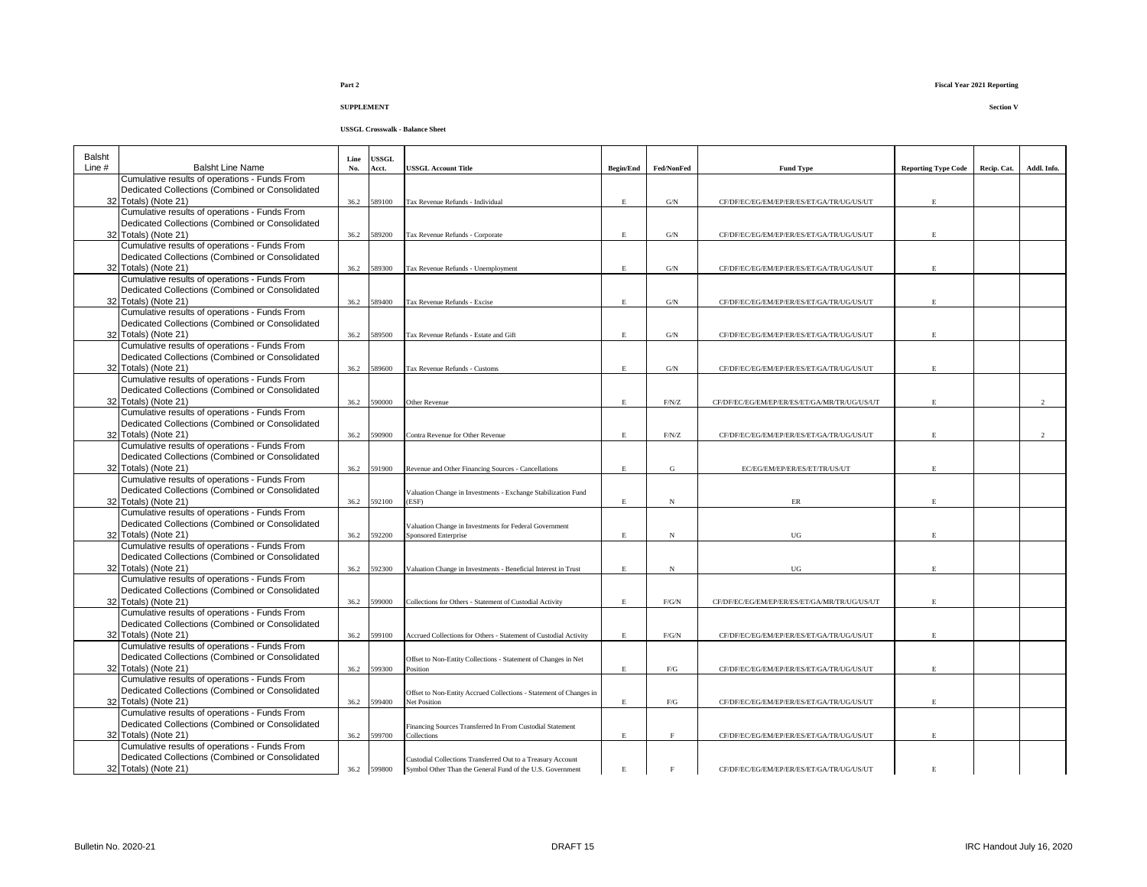| Balsht<br>Line $#$ | <b>Balsht Line Name</b>                                                                          | Line<br>No. | <b>USSGL</b><br>Acct. | USSGL Account Title                                                                | <b>Begin/End</b> | Fed/NonFed     | <b>Fund Type</b>                             | <b>Reporting Type Code</b> | Recip. Cat. | Addl. Info.   |
|--------------------|--------------------------------------------------------------------------------------------------|-------------|-----------------------|------------------------------------------------------------------------------------|------------------|----------------|----------------------------------------------|----------------------------|-------------|---------------|
|                    | Cumulative results of operations - Funds From                                                    |             |                       |                                                                                    |                  |                |                                              |                            |             |               |
|                    | Dedicated Collections (Combined or Consolidated                                                  |             |                       |                                                                                    |                  |                |                                              |                            |             |               |
|                    | 32 Totals) (Note 21)                                                                             | 36.2        | 589100                | Tax Revenue Refunds - Individual                                                   | $\mathbf E$      | $\mathrm{G/N}$ | CF/DF/EC/EG/EM/EP/ER/ES/ET/GA/TR/UG/US/UT    | E.                         |             |               |
|                    | Cumulative results of operations - Funds From                                                    |             |                       |                                                                                    |                  |                |                                              |                            |             |               |
|                    | Dedicated Collections (Combined or Consolidated                                                  |             |                       |                                                                                    |                  |                |                                              |                            |             |               |
|                    | 32 Totals) (Note 21)                                                                             | 36.2        | 589200                | Tax Revenue Refunds - Corporate                                                    | E.               | $\mathrm{G/N}$ | CF/DF/EC/EG/EM/EP/ER/ES/ET/GA/TR/UG/US/UT    |                            |             |               |
|                    | Cumulative results of operations - Funds From<br>Dedicated Collections (Combined or Consolidated |             |                       |                                                                                    |                  |                |                                              |                            |             |               |
|                    | 32 Totals) (Note 21)                                                                             | 36.2        | 589300                | Tax Revenue Refunds - Unemployment                                                 | $\mathbf{E}$     | $\mathrm{G/N}$ | CF/DF/EC/EG/EM/EP/ER/ES/ET/GA/TR/UG/US/UT    |                            |             |               |
|                    | Cumulative results of operations - Funds From                                                    |             |                       |                                                                                    |                  |                |                                              |                            |             |               |
|                    | Dedicated Collections (Combined or Consolidated                                                  |             |                       |                                                                                    |                  |                |                                              |                            |             |               |
|                    | 32 Totals) (Note 21)                                                                             | 36.2        | 589400                | Tax Revenue Refunds - Excise                                                       | E.               | G/N            | CF/DF/EC/EG/EM/EP/ER/ES/ET/GA/TR/UG/US/UT    | E                          |             |               |
|                    | Cumulative results of operations - Funds From                                                    |             |                       |                                                                                    |                  |                |                                              |                            |             |               |
|                    | Dedicated Collections (Combined or Consolidated                                                  |             |                       |                                                                                    |                  |                |                                              |                            |             |               |
|                    | 32 Totals) (Note 21)                                                                             | 36.2        | 589500                | Tax Revenue Refunds - Estate and Gift                                              | $\mathbf E$      | $\mathrm{G/N}$ | CF/DF/EC/EG/EM/EP/ER/ES/ET/GA/TR/UG/US/UT    | E.                         |             |               |
|                    | Cumulative results of operations - Funds From                                                    |             |                       |                                                                                    |                  |                |                                              |                            |             |               |
|                    | Dedicated Collections (Combined or Consolidated                                                  |             |                       |                                                                                    |                  |                |                                              |                            |             |               |
|                    | 32 Totals) (Note 21)                                                                             | 36.2        | 589600                | Tax Revenue Refunds - Customs                                                      | $\mathbf E$      | $\mathrm{G/N}$ | CF/DF/EC/EG/EM/EP/ER/ES/ET/GA/TR/UG/US/UT    |                            |             |               |
|                    | Cumulative results of operations - Funds From                                                    |             |                       |                                                                                    |                  |                |                                              |                            |             |               |
|                    | Dedicated Collections (Combined or Consolidated                                                  |             |                       |                                                                                    |                  |                |                                              |                            |             |               |
|                    | 32 Totals) (Note 21)                                                                             | 36.2        | 590000                | Other Revenue                                                                      | E                | F/N/Z          | CF/DF/EC/EG/EM/EP/ER/ES/ET/GA/MR/TR/UG/US/UT | E.                         |             | $\mathcal{D}$ |
|                    | Cumulative results of operations - Funds From                                                    |             |                       |                                                                                    |                  |                |                                              |                            |             |               |
|                    | Dedicated Collections (Combined or Consolidated                                                  |             |                       |                                                                                    |                  |                |                                              |                            |             |               |
|                    | 32 Totals) (Note 21)                                                                             | 36.2        | 590900                | Contra Revenue for Other Revenue                                                   | $\mathbf E$      | $\rm F/N/Z$    | CF/DF/EC/EG/EM/EP/ER/ES/ET/GA/TR/UG/US/UT    |                            |             | $\mathcal{D}$ |
|                    | Cumulative results of operations - Funds From                                                    |             |                       |                                                                                    |                  |                |                                              |                            |             |               |
|                    | Dedicated Collections (Combined or Consolidated                                                  |             |                       |                                                                                    |                  |                |                                              |                            |             |               |
|                    | 32 Totals) (Note 21)<br>Cumulative results of operations - Funds From                            | 36.2        | 591900                | Revenue and Other Financing Sources - Cancellations                                | E                | G              | EC/EG/EM/EP/ER/ES/ET/TR/US/UT                |                            |             |               |
|                    | Dedicated Collections (Combined or Consolidated                                                  |             |                       |                                                                                    |                  |                |                                              |                            |             |               |
|                    | 32 Totals) (Note 21)                                                                             | 36.2        | 592100                | Valuation Change in Investments - Exchange Stabilization Fund<br>(ESF)             | $\mathbf E$      | N              | ER                                           | $\mathbf{E}$               |             |               |
|                    | Cumulative results of operations - Funds From                                                    |             |                       |                                                                                    |                  |                |                                              |                            |             |               |
|                    | Dedicated Collections (Combined or Consolidated                                                  |             |                       | Valuation Change in Investments for Federal Government                             |                  |                |                                              |                            |             |               |
|                    | 32 Totals) (Note 21)                                                                             | 36.2        | 592200                | <b>Sponsored Enterprise</b>                                                        | $\mathbf E$      | N              | $_{\rm UG}$                                  | E                          |             |               |
|                    | Cumulative results of operations - Funds From                                                    |             |                       |                                                                                    |                  |                |                                              |                            |             |               |
|                    | Dedicated Collections (Combined or Consolidated                                                  |             |                       |                                                                                    |                  |                |                                              |                            |             |               |
|                    | 32 Totals) (Note 21)                                                                             | 36.2        | 592300                | Valuation Change in Investments - Beneficial Interest in Trust                     | $\mathbf E$      | $_{\rm N}$     | UG                                           | $\mathbf{E}$               |             |               |
|                    | Cumulative results of operations - Funds From                                                    |             |                       |                                                                                    |                  |                |                                              |                            |             |               |
|                    | Dedicated Collections (Combined or Consolidated                                                  |             |                       |                                                                                    |                  |                |                                              |                            |             |               |
|                    | 32 Totals) (Note 21)                                                                             | 36.2        | 599000                | Collections for Others - Statement of Custodial Activity                           | $\mathbf E$      | F/G/N          | CF/DF/EC/EG/EM/EP/ER/ES/ET/GA/MR/TR/UG/US/UT | E.                         |             |               |
|                    | Cumulative results of operations - Funds From                                                    |             |                       |                                                                                    |                  |                |                                              |                            |             |               |
|                    | Dedicated Collections (Combined or Consolidated                                                  |             |                       |                                                                                    |                  |                |                                              |                            |             |               |
|                    | 32 Totals) (Note 21)                                                                             | 36.2        | 599100                | Accrued Collections for Others - Statement of Custodial Activity                   | $\mathbf E$      | F/G/N          | CF/DF/EC/EG/EM/EP/ER/ES/ET/GA/TR/UG/US/UT    | E.                         |             |               |
|                    | Cumulative results of operations - Funds From                                                    |             |                       |                                                                                    |                  |                |                                              |                            |             |               |
|                    | Dedicated Collections (Combined or Consolidated                                                  |             |                       | Offset to Non-Entity Collections - Statement of Changes in Net                     |                  |                |                                              |                            |             |               |
|                    | 32 Totals) (Note 21)<br>Cumulative results of operations - Funds From                            | 36.2        | 599300                | Position                                                                           | $\mathbf E$      | ${\rm F/G}$    | CF/DF/EC/EG/EM/EP/ER/ES/ET/GA/TR/UG/US/UT    |                            |             |               |
|                    | Dedicated Collections (Combined or Consolidated                                                  |             |                       |                                                                                    |                  |                |                                              |                            |             |               |
|                    | 32 Totals) (Note 21)                                                                             | 36.2        | 599400                | Offset to Non-Entity Accrued Collections - Statement of Changes in<br>Net Position | $\mathbf E$      | ${\rm F/G}$    | CF/DF/EC/EG/EM/EP/ER/ES/ET/GA/TR/UG/US/UT    | E                          |             |               |
|                    | Cumulative results of operations - Funds From                                                    |             |                       |                                                                                    |                  |                |                                              |                            |             |               |
|                    | Dedicated Collections (Combined or Consolidated                                                  |             |                       | Financing Sources Transferred In From Custodial Statement                          |                  |                |                                              |                            |             |               |
|                    | 32 Totals) (Note 21)                                                                             | 36.2        | 599700                | Collections                                                                        | $\mathbf E$      | $\mathbf{F}$   | CF/DF/EC/EG/EM/EP/ER/ES/ET/GA/TR/UG/US/UT    |                            |             |               |
|                    | Cumulative results of operations - Funds From                                                    |             |                       |                                                                                    |                  |                |                                              |                            |             |               |
|                    | Dedicated Collections (Combined or Consolidated                                                  |             |                       | Custodial Collections Transferred Out to a Treasury Account                        |                  |                |                                              |                            |             |               |
|                    | 32 Totals) (Note 21)                                                                             |             | 36.2 599800           | Symbol Other Than the General Fund of the U.S. Government                          | $\mathbf E$      | $\mathbf F$    | CF/DF/EC/EG/EM/EP/ER/ES/ET/GA/TR/UG/US/UT    | $\mathbf E$                |             |               |
|                    |                                                                                                  |             |                       |                                                                                    |                  |                |                                              |                            |             |               |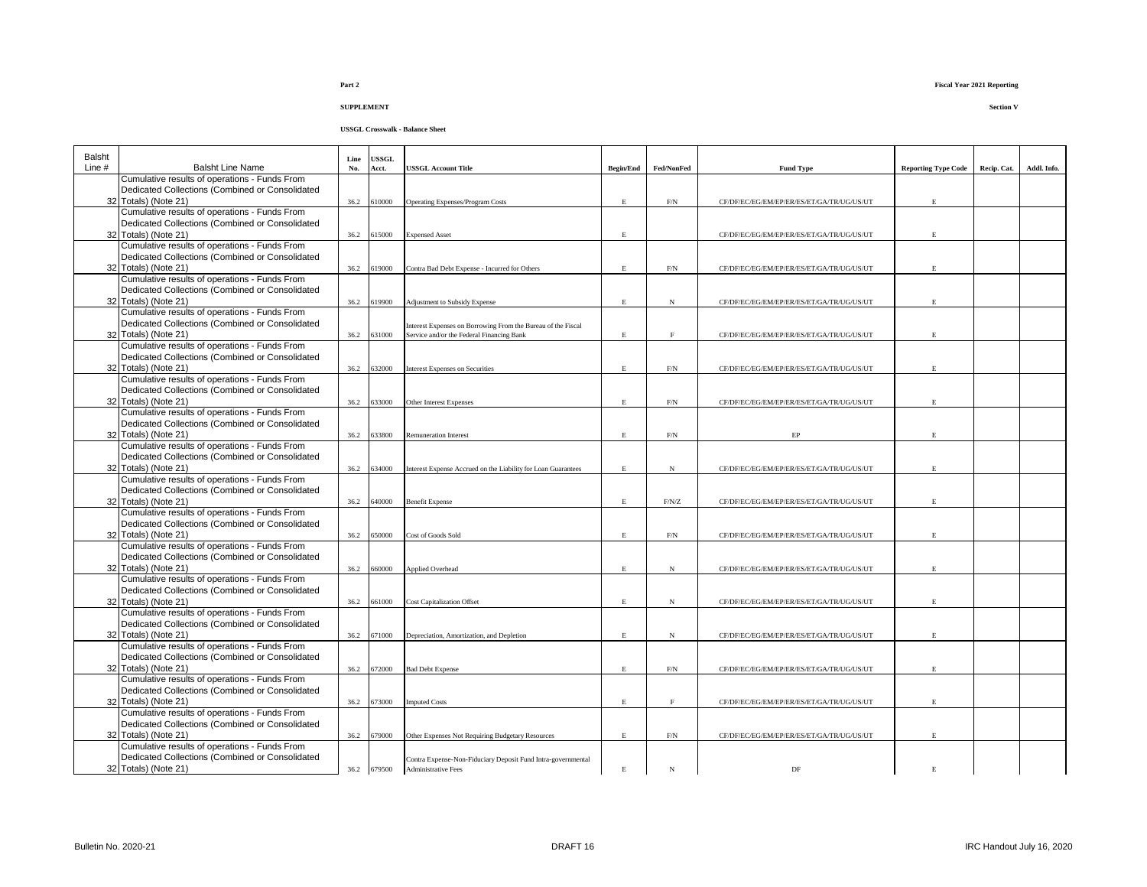#### **USSGL Crosswalk - Balance Sheet**

| Balsht |                                                                         | Line | <b>USSGL</b> |                                                               |                    |              |                                           |                            |             |             |
|--------|-------------------------------------------------------------------------|------|--------------|---------------------------------------------------------------|--------------------|--------------|-------------------------------------------|----------------------------|-------------|-------------|
| Line # | <b>Balsht Line Name</b>                                                 | No.  | Acct.        | <b>USSGL Account Title</b>                                    | <b>Begin/End</b>   | Fed/NonFed   | <b>Fund Type</b>                          | <b>Reporting Type Code</b> | Recip. Cat. | Addl. Info. |
|        | Cumulative results of operations - Funds From                           |      |              |                                                               |                    |              |                                           |                            |             |             |
|        | Dedicated Collections (Combined or Consolidated<br>32 Totals) (Note 21) | 36.2 | 610000       | <b>Operating Expenses/Program Costs</b>                       | $\mathbf{E}% _{0}$ | F/N          | CF/DF/EC/EG/EM/EP/ER/ES/ET/GA/TR/UG/US/UT | E.                         |             |             |
|        | Cumulative results of operations - Funds From                           |      |              |                                                               |                    |              |                                           |                            |             |             |
|        | Dedicated Collections (Combined or Consolidated                         |      |              |                                                               |                    |              |                                           |                            |             |             |
|        | 32 Totals) (Note 21)                                                    | 36.2 | 615000       | <b>Expensed Asset</b>                                         | E                  |              | CF/DF/EC/EG/EM/EP/ER/ES/ET/GA/TR/UG/US/UT | E.                         |             |             |
|        | Cumulative results of operations - Funds From                           |      |              |                                                               |                    |              |                                           |                            |             |             |
|        | Dedicated Collections (Combined or Consolidated                         |      |              |                                                               |                    |              |                                           |                            |             |             |
|        | 32 Totals) (Note 21)                                                    | 36.2 | 619000       | Contra Bad Debt Expense - Incurred for Others                 | $\mathbf E$        | $\rm{F/N}$   | CF/DF/EC/EG/EM/EP/ER/ES/ET/GA/TR/UG/US/UT | E.                         |             |             |
|        | Cumulative results of operations - Funds From                           |      |              |                                                               |                    |              |                                           |                            |             |             |
|        | Dedicated Collections (Combined or Consolidated                         |      |              |                                                               |                    |              |                                           |                            |             |             |
|        | 32 Totals) (Note 21)                                                    | 36.2 | 619900       | Adjustment to Subsidy Expense                                 | $\mathbf E$        | $_{\rm N}$   | CF/DF/EC/EG/EM/EP/ER/ES/ET/GA/TR/UG/US/UT | E.                         |             |             |
|        | Cumulative results of operations - Funds From                           |      |              |                                                               |                    |              |                                           |                            |             |             |
|        | Dedicated Collections (Combined or Consolidated                         |      |              | Interest Expenses on Borrowing From the Bureau of the Fiscal  |                    |              |                                           |                            |             |             |
|        | 32 Totals) (Note 21)                                                    | 36.2 | 631000       | Service and/or the Federal Financing Bank                     | E                  | F            | CF/DF/EC/EG/EM/EP/ER/ES/ET/GA/TR/UG/US/UT | F.                         |             |             |
|        | Cumulative results of operations - Funds From                           |      |              |                                                               |                    |              |                                           |                            |             |             |
|        | Dedicated Collections (Combined or Consolidated                         |      |              |                                                               |                    |              |                                           |                            |             |             |
|        | 32 Totals) (Note 21)                                                    | 36.2 | 632000       | <b>Interest Expenses on Securities</b>                        | $\mathbf{E}$       | $\mbox{F/N}$ | CF/DF/EC/EG/EM/EP/ER/ES/ET/GA/TR/UG/US/UT | E.                         |             |             |
|        | Cumulative results of operations - Funds From                           |      |              |                                                               |                    |              |                                           |                            |             |             |
|        | Dedicated Collections (Combined or Consolidated<br>32 Totals) (Note 21) | 36.2 | 633000       | Other Interest Expenses                                       | $\mathbf{E}$       | $\mbox{F/N}$ |                                           | E.                         |             |             |
|        | Cumulative results of operations - Funds From                           |      |              |                                                               |                    |              | CF/DF/EC/EG/EM/EP/ER/ES/ET/GA/TR/UG/US/UT |                            |             |             |
|        | Dedicated Collections (Combined or Consolidated                         |      |              |                                                               |                    |              |                                           |                            |             |             |
|        | 32 Totals) (Note 21)                                                    | 36.2 | 633800       | <b>Remuneration Interest</b>                                  | E.                 | $\rm F/N$    | EP                                        | E.                         |             |             |
|        | Cumulative results of operations - Funds From                           |      |              |                                                               |                    |              |                                           |                            |             |             |
|        | Dedicated Collections (Combined or Consolidated                         |      |              |                                                               |                    |              |                                           |                            |             |             |
|        | 32 Totals) (Note 21)                                                    | 36.2 | 634000       | Interest Expense Accrued on the Liability for Loan Guarantees | $\mathbf E$        | $_{\rm N}$   | CF/DF/EC/EG/EM/EP/ER/ES/ET/GA/TR/UG/US/UT | E.                         |             |             |
|        | Cumulative results of operations - Funds From                           |      |              |                                                               |                    |              |                                           |                            |             |             |
|        | Dedicated Collections (Combined or Consolidated                         |      |              |                                                               |                    |              |                                           |                            |             |             |
|        | 32 Totals) (Note 21)                                                    | 36.2 | 640000       | <b>Benefit Expense</b>                                        | E.                 | F/N/Z        | CF/DF/EC/EG/EM/EP/ER/ES/ET/GA/TR/UG/US/UT | F.                         |             |             |
|        | Cumulative results of operations - Funds From                           |      |              |                                                               |                    |              |                                           |                            |             |             |
|        | Dedicated Collections (Combined or Consolidated                         |      |              |                                                               |                    |              |                                           |                            |             |             |
|        | 32 Totals) (Note 21)                                                    | 36.2 | 650000       | Cost of Goods Sold                                            | $\mathbf{E}$       | F/N          | CF/DF/EC/EG/EM/EP/ER/ES/ET/GA/TR/UG/US/UT | F.                         |             |             |
|        | Cumulative results of operations - Funds From                           |      |              |                                                               |                    |              |                                           |                            |             |             |
|        | Dedicated Collections (Combined or Consolidated<br>32 Totals) (Note 21) |      |              |                                                               |                    |              |                                           |                            |             |             |
|        | Cumulative results of operations - Funds From                           | 36.2 | 660000       | <b>Applied Overhead</b>                                       | E.                 | $_{\rm N}$   | CF/DF/EC/EG/EM/EP/ER/ES/ET/GA/TR/UG/US/UT | E.                         |             |             |
|        | Dedicated Collections (Combined or Consolidated                         |      |              |                                                               |                    |              |                                           |                            |             |             |
|        | 32 Totals) (Note 21)                                                    | 36.2 | 661000       | <b>Cost Capitalization Offset</b>                             | E.                 | $_{\rm N}$   | CF/DF/EC/EG/EM/EP/ER/ES/ET/GA/TR/UG/US/UT | E.                         |             |             |
|        | Cumulative results of operations - Funds From                           |      |              |                                                               |                    |              |                                           |                            |             |             |
|        | Dedicated Collections (Combined or Consolidated                         |      |              |                                                               |                    |              |                                           |                            |             |             |
|        | 32 Totals) (Note 21)                                                    | 36.2 | 671000       | Depreciation, Amortization, and Depletion                     | E.                 | $_{\rm N}$   | CF/DF/EC/EG/EM/EP/ER/ES/ET/GA/TR/UG/US/UT | E.                         |             |             |
|        | Cumulative results of operations - Funds From                           |      |              |                                                               |                    |              |                                           |                            |             |             |
|        | Dedicated Collections (Combined or Consolidated                         |      |              |                                                               |                    |              |                                           |                            |             |             |
|        | 32 Totals) (Note 21)                                                    | 36.2 | 672000       | <b>Bad Debt Expense</b>                                       | E.                 | $\mbox{F/N}$ | CF/DF/EC/EG/EM/EP/ER/ES/ET/GA/TR/UG/US/UT | E.                         |             |             |
|        | Cumulative results of operations - Funds From                           |      |              |                                                               |                    |              |                                           |                            |             |             |
|        | Dedicated Collections (Combined or Consolidated                         |      |              |                                                               |                    |              |                                           |                            |             |             |
|        | 32 Totals) (Note 21)<br>Cumulative results of operations - Funds From   | 36.2 | 673000       | <b>Imputed Costs</b>                                          | $\mathbf E$        | $\rm F$      | CF/DF/EC/EG/EM/EP/ER/ES/ET/GA/TR/UG/US/UT | E.                         |             |             |
|        | Dedicated Collections (Combined or Consolidated                         |      |              |                                                               |                    |              |                                           |                            |             |             |
|        | 32 Totals) (Note 21)                                                    | 36.2 | 679000       | Other Expenses Not Requiring Budgetary Resources              | $\mathbf E$        | $\rm{F/N}$   | CF/DF/EC/EG/EM/EP/ER/ES/ET/GA/TR/UG/US/UT | E.                         |             |             |
|        | Cumulative results of operations - Funds From                           |      |              |                                                               |                    |              |                                           |                            |             |             |
|        | Dedicated Collections (Combined or Consolidated                         |      |              | Contra Expense-Non-Fiduciary Deposit Fund Intra-governmental  |                    |              |                                           |                            |             |             |
|        | 32 Totals) (Note 21)                                                    |      | 36.2 679500  | <b>Administrative Fees</b>                                    | $\mathbf E$        | N            | DF                                        | E                          |             |             |
|        |                                                                         |      |              |                                                               |                    |              |                                           |                            |             |             |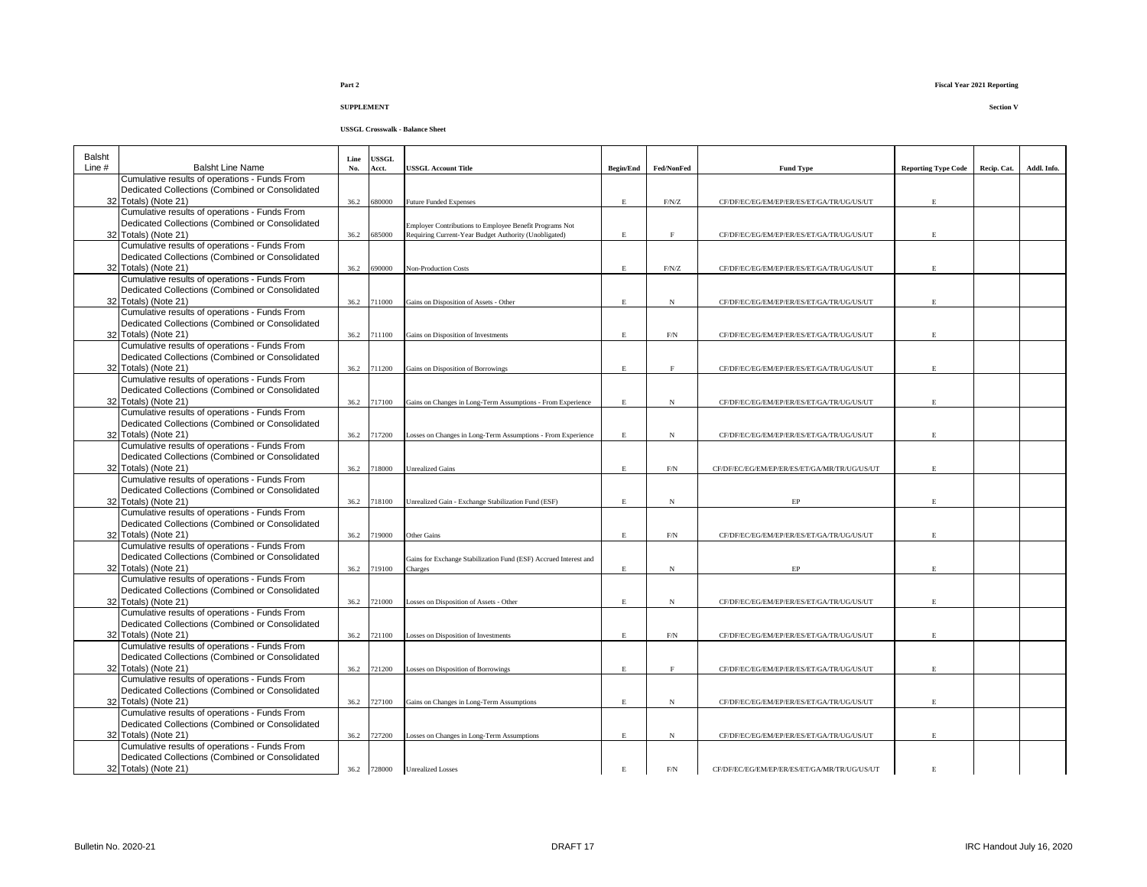| Balsht |                                                 | Line | <b>USSGL</b> |                                                                  |                  |            |                                              |                            |             |             |
|--------|-------------------------------------------------|------|--------------|------------------------------------------------------------------|------------------|------------|----------------------------------------------|----------------------------|-------------|-------------|
| Line # | <b>Balsht Line Name</b>                         | No.  | Acct.        | <b>USSGL Account Title</b>                                       | <b>Begin/End</b> | Fed/NonFed | <b>Fund Type</b>                             | <b>Reporting Type Code</b> | Recip. Cat. | Addl. Info. |
|        | Cumulative results of operations - Funds From   |      |              |                                                                  |                  |            |                                              |                            |             |             |
|        | Dedicated Collections (Combined or Consolidated |      |              |                                                                  |                  |            |                                              |                            |             |             |
|        | 32 Totals) (Note 21)                            | 36.2 | 680000       | <b>Future Funded Expenses</b>                                    | E.               | F/N/Z      | CF/DF/EC/EG/EM/EP/ER/ES/ET/GA/TR/UG/US/UT    | E                          |             |             |
|        | Cumulative results of operations - Funds From   |      |              |                                                                  |                  |            |                                              |                            |             |             |
|        | Dedicated Collections (Combined or Consolidated |      |              | Employer Contributions to Employee Benefit Programs Not          |                  |            |                                              |                            |             |             |
|        | 32 Totals) (Note 21)                            | 36.2 | 685000       | Requiring Current-Year Budget Authority (Unobligated)            | E                | $_{\rm F}$ | CF/DF/EC/EG/EM/EP/ER/ES/ET/GA/TR/UG/US/UT    | E                          |             |             |
|        | Cumulative results of operations - Funds From   |      |              |                                                                  |                  |            |                                              |                            |             |             |
|        | Dedicated Collections (Combined or Consolidated |      |              |                                                                  |                  |            |                                              |                            |             |             |
|        | 32 Totals) (Note 21)                            | 36.2 | 690000       | <b>Non-Production Costs</b>                                      | E.               | F/N/Z      | CF/DF/EC/EG/EM/EP/ER/ES/ET/GA/TR/UG/US/UT    | E                          |             |             |
|        | Cumulative results of operations - Funds From   |      |              |                                                                  |                  |            |                                              |                            |             |             |
|        | Dedicated Collections (Combined or Consolidated |      |              |                                                                  |                  |            |                                              |                            |             |             |
|        | 32 Totals) (Note 21)                            | 36.2 | 711000       | Gains on Disposition of Assets - Other                           | E                | N          | CF/DF/EC/EG/EM/EP/ER/ES/ET/GA/TR/UG/US/UT    | E                          |             |             |
|        | Cumulative results of operations - Funds From   |      |              |                                                                  |                  |            |                                              |                            |             |             |
|        | Dedicated Collections (Combined or Consolidated |      |              |                                                                  |                  |            |                                              |                            |             |             |
|        | 32 Totals) (Note 21)                            |      | 36.2 711100  | Gains on Disposition of Investments                              | $\mathbf E$      | $\rm{F/N}$ | CF/DF/EC/EG/EM/EP/ER/ES/ET/GA/TR/UG/US/UT    | E                          |             |             |
|        | Cumulative results of operations - Funds From   |      |              |                                                                  |                  |            |                                              |                            |             |             |
|        | Dedicated Collections (Combined or Consolidated |      |              |                                                                  |                  |            |                                              |                            |             |             |
|        | 32 Totals) (Note 21)                            |      | 36.2 711200  | Gains on Disposition of Borrowings                               | E                | F          | CF/DF/EC/EG/EM/EP/ER/ES/ET/GA/TR/UG/US/UT    | E                          |             |             |
|        | Cumulative results of operations - Funds From   |      |              |                                                                  |                  |            |                                              |                            |             |             |
|        | Dedicated Collections (Combined or Consolidated |      |              |                                                                  |                  |            |                                              |                            |             |             |
|        | 32 Totals) (Note 21)                            |      | 36.2 717100  | Gains on Changes in Long-Term Assumptions - From Experience      | E                | N          | CF/DF/EC/EG/EM/EP/ER/ES/ET/GA/TR/UG/US/UT    | E                          |             |             |
|        | Cumulative results of operations - Funds From   |      |              |                                                                  |                  |            |                                              |                            |             |             |
|        | Dedicated Collections (Combined or Consolidated |      |              |                                                                  |                  |            |                                              |                            |             |             |
|        | 32 Totals) (Note 21)                            |      | 36.2 717200  | Losses on Changes in Long-Term Assumptions - From Experience     | E                | $_{\rm N}$ | CF/DF/EC/EG/EM/EP/ER/ES/ET/GA/TR/UG/US/UT    | E                          |             |             |
|        | Cumulative results of operations - Funds From   |      |              |                                                                  |                  |            |                                              |                            |             |             |
|        | Dedicated Collections (Combined or Consolidated |      |              |                                                                  |                  |            |                                              |                            |             |             |
|        | 32 Totals) (Note 21)                            |      | 36.2 718000  | <b>Unrealized Gains</b>                                          | E                | $\rm{F/N}$ | CF/DF/EC/EG/EM/EP/ER/ES/ET/GA/MR/TR/UG/US/UT | E                          |             |             |
|        | Cumulative results of operations - Funds From   |      |              |                                                                  |                  |            |                                              |                            |             |             |
|        | Dedicated Collections (Combined or Consolidated |      |              |                                                                  |                  |            |                                              |                            |             |             |
|        | 32 Totals) (Note 21)                            |      | 36.2 718100  | Unrealized Gain - Exchange Stabilization Fund (ESF)              | $\mathbf E$      | N          | EP                                           | E                          |             |             |
|        | Cumulative results of operations - Funds From   |      |              |                                                                  |                  |            |                                              |                            |             |             |
|        | Dedicated Collections (Combined or Consolidated |      |              |                                                                  |                  |            |                                              |                            |             |             |
|        | 32 Totals) (Note 21)                            | 36.2 | 719000       | Other Gains                                                      | $\mathbf E$      | $\rm F/N$  | CF/DF/EC/EG/EM/EP/ER/ES/ET/GA/TR/UG/US/UT    | $\mathbf E$                |             |             |
|        | Cumulative results of operations - Funds From   |      |              |                                                                  |                  |            |                                              |                            |             |             |
|        | Dedicated Collections (Combined or Consolidated |      |              | Gains for Exchange Stabilization Fund (ESF) Accrued Interest and |                  |            |                                              |                            |             |             |
|        | 32 Totals) (Note 21)                            | 36.2 | 719100       | Charges                                                          | E                | $_{\rm N}$ | EP                                           | E                          |             |             |
|        | Cumulative results of operations - Funds From   |      |              |                                                                  |                  |            |                                              |                            |             |             |
|        | Dedicated Collections (Combined or Consolidated |      |              |                                                                  |                  |            |                                              |                            |             |             |
|        | 32 Totals) (Note 21)                            | 36.2 | 721000       | Losses on Disposition of Assets - Other                          | $\mathbf E$      | $_{\rm N}$ | CF/DF/EC/EG/EM/EP/ER/ES/ET/GA/TR/UG/US/UT    | E.                         |             |             |
|        | Cumulative results of operations - Funds From   |      |              |                                                                  |                  |            |                                              |                            |             |             |
|        | Dedicated Collections (Combined or Consolidated |      |              |                                                                  |                  |            |                                              |                            |             |             |
|        | 32 Totals) (Note 21)                            | 36.2 | 721100       | Losses on Disposition of Investments                             | E                | $\rm{F/N}$ | CF/DF/EC/EG/EM/EP/ER/ES/ET/GA/TR/UG/US/UT    | E                          |             |             |
|        | Cumulative results of operations - Funds From   |      |              |                                                                  |                  |            |                                              |                            |             |             |
|        | Dedicated Collections (Combined or Consolidated |      |              |                                                                  |                  |            |                                              |                            |             |             |
|        | 32 Totals) (Note 21)                            |      | 36.2 721200  | Losses on Disposition of Borrowings                              | E                | F          | CF/DF/EC/EG/EM/EP/ER/ES/ET/GA/TR/UG/US/UT    | E.                         |             |             |
|        | Cumulative results of operations - Funds From   |      |              |                                                                  |                  |            |                                              |                            |             |             |
|        | Dedicated Collections (Combined or Consolidated |      |              |                                                                  |                  |            |                                              |                            |             |             |
|        | 32 Totals) (Note 21)                            |      | 36.2 727100  | Gains on Changes in Long-Term Assumptions                        | $\mathbf{E}$     | $_{\rm N}$ | CF/DF/EC/EG/EM/EP/ER/ES/ET/GA/TR/UG/US/UT    | E                          |             |             |
|        | Cumulative results of operations - Funds From   |      |              |                                                                  |                  |            |                                              |                            |             |             |
|        | Dedicated Collections (Combined or Consolidated |      |              |                                                                  |                  |            |                                              |                            |             |             |
|        | 32 Totals) (Note 21)                            |      | 36.2 727200  | Losses on Changes in Long-Term Assumptions                       | E                | $_{\rm N}$ | CF/DF/EC/EG/EM/EP/ER/ES/ET/GA/TR/UG/US/UT    | E                          |             |             |
|        | Cumulative results of operations - Funds From   |      |              |                                                                  |                  |            |                                              |                            |             |             |
|        | Dedicated Collections (Combined or Consolidated |      |              |                                                                  |                  |            |                                              |                            |             |             |
|        | 32 Totals) (Note 21)                            |      |              | 36.2 728000 Unrealized Losses                                    | E                | F/N        | CF/DF/EC/EG/EM/EP/ER/ES/ET/GA/MR/TR/UG/US/UT | $\mathbf E$                |             |             |

# **Part 2 Fiscal Year 2021 Reporting**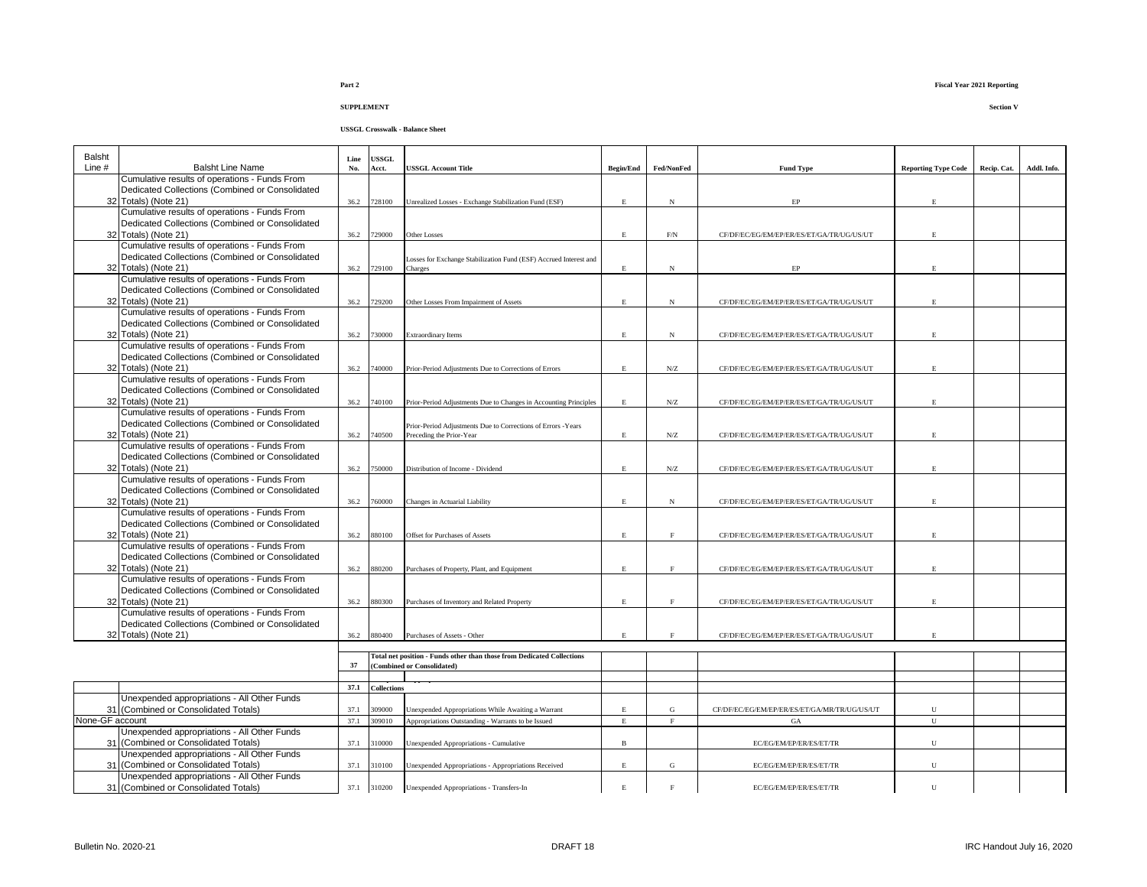| <b>Balsht</b>   |                                                 | Line | USSGL              |                                                                        |                  |                     |                                              |                            |             |             |
|-----------------|-------------------------------------------------|------|--------------------|------------------------------------------------------------------------|------------------|---------------------|----------------------------------------------|----------------------------|-------------|-------------|
| Line #          | <b>Balsht Line Name</b>                         | No.  | Acct.              | <b>USSGL Account Title</b>                                             | <b>Begin/End</b> | Fed/NonFed          | <b>Fund Type</b>                             | <b>Reporting Type Code</b> | Recip. Cat. | Addl. Info. |
|                 | Cumulative results of operations - Funds From   |      |                    |                                                                        |                  |                     |                                              |                            |             |             |
|                 | Dedicated Collections (Combined or Consolidated |      |                    |                                                                        |                  |                     |                                              |                            |             |             |
|                 | 32 Totals) (Note 21)                            | 36.2 | 728100             | Unrealized Losses - Exchange Stabilization Fund (ESF)                  | E.               | $_{\rm N}$          | EP                                           | $\mathbf E$                |             |             |
|                 | Cumulative results of operations - Funds From   |      |                    |                                                                        |                  |                     |                                              |                            |             |             |
|                 | Dedicated Collections (Combined or Consolidated |      |                    |                                                                        |                  |                     |                                              |                            |             |             |
|                 | 32 Totals) (Note 21)                            | 36.2 | 729000             | Other Losses                                                           | E                | $\rm{F/N}$          | CF/DF/EC/EG/EM/EP/ER/ES/ET/GA/TR/UG/US/UT    | E.                         |             |             |
|                 | Cumulative results of operations - Funds From   |      |                    |                                                                        |                  |                     |                                              |                            |             |             |
|                 | Dedicated Collections (Combined or Consolidated |      |                    | Losses for Exchange Stabilization Fund (ESF) Accrued Interest and      |                  |                     |                                              |                            |             |             |
|                 | 32 Totals) (Note 21)                            | 36.2 | 729100             | Charges                                                                | E                | $_{\rm N}$          | $\rm EP$                                     | E.                         |             |             |
|                 | Cumulative results of operations - Funds From   |      |                    |                                                                        |                  |                     |                                              |                            |             |             |
|                 | Dedicated Collections (Combined or Consolidated |      |                    |                                                                        |                  |                     |                                              |                            |             |             |
|                 | 32 Totals) (Note 21)                            | 36.2 | 729200             | Other Losses From Impairment of Assets                                 | E.               | $_{\rm N}$          | CF/DF/EC/EG/EM/EP/ER/ES/ET/GA/TR/UG/US/UT    | F.                         |             |             |
|                 | Cumulative results of operations - Funds From   |      |                    |                                                                        |                  |                     |                                              |                            |             |             |
|                 | Dedicated Collections (Combined or Consolidated |      |                    |                                                                        |                  |                     |                                              |                            |             |             |
|                 | 32 Totals) (Note 21)                            | 36.2 | 730000             | <b>Extraordinary Items</b>                                             | E                | $_{\rm N}$          | CF/DF/EC/EG/EM/EP/ER/ES/ET/GA/TR/UG/US/UT    | E.                         |             |             |
|                 | Cumulative results of operations - Funds From   |      |                    |                                                                        |                  |                     |                                              |                            |             |             |
|                 | Dedicated Collections (Combined or Consolidated |      |                    |                                                                        |                  |                     |                                              |                            |             |             |
|                 | 32 Totals) (Note 21)                            | 36.2 | 740000             | Prior-Period Adjustments Due to Corrections of Errors                  | E                | ${\rm N} / {\rm Z}$ | CF/DF/EC/EG/EM/EP/ER/ES/ET/GA/TR/UG/US/UT    | E.                         |             |             |
|                 | Cumulative results of operations - Funds From   |      |                    |                                                                        |                  |                     |                                              |                            |             |             |
|                 | Dedicated Collections (Combined or Consolidated |      |                    |                                                                        |                  |                     |                                              |                            |             |             |
|                 | 32 Totals) (Note 21)                            | 36.2 | 740100             | Prior-Period Adjustments Due to Changes in Accounting Principles       | E                | N/Z                 | CF/DF/EC/EG/EM/EP/ER/ES/ET/GA/TR/UG/US/UT    | E.                         |             |             |
|                 | Cumulative results of operations - Funds From   |      |                    |                                                                        |                  |                     |                                              |                            |             |             |
|                 | Dedicated Collections (Combined or Consolidated |      |                    | Prior-Period Adjustments Due to Corrections of Errors -Years           |                  |                     |                                              |                            |             |             |
|                 | 32 Totals) (Note 21)                            | 36.2 | 740500             | Preceding the Prior-Year                                               | E                | N/Z                 | CF/DF/EC/EG/EM/EP/ER/ES/ET/GA/TR/UG/US/UT    | E.                         |             |             |
|                 | Cumulative results of operations - Funds From   |      |                    |                                                                        |                  |                     |                                              |                            |             |             |
|                 | Dedicated Collections (Combined or Consolidated |      |                    |                                                                        |                  |                     |                                              |                            |             |             |
|                 | 32 Totals) (Note 21)                            | 36.2 | 750000             | Distribution of Income - Dividend                                      | E.               | ${\rm N} / {\rm Z}$ | CF/DF/EC/EG/EM/EP/ER/ES/ET/GA/TR/UG/US/UT    | E                          |             |             |
|                 | Cumulative results of operations - Funds From   |      |                    |                                                                        |                  |                     |                                              |                            |             |             |
|                 | Dedicated Collections (Combined or Consolidated |      |                    |                                                                        |                  |                     |                                              |                            |             |             |
|                 | 32 Totals) (Note 21)                            | 36.2 | 760000             | Changes in Actuarial Liability                                         | E.               | $_{\rm N}$          | CF/DF/EC/EG/EM/EP/ER/ES/ET/GA/TR/UG/US/UT    |                            |             |             |
|                 | Cumulative results of operations - Funds From   |      |                    |                                                                        |                  |                     |                                              |                            |             |             |
|                 | Dedicated Collections (Combined or Consolidated |      |                    |                                                                        |                  |                     |                                              |                            |             |             |
|                 | 32 Totals) (Note 21)                            | 36.2 | 880100             | Offset for Purchases of Assets                                         | E                | $\mathbf F$         | CF/DF/EC/EG/EM/EP/ER/ES/ET/GA/TR/UG/US/UT    | E.                         |             |             |
|                 | Cumulative results of operations - Funds From   |      |                    |                                                                        |                  |                     |                                              |                            |             |             |
|                 | Dedicated Collections (Combined or Consolidated |      |                    |                                                                        |                  |                     |                                              |                            |             |             |
|                 | 32 Totals) (Note 21)                            | 36.2 | 880200             |                                                                        | E.               | F                   | CF/DF/EC/EG/EM/EP/ER/ES/ET/GA/TR/UG/US/UT    | E.                         |             |             |
|                 | Cumulative results of operations - Funds From   |      |                    | Purchases of Property, Plant, and Equipment                            |                  |                     |                                              |                            |             |             |
|                 | Dedicated Collections (Combined or Consolidated |      |                    |                                                                        |                  |                     |                                              |                            |             |             |
|                 | 32 Totals) (Note 21)                            | 36.2 | 880300             | Purchases of Inventory and Related Property                            | E.               | $\mathbf{F}$        | CF/DF/EC/EG/EM/EP/ER/ES/ET/GA/TR/UG/US/UT    | F.                         |             |             |
|                 | Cumulative results of operations - Funds From   |      |                    |                                                                        |                  |                     |                                              |                            |             |             |
|                 | Dedicated Collections (Combined or Consolidated |      |                    |                                                                        |                  |                     |                                              |                            |             |             |
|                 | 32 Totals) (Note 21)                            | 36.2 | 880400             | Purchases of Assets - Other                                            | E                | $\rm F$             | CF/DF/EC/EG/EM/EP/ER/ES/ET/GA/TR/UG/US/UT    | E.                         |             |             |
|                 |                                                 |      |                    |                                                                        |                  |                     |                                              |                            |             |             |
|                 |                                                 |      |                    | Total net position - Funds other than those from Dedicated Collections |                  |                     |                                              |                            |             |             |
|                 |                                                 | 37   |                    | <b>Combined or Consolidated)</b>                                       |                  |                     |                                              |                            |             |             |
|                 |                                                 |      |                    |                                                                        |                  |                     |                                              |                            |             |             |
|                 |                                                 | 37.1 | <b>Collections</b> |                                                                        |                  |                     |                                              |                            |             |             |
|                 | Unexpended appropriations - All Other Funds     |      |                    |                                                                        |                  |                     |                                              |                            |             |             |
|                 | 31 (Combined or Consolidated Totals)            | 37.1 | 09000              | Jnexpended Appropriations While Awaiting a Warrant                     | E                | G                   | CF/DF/EC/EG/EM/EP/ER/ES/ET/GA/MR/TR/UG/US/UT | U                          |             |             |
| None-GF account |                                                 | 37.1 | 309010             | Appropriations Outstanding - Warrants to be Issued                     | $\mathbf E$      | F                   | GA                                           | U                          |             |             |
|                 | Unexpended appropriations - All Other Funds     |      |                    |                                                                        |                  |                     |                                              |                            |             |             |
|                 | 31 (Combined or Consolidated Totals)            | 37.1 | 310000             | Unexpended Appropriations - Cumulative                                 | $\mathbf{B}$     |                     | EC/EG/EM/EP/ER/ES/ET/TR                      | U                          |             |             |
|                 | Unexpended appropriations - All Other Funds     |      |                    |                                                                        |                  |                     |                                              |                            |             |             |
|                 | 31 (Combined or Consolidated Totals)            | 37.1 | 310100             | Unexpended Appropriations - Appropriations Received                    | E.               | G                   | EC/EG/EM/EP/ER/ES/ET/TR                      | $\mathbf U$                |             |             |
|                 | Unexpended appropriations - All Other Funds     |      |                    |                                                                        |                  |                     |                                              |                            |             |             |
|                 | 31 (Combined or Consolidated Totals)            | 37.1 | 310200             | Unexpended Appropriations - Transfers-In                               | E                | $\mathbf{F}$        | EC/EG/EM/EP/ER/ES/ET/TR                      | ${\bf U}$                  |             |             |
|                 |                                                 |      |                    |                                                                        |                  |                     |                                              |                            |             |             |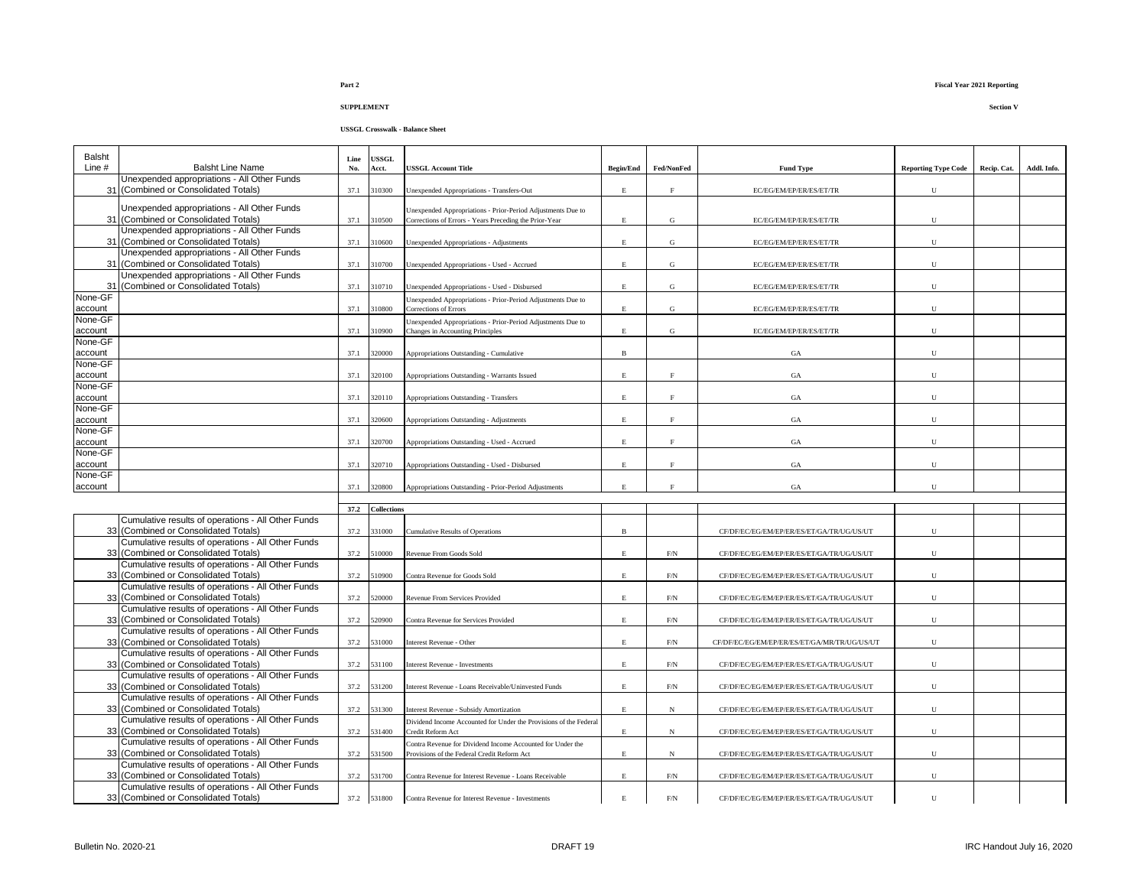### **USSGL Crosswalk - Balance Sheet**

| Balsht             |                                                                                            | Line | USSGL              |                                                                                                           |                  |             |                                              |                            |             |             |
|--------------------|--------------------------------------------------------------------------------------------|------|--------------------|-----------------------------------------------------------------------------------------------------------|------------------|-------------|----------------------------------------------|----------------------------|-------------|-------------|
| Line #             | <b>Balsht Line Name</b>                                                                    | No.  | Acct.              | <b>USSGL Account Title</b>                                                                                | <b>Begin/End</b> | Fed/NonFed  | <b>Fund Type</b>                             | <b>Reporting Type Code</b> | Recip. Cat. | Addl. Info. |
|                    | Unexpended appropriations - All Other Funds<br>31 (Combined or Consolidated Totals)        |      |                    |                                                                                                           |                  | $\rm F$     |                                              | U                          |             |             |
|                    |                                                                                            | 37.1 | 310300             | Unexpended Appropriations - Transfers-Out                                                                 | $\mathbf E$      |             | EC/EG/EM/EP/ER/ES/ET/TR                      |                            |             |             |
|                    | Unexpended appropriations - All Other Funds                                                |      |                    | Unexpended Appropriations - Prior-Period Adjustments Due to                                               |                  |             |                                              |                            |             |             |
|                    | 31 (Combined or Consolidated Totals)                                                       | 37.1 | 310500             | Corrections of Errors - Years Preceding the Prior-Year                                                    | $\mathbf E$      | G           | EC/EG/EM/EP/ER/ES/ET/TR                      | ${\bf U}$                  |             |             |
|                    | Unexpended appropriations - All Other Funds                                                |      |                    |                                                                                                           |                  |             |                                              |                            |             |             |
|                    | 31 (Combined or Consolidated Totals)                                                       | 37.1 | 10600              | Unexpended Appropriations - Adjustments                                                                   | $\mathbf E$      | G           | EC/EG/EM/EP/ER/ES/ET/TR                      | U                          |             |             |
|                    | Unexpended appropriations - All Other Funds                                                |      |                    |                                                                                                           |                  |             |                                              |                            |             |             |
|                    | 31 (Combined or Consolidated Totals)                                                       | 37.1 | 310700             | Unexpended Appropriations - Used - Accrued                                                                | $\mathbf E$      | $\mathbf G$ | EC/EG/EM/EP/ER/ES/ET/TR                      | ${\bf U}$                  |             |             |
|                    | Unexpended appropriations - All Other Funds                                                |      |                    |                                                                                                           |                  |             |                                              |                            |             |             |
| 31                 | (Combined or Consolidated Totals)                                                          | 37.1 | 10710              | Unexpended Appropriations - Used - Disbursed                                                              | $\mathbf E$      | ${\bf G}$   | EC/EG/EM/EP/ER/ES/ET/TR                      | U                          |             |             |
| None-GF            |                                                                                            |      |                    | Jnexpended Appropriations - Prior-Period Adjustments Due to                                               |                  |             |                                              |                            |             |             |
| account<br>None-GF |                                                                                            | 37.1 | 310800             | Corrections of Errors                                                                                     | $\mathbf E$      | G           | EC/EG/EM/EP/ER/ES/ET/TR                      | U                          |             |             |
| account            |                                                                                            | 37.1 | 310900             | Unexpended Appropriations - Prior-Period Adjustments Due to<br>Changes in Accounting Principles           | $\mathbf E$      | $\mathbf G$ | EC/EG/EM/EP/ER/ES/ET/TR                      | U                          |             |             |
| None-GF            |                                                                                            |      |                    |                                                                                                           |                  |             |                                              |                            |             |             |
| account            |                                                                                            | 37.1 | 320000             | Appropriations Outstanding - Cumulative                                                                   | $\, {\bf B}$     |             | GA                                           | U                          |             |             |
| None-GF            |                                                                                            |      |                    |                                                                                                           |                  |             |                                              |                            |             |             |
| account            |                                                                                            | 37.1 | 320100             | Appropriations Outstanding - Warrants Issued                                                              | $\mathbf E$      | F           | GA                                           | U                          |             |             |
| None-GF            |                                                                                            |      |                    |                                                                                                           |                  |             |                                              |                            |             |             |
| account            |                                                                                            | 37.1 | 320110             | Appropriations Outstanding - Transfers                                                                    | $\mathbf E$      | F           | GA                                           | U                          |             |             |
| None-GF            |                                                                                            |      |                    |                                                                                                           |                  |             |                                              |                            |             |             |
| account            |                                                                                            | 37.1 | 320600             | Appropriations Outstanding - Adjustments                                                                  | $\mathbf E$      | $\mathbf F$ | $_{\mathrm{GA}}$                             | U                          |             |             |
| None-GF            |                                                                                            |      |                    |                                                                                                           |                  |             |                                              |                            |             |             |
| account            |                                                                                            | 37.1 | 320700             | Appropriations Outstanding - Used - Accrued                                                               | $\mathbf E$      | F           | $_{\mathrm{GA}}$                             | U                          |             |             |
| None-GF            |                                                                                            |      |                    |                                                                                                           |                  |             |                                              |                            |             |             |
| account            |                                                                                            | 37.1 | 320710             | Appropriations Outstanding - Used - Disbursed                                                             | $\mathbf E$      | $\mathbf F$ | $_{\mathrm{GA}}$                             | U                          |             |             |
| None-GF            |                                                                                            |      |                    |                                                                                                           |                  |             |                                              |                            |             |             |
| account            |                                                                                            | 37.1 | 320800             | Appropriations Outstanding - Prior-Period Adjustments                                                     | $\mathbf E$      | $\rm F$     | $_{\mathrm{GA}}$                             | $\mathbf U$                |             |             |
|                    |                                                                                            |      |                    |                                                                                                           |                  |             |                                              |                            |             |             |
|                    |                                                                                            | 37.2 | <b>Collections</b> |                                                                                                           |                  |             |                                              |                            |             |             |
|                    | Cumulative results of operations - All Other Funds<br>33 (Combined or Consolidated Totals) |      |                    |                                                                                                           |                  |             |                                              | U                          |             |             |
|                    | Cumulative results of operations - All Other Funds                                         | 37.2 | 331000             | Cumulative Results of Operations                                                                          | $\, {\bf B}$     |             | CF/DF/EC/EG/EM/EP/ER/ES/ET/GA/TR/UG/US/UT    |                            |             |             |
|                    | 33 (Combined or Consolidated Totals)                                                       | 37.2 | 10000              | Revenue From Goods Sold                                                                                   | $\mathbf E$      | F/N         | CF/DF/EC/EG/EM/EP/ER/ES/ET/GA/TR/UG/US/UT    | $\mathbf U$                |             |             |
|                    | Cumulative results of operations - All Other Funds                                         |      |                    |                                                                                                           |                  |             |                                              |                            |             |             |
|                    | 33 (Combined or Consolidated Totals)                                                       | 37.2 | 10900              | Contra Revenue for Goods Sold                                                                             | E                | F/N         | CF/DF/EC/EG/EM/EP/ER/ES/ET/GA/TR/UG/US/UT    | U                          |             |             |
|                    | Cumulative results of operations - All Other Funds                                         |      |                    |                                                                                                           |                  |             |                                              |                            |             |             |
|                    | 33 (Combined or Consolidated Totals)                                                       | 37.2 | 520000             | Revenue From Services Provided                                                                            | $\mathbf E$      | F/N         | CF/DF/EC/EG/EM/EP/ER/ES/ET/GA/TR/UG/US/UT    | U                          |             |             |
|                    | Cumulative results of operations - All Other Funds                                         |      |                    |                                                                                                           |                  |             |                                              |                            |             |             |
|                    | 33 (Combined or Consolidated Totals)                                                       | 37.2 | 520900             | Contra Revenue for Services Provided                                                                      | $\mathbf E$      | F/N         | CF/DF/EC/EG/EM/EP/ER/ES/ET/GA/TR/UG/US/UT    | U                          |             |             |
|                    | Cumulative results of operations - All Other Funds                                         |      |                    |                                                                                                           |                  |             |                                              |                            |             |             |
|                    | 33 (Combined or Consolidated Totals)                                                       | 37.2 | 531000             | Interest Revenue - Other                                                                                  | $\mathbf E$      | F/N         | CF/DF/EC/EG/EM/EP/ER/ES/ET/GA/MR/TR/UG/US/UT | U                          |             |             |
|                    | Cumulative results of operations - All Other Funds                                         |      |                    |                                                                                                           |                  |             |                                              |                            |             |             |
|                    | 33 (Combined or Consolidated Totals)                                                       | 37.2 | 531100             | <b>Interest Revenue - Investments</b>                                                                     | E                | F/N         | CF/DF/EC/EG/EM/EP/ER/ES/ET/GA/TR/UG/US/UT    | U                          |             |             |
|                    | Cumulative results of operations - All Other Funds                                         |      |                    |                                                                                                           |                  |             |                                              |                            |             |             |
|                    | 33 (Combined or Consolidated Totals)                                                       | 37.2 | 531200             | Interest Revenue - Loans Receivable/Uninvested Funds                                                      | $\mathbf E$      | F/N         | CF/DF/EC/EG/EM/EP/ER/ES/ET/GA/TR/UG/US/UT    | U                          |             |             |
|                    | Cumulative results of operations - All Other Funds                                         |      |                    |                                                                                                           |                  |             |                                              |                            |             |             |
|                    | 33 (Combined or Consolidated Totals)                                                       | 37.2 | 531300             | Interest Revenue - Subsidy Amortization                                                                   | $\mathbf E$      | $_{\rm N}$  | CF/DF/EC/EG/EM/EP/ER/ES/ET/GA/TR/UG/US/UT    | U                          |             |             |
|                    | Cumulative results of operations - All Other Funds                                         |      |                    | Dividend Income Accounted for Under the Provisions of the Federal                                         |                  |             |                                              |                            |             |             |
|                    | 33 (Combined or Consolidated Totals)                                                       | 37.2 | 531400             | Credit Reform Act                                                                                         | $\mathbf E$      | $_{\rm N}$  | CF/DF/EC/EG/EM/EP/ER/ES/ET/GA/TR/UG/US/UT    | $\mathbf U$                |             |             |
|                    | Cumulative results of operations - All Other Funds<br>33 (Combined or Consolidated Totals) | 37.2 | 531500             | Contra Revenue for Dividend Income Accounted for Under the<br>Provisions of the Federal Credit Reform Act | $\mathbf E$      | $_{\rm N}$  |                                              | U                          |             |             |
|                    | Cumulative results of operations - All Other Funds                                         |      |                    |                                                                                                           |                  |             | CF/DF/EC/EG/EM/EP/ER/ES/ET/GA/TR/UG/US/UT    |                            |             |             |
|                    | 33 (Combined or Consolidated Totals)                                                       | 37.2 | 531700             | Contra Revenue for Interest Revenue - Loans Receivable                                                    | $\mathbf E$      | $\rm{F/N}$  | CF/DF/EC/EG/EM/EP/ER/ES/ET/GA/TR/UG/US/UT    | ${\bf U}$                  |             |             |
|                    | Cumulative results of operations - All Other Funds                                         |      |                    |                                                                                                           |                  |             |                                              |                            |             |             |
|                    | 33 (Combined or Consolidated Totals)                                                       |      | 37.2 531800        | Contra Revenue for Interest Revenue - Investments                                                         | $\mathbf E$      | F/N         | CF/DF/EC/EG/EM/EP/ER/ES/ET/GA/TR/UG/US/UT    | $\mathbf{U}$               |             |             |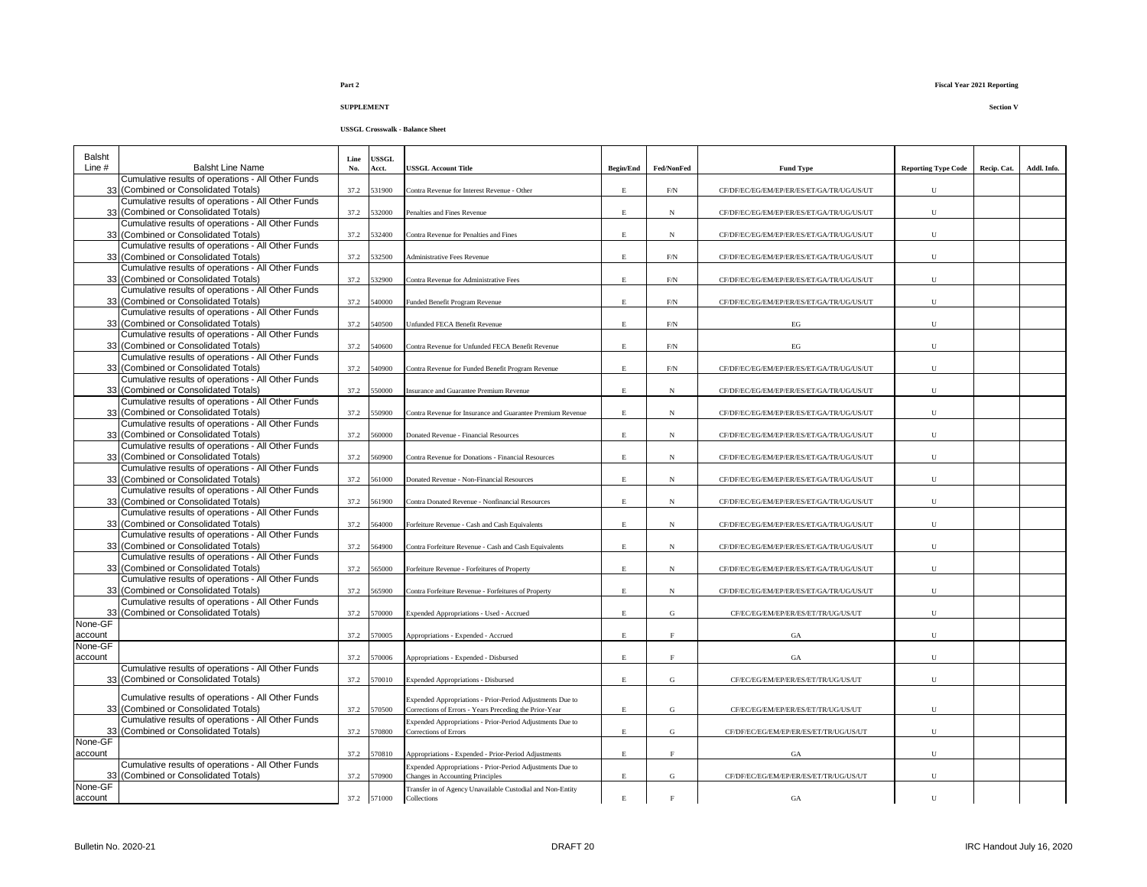| Balsht<br>Line #   | <b>Balsht Line Name</b>                                                                                                                          | Line<br>No. | <b>JSSGL</b><br>Acct. | <b>USSGL Account Title</b>                                                                                          | <b>Begin/End</b> | Fed/NonFed   | <b>Fund Type</b>                          | <b>Reporting Type Code</b> | Recip. Cat. | Addl. Info. |
|--------------------|--------------------------------------------------------------------------------------------------------------------------------------------------|-------------|-----------------------|---------------------------------------------------------------------------------------------------------------------|------------------|--------------|-------------------------------------------|----------------------------|-------------|-------------|
|                    | Cumulative results of operations - All Other Funds<br>33 (Combined or Consolidated Totals)                                                       | 37.2        | 31900                 | Contra Revenue for Interest Revenue - Other                                                                         | E                | F/N          | CF/DF/EC/EG/EM/EP/ER/ES/ET/GA/TR/UG/US/UT | U                          |             |             |
|                    | Cumulative results of operations - All Other Funds<br>33 (Combined or Consolidated Totals)                                                       | 37.2        | 532000                | Penalties and Fines Revenue                                                                                         | $\mathbf E$      | N            | CF/DF/EC/EG/EM/EP/ER/ES/ET/GA/TR/UG/US/UT | ${\bf U}$                  |             |             |
|                    | Cumulative results of operations - All Other Funds<br>33 (Combined or Consolidated Totals)                                                       | 37.2        | 32400                 | Contra Revenue for Penalties and Fines                                                                              | $\mathbf E$      | N            | CF/DF/EC/EG/EM/EP/ER/ES/ET/GA/TR/UG/US/UT | ${\bf U}$                  |             |             |
|                    | Cumulative results of operations - All Other Funds<br>33 (Combined or Consolidated Totals)                                                       | 37.2        | 532500                | <b>Administrative Fees Revenue</b>                                                                                  | $\mathbf E$      | $\mbox{F/N}$ | CF/DF/EC/EG/EM/EP/ER/ES/ET/GA/TR/UG/US/UT | ${\bf U}$                  |             |             |
|                    | Cumulative results of operations - All Other Funds<br>33 (Combined or Consolidated Totals)                                                       | 37.2        | 32900                 | Contra Revenue for Administrative Fees                                                                              | $\mathbf E$      | F/N          | CF/DF/EC/EG/EM/EP/ER/ES/ET/GA/TR/UG/US/UT | U                          |             |             |
|                    | Cumulative results of operations - All Other Funds<br>33 (Combined or Consolidated Totals)                                                       | 37.2        | 540000                | Funded Benefit Program Revenue                                                                                      | $\mathbf E$      | $\rm F/N$    | CF/DF/EC/EG/EM/EP/ER/ES/ET/GA/TR/UG/US/UT | ${\bf U}$                  |             |             |
|                    | Cumulative results of operations - All Other Funds<br>33 (Combined or Consolidated Totals)                                                       | 37.2        | 40500                 | Unfunded FECA Benefit Revenue                                                                                       | $\mathbf E$      | $\rm F/N$    | EG                                        | ${\bf U}$                  |             |             |
|                    | Cumulative results of operations - All Other Funds<br>33 (Combined or Consolidated Totals)                                                       | 37.2        | 540600                | Contra Revenue for Unfunded FECA Benefit Revenue                                                                    | $\mathbf E$      | $\rm F/N$    | $\operatorname{EG}$                       | ${\bf U}$                  |             |             |
|                    | Cumulative results of operations - All Other Funds<br>33 (Combined or Consolidated Totals)<br>Cumulative results of operations - All Other Funds | 37.2        | 540900                | Contra Revenue for Funded Benefit Program Revenue                                                                   | $\mathbf E$      | F/N          | CF/DF/EC/EG/EM/EP/ER/ES/ET/GA/TR/UG/US/UT | U                          |             |             |
|                    | 33 (Combined or Consolidated Totals)<br>Cumulative results of operations - All Other Funds                                                       | 37.2        | 550000                | insurance and Guarantee Premium Revenue                                                                             | $\mathbf E$      | $_{\rm N}$   | CF/DF/EC/EG/EM/EP/ER/ES/ET/GA/TR/UG/US/UT | U                          |             |             |
|                    | 33 (Combined or Consolidated Totals)<br>Cumulative results of operations - All Other Funds                                                       | 37.2        | 50900                 | Contra Revenue for Insurance and Guarantee Premium Revenue                                                          | $\mathbf E$      | $_{\rm N}$   | CF/DF/EC/EG/EM/EP/ER/ES/ET/GA/TR/UG/US/UT | ${\bf U}$                  |             |             |
|                    | 33 (Combined or Consolidated Totals)<br>Cumulative results of operations - All Other Funds                                                       | 37.2        | 560000                | Donated Revenue - Financial Resources                                                                               | Е                | N            | CF/DF/EC/EG/EM/EP/ER/ES/ET/GA/TR/UG/US/UT | U                          |             |             |
|                    | 33 (Combined or Consolidated Totals)<br>Cumulative results of operations - All Other Funds                                                       | 37.2        | 60900                 | Contra Revenue for Donations - Financial Resources                                                                  | $\mathbf E$      | $_{\rm N}$   | CF/DF/EC/EG/EM/EP/ER/ES/ET/GA/TR/UG/US/UT | U                          |             |             |
|                    | 33 (Combined or Consolidated Totals)<br>Cumulative results of operations - All Other Funds                                                       | 37.2        | 561000                | Donated Revenue - Non-Financial Resources                                                                           | $\mathbf E$      | N            | CF/DF/EC/EG/EM/EP/ER/ES/ET/GA/TR/UG/US/UT | U                          |             |             |
|                    | 33 (Combined or Consolidated Totals)<br>Cumulative results of operations - All Other Funds                                                       | 37.2        | 61900                 | Contra Donated Revenue - Nonfinancial Resources                                                                     | $\mathbf E$      | N            | CF/DF/EC/EG/EM/EP/ER/ES/ET/GA/TR/UG/US/UT | U                          |             |             |
|                    | 33 (Combined or Consolidated Totals)<br>Cumulative results of operations - All Other Funds                                                       | 37.2        | 564000                | Forfeiture Revenue - Cash and Cash Equivalents                                                                      | Е                | N            | CF/DF/EC/EG/EM/EP/ER/ES/ET/GA/TR/UG/US/UT | U                          |             |             |
|                    | 33 (Combined or Consolidated Totals)<br>Cumulative results of operations - All Other Funds                                                       | 37.2        | 64900                 | Contra Forfeiture Revenue - Cash and Cash Equivalents                                                               | $\mathbf E$      | $_{\rm N}$   | CF/DF/EC/EG/EM/EP/ER/ES/ET/GA/TR/UG/US/UT | ${\bf U}$                  |             |             |
|                    | 33 (Combined or Consolidated Totals)<br>Cumulative results of operations - All Other Funds                                                       | 37.2        | 565000                | Forfeiture Revenue - Forfeitures of Property                                                                        | $\mathbf E$      | N            | CF/DF/EC/EG/EM/EP/ER/ES/ET/GA/TR/UG/US/UT | U                          |             |             |
|                    | 33 (Combined or Consolidated Totals)<br>Cumulative results of operations - All Other Funds                                                       | 37.2        | 65900                 | Contra Forfeiture Revenue - Forfeitures of Property                                                                 | $\mathbf E$      | N            | CF/DF/EC/EG/EM/EP/ER/ES/ET/GA/TR/UG/US/UT | U                          |             |             |
| None-GF            | 33 (Combined or Consolidated Totals)                                                                                                             | 37.2        | 570000                | Expended Appropriations - Used - Accrued                                                                            | $\mathbf E$      | ${\rm G}$    | CF/EC/EG/EM/EP/ER/ES/ET/TR/UG/US/UT       | U                          |             |             |
| account<br>None-GF |                                                                                                                                                  | 37.2        | 70005                 | Appropriations - Expended - Accrued                                                                                 | $\mathbf E$      | $\mathbf F$  | $_{\mathrm{GA}}$                          | ${\bf U}$                  |             |             |
| account            | Cumulative results of operations - All Other Funds                                                                                               | 37.2        | 570006                | Appropriations - Expended - Disbursed                                                                               | E                | $\mathbf{E}$ | GA                                        | U                          |             |             |
|                    | 33 (Combined or Consolidated Totals)                                                                                                             | 37.2        | 570010                | <b>Expended Appropriations - Disbursed</b>                                                                          | $\mathbf E$      | G            | CF/EC/EG/EM/EP/ER/ES/ET/TR/UG/US/UT       | U                          |             |             |
|                    | Cumulative results of operations - All Other Funds<br>33 (Combined or Consolidated Totals)                                                       | 37.2        | 570500                | Expended Appropriations - Prior-Period Adjustments Due to<br>Corrections of Errors - Years Preceding the Prior-Year | $\mathbf E$      | G            | CF/EC/EG/EM/EP/ER/ES/ET/TR/UG/US/UT       | U                          |             |             |
|                    | Cumulative results of operations - All Other Funds<br>33 (Combined or Consolidated Totals)                                                       | 37.2        | 570800                | Expended Appropriations - Prior-Period Adjustments Due to<br>Corrections of Errors                                  | E                | $\mathbf G$  | CF/DF/EC/EG/EM/EP/ER/ES/ET/TR/UG/US/UT    | U                          |             |             |
| None-GF<br>account |                                                                                                                                                  | 37.2        | 570810                | Appropriations - Expended - Prior-Period Adjustments                                                                | E                | $_{\rm F}$   | GA                                        | U                          |             |             |
| 33                 | Cumulative results of operations - All Other Funds<br>(Combined or Consolidated Totals)                                                          | 37.2        | 570900                | Expended Appropriations - Prior-Period Adjustments Due to<br>Changes in Accounting Principles                       | $\mathbf E$      | ${\rm G}$    | CF/DF/EC/EG/EM/EP/ER/ES/ET/TR/UG/US/UT    | U                          |             |             |
| None-GF<br>account |                                                                                                                                                  |             | 37.2 571000           | Transfer in of Agency Unavailable Custodial and Non-Entity<br>Collections                                           | $\mathbf E$      | $\mathbf{F}$ | GA                                        | U                          |             |             |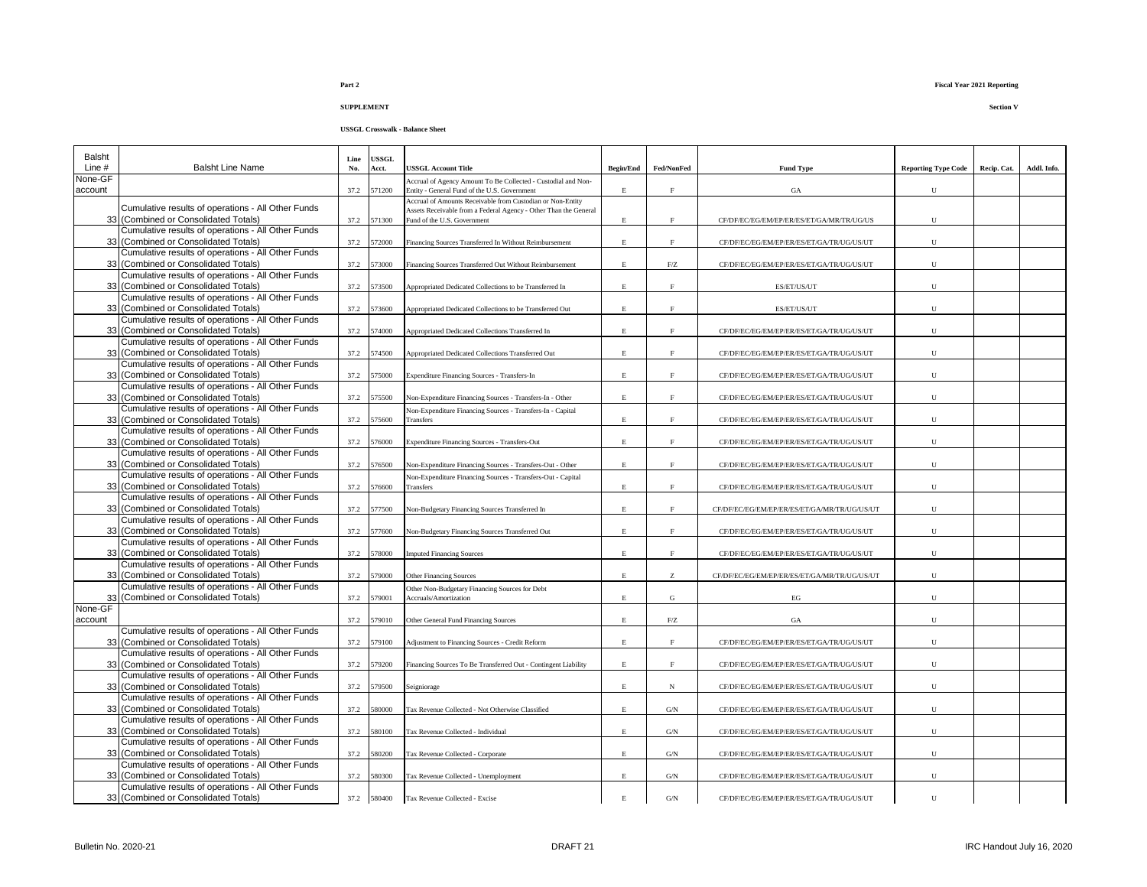| <b>Balsht</b>      |                                                                                            | Line | USSGL  |                                                                                                               |                    |                   |                                              |                            |             |             |
|--------------------|--------------------------------------------------------------------------------------------|------|--------|---------------------------------------------------------------------------------------------------------------|--------------------|-------------------|----------------------------------------------|----------------------------|-------------|-------------|
| Line #             | <b>Balsht Line Name</b>                                                                    | No.  | Acct.  | USSGL Account Title                                                                                           | <b>Begin/End</b>   | Fed/NonFed        | <b>Fund Type</b>                             | <b>Reporting Type Code</b> | Recip. Cat. | Addl. Info. |
| None-GF<br>account |                                                                                            | 37.2 | 571200 | Accrual of Agency Amount To Be Collected - Custodial and Non-<br>Entity - General Fund of the U.S. Government | $\mathbf{E}% _{0}$ | $\mathbf{F}$      | GA                                           | U                          |             |             |
|                    |                                                                                            |      |        | Accrual of Amounts Receivable from Custodian or Non-Entity                                                    |                    |                   |                                              |                            |             |             |
|                    | Cumulative results of operations - All Other Funds                                         |      |        | Assets Receivable from a Federal Agency - Other Than the General                                              |                    |                   |                                              |                            |             |             |
|                    | 33 (Combined or Consolidated Totals)                                                       | 37.2 | 571300 | Fund of the U.S. Government                                                                                   | Е                  | $\rm F$           | CF/DF/EC/EG/EM/EP/ER/ES/ET/GA/MR/TR/UG/US    | U                          |             |             |
|                    | Cumulative results of operations - All Other Funds<br>33 (Combined or Consolidated Totals) | 37.2 | 572000 |                                                                                                               | E                  | F                 |                                              | U                          |             |             |
|                    | Cumulative results of operations - All Other Funds                                         |      |        | Financing Sources Transferred In Without Reimbursement                                                        |                    |                   | CF/DF/EC/EG/EM/EP/ER/ES/ET/GA/TR/UG/US/UT    |                            |             |             |
|                    | 33 (Combined or Consolidated Totals)                                                       | 37.2 | 573000 | Financing Sources Transferred Out Without Reimbursement                                                       | E                  | ${\rm F}/{\rm Z}$ | CF/DF/EC/EG/EM/EP/ER/ES/ET/GA/TR/UG/US/UT    | U                          |             |             |
|                    | Cumulative results of operations - All Other Funds                                         |      |        |                                                                                                               |                    |                   |                                              |                            |             |             |
|                    | 33 (Combined or Consolidated Totals)                                                       | 37.2 | 573500 | Appropriated Dedicated Collections to be Transferred In                                                       | $\mathbf E$        | $\mathbf F$       | ES/ET/US/UT                                  | ${\bf U}$                  |             |             |
|                    | Cumulative results of operations - All Other Funds                                         |      |        |                                                                                                               |                    |                   |                                              |                            |             |             |
|                    | 33 (Combined or Consolidated Totals)                                                       | 37.2 | 573600 | Appropriated Dedicated Collections to be Transferred Out                                                      | E                  | $\rm F$           | ES/ET/US/UT                                  | U                          |             |             |
|                    | Cumulative results of operations - All Other Funds                                         |      |        |                                                                                                               |                    |                   |                                              |                            |             |             |
|                    | 33 (Combined or Consolidated Totals)                                                       | 37.2 | 574000 | Appropriated Dedicated Collections Transferred In                                                             | E                  | F                 | CF/DF/EC/EG/EM/EP/ER/ES/ET/GA/TR/UG/US/UT    | U                          |             |             |
|                    | Cumulative results of operations - All Other Funds                                         |      |        |                                                                                                               |                    |                   |                                              |                            |             |             |
|                    | 33 (Combined or Consolidated Totals)                                                       | 37.2 | 574500 | Appropriated Dedicated Collections Transferred Out                                                            | $\mathbf E$        | F                 | CF/DF/EC/EG/EM/EP/ER/ES/ET/GA/TR/UG/US/UT    | ${\bf U}$                  |             |             |
|                    | Cumulative results of operations - All Other Funds                                         |      |        |                                                                                                               |                    |                   |                                              |                            |             |             |
|                    | 33 (Combined or Consolidated Totals)                                                       | 37.2 | 575000 | <b>Expenditure Financing Sources - Transfers-In</b>                                                           | $\mathbf{E}% _{0}$ | F                 | CF/DF/EC/EG/EM/EP/ER/ES/ET/GA/TR/UG/US/UT    | $\mathbf U$                |             |             |
|                    | Cumulative results of operations - All Other Funds                                         |      |        |                                                                                                               | $\mathbf{E}% _{0}$ |                   |                                              |                            |             |             |
|                    | 33 (Combined or Consolidated Totals)<br>Cumulative results of operations - All Other Funds | 37.2 | 575500 | Non-Expenditure Financing Sources - Transfers-In - Other                                                      |                    | F                 | CF/DF/EC/EG/EM/EP/ER/ES/ET/GA/TR/UG/US/UT    | ${\bf U}$                  |             |             |
|                    | 33 (Combined or Consolidated Totals)                                                       | 37.2 | 575600 | Non-Expenditure Financing Sources - Transfers-In - Capital<br>Transfers                                       | $\mathbf{E}% _{0}$ | $\mathbf{E}$      | CF/DF/EC/EG/EM/EP/ER/ES/ET/GA/TR/UG/US/UT    | U                          |             |             |
|                    | Cumulative results of operations - All Other Funds                                         |      |        |                                                                                                               |                    |                   |                                              |                            |             |             |
|                    | 33 (Combined or Consolidated Totals)                                                       | 37.2 | 576000 | Expenditure Financing Sources - Transfers-Out                                                                 | E                  | F                 | CF/DF/EC/EG/EM/EP/ER/ES/ET/GA/TR/UG/US/UT    | ${\bf U}$                  |             |             |
|                    | Cumulative results of operations - All Other Funds                                         |      |        |                                                                                                               |                    |                   |                                              |                            |             |             |
|                    | 33 (Combined or Consolidated Totals)                                                       | 37.2 | 576500 | Non-Expenditure Financing Sources - Transfers-Out - Other                                                     | E                  |                   | CF/DF/EC/EG/EM/EP/ER/ES/ET/GA/TR/UG/US/UT    | U                          |             |             |
|                    | Cumulative results of operations - All Other Funds                                         |      |        | Non-Expenditure Financing Sources - Transfers-Out - Capital                                                   |                    |                   |                                              |                            |             |             |
|                    | 33 (Combined or Consolidated Totals)                                                       | 37.2 | 576600 | Transfers                                                                                                     | E                  | F                 | CF/DF/EC/EG/EM/EP/ER/ES/ET/GA/TR/UG/US/UT    | $\mathbf U$                |             |             |
|                    | Cumulative results of operations - All Other Funds                                         |      |        |                                                                                                               |                    |                   |                                              |                            |             |             |
|                    | 33 (Combined or Consolidated Totals)                                                       | 37.2 | 577500 | Non-Budgetary Financing Sources Transferred In                                                                | E.                 | $\mathbf{E}$      | CF/DF/EC/EG/EM/EP/ER/ES/ET/GA/MR/TR/UG/US/UT | U                          |             |             |
|                    | Cumulative results of operations - All Other Funds                                         |      |        |                                                                                                               |                    |                   |                                              |                            |             |             |
|                    | 33 (Combined or Consolidated Totals)                                                       | 37.2 | 577600 | Non-Budgetary Financing Sources Transferred Out                                                               | $\mathbf E$        | F                 | CF/DF/EC/EG/EM/EP/ER/ES/ET/GA/TR/UG/US/UT    | ${\bf U}$                  |             |             |
|                    | Cumulative results of operations - All Other Funds                                         |      |        |                                                                                                               |                    |                   |                                              |                            |             |             |
|                    | 33 (Combined or Consolidated Totals)<br>Cumulative results of operations - All Other Funds | 37.2 | 578000 | <b>Imputed Financing Sources</b>                                                                              | E                  | F                 | CF/DF/EC/EG/EM/EP/ER/ES/ET/GA/TR/UG/US/UT    | U                          |             |             |
|                    | 33 (Combined or Consolidated Totals)                                                       | 37.2 | 579000 | <b>Other Financing Sources</b>                                                                                | E                  | Z                 | CF/DF/EC/EG/EM/EP/ER/ES/ET/GA/MR/TR/UG/US/UT | $\mathbf U$                |             |             |
|                    | Cumulative results of operations - All Other Funds                                         |      |        |                                                                                                               |                    |                   |                                              |                            |             |             |
|                    | 33 (Combined or Consolidated Totals)                                                       | 37.2 | 579001 | Other Non-Budgetary Financing Sources for Debt<br>Accruals/Amortization                                       | $\mathbf E$        | G                 | $_{\rm EG}$                                  | $\mathbf U$                |             |             |
| None-GF            |                                                                                            |      |        |                                                                                                               |                    |                   |                                              |                            |             |             |
| account            |                                                                                            | 37.2 | 579010 | Other General Fund Financing Sources                                                                          | E                  | ${\rm F}/{\rm Z}$ | GA                                           | $\mathbf U$                |             |             |
|                    | Cumulative results of operations - All Other Funds                                         |      |        |                                                                                                               |                    |                   |                                              |                            |             |             |
|                    | 33 (Combined or Consolidated Totals)                                                       | 37.2 | 579100 | Adjustment to Financing Sources - Credit Reform                                                               | $\mathbf E$        | F                 | CF/DF/EC/EG/EM/EP/ER/ES/ET/GA/TR/UG/US/UT    | U                          |             |             |
|                    | Cumulative results of operations - All Other Funds                                         |      |        |                                                                                                               |                    |                   |                                              |                            |             |             |
|                    | 33 (Combined or Consolidated Totals)                                                       | 37.2 | 579200 | Financing Sources To Be Transferred Out - Contingent Liability                                                | $\mathbf E$        | $\mathbf{F}$      | CF/DF/EC/EG/EM/EP/ER/ES/ET/GA/TR/UG/US/UT    | ${\bf U}$                  |             |             |
|                    | Cumulative results of operations - All Other Funds                                         |      |        |                                                                                                               |                    |                   |                                              |                            |             |             |
|                    | 33 (Combined or Consolidated Totals)                                                       | 37.2 | 579500 | Seigniorage                                                                                                   | E                  | $_{\rm N}$        | CF/DF/EC/EG/EM/EP/ER/ES/ET/GA/TR/UG/US/UT    | U                          |             |             |
|                    | Cumulative results of operations - All Other Funds                                         |      |        |                                                                                                               |                    |                   |                                              |                            |             |             |
|                    | 33 (Combined or Consolidated Totals)<br>Cumulative results of operations - All Other Funds | 37.2 | 580000 | Tax Revenue Collected - Not Otherwise Classified                                                              | E                  | G/N               | CF/DF/EC/EG/EM/EP/ER/ES/ET/GA/TR/UG/US/UT    | ${\bf U}$                  |             |             |
|                    | 33 (Combined or Consolidated Totals)                                                       | 37.2 | 580100 | Tax Revenue Collected - Individual                                                                            | E                  | G/N               | CF/DF/EC/EG/EM/EP/ER/ES/ET/GA/TR/UG/US/UT    | U                          |             |             |
|                    | Cumulative results of operations - All Other Funds                                         |      |        |                                                                                                               |                    |                   |                                              |                            |             |             |
|                    | 33 (Combined or Consolidated Totals)                                                       | 37.2 | 580200 | Tax Revenue Collected - Corporate                                                                             | E                  | G/N               | CF/DF/EC/EG/EM/EP/ER/ES/ET/GA/TR/UG/US/UT    | U                          |             |             |
|                    | Cumulative results of operations - All Other Funds                                         |      |        |                                                                                                               |                    |                   |                                              |                            |             |             |
|                    | 33 (Combined or Consolidated Totals)                                                       | 37.2 | 580300 | Tax Revenue Collected - Unemployment                                                                          | $\mathbf E$        | G/N               | CF/DF/EC/EG/EM/EP/ER/ES/ET/GA/TR/UG/US/UT    | U                          |             |             |
|                    | Cumulative results of operations - All Other Funds                                         |      |        |                                                                                                               |                    |                   |                                              |                            |             |             |
|                    | 33 (Combined or Consolidated Totals)                                                       | 37.2 | 580400 | Tax Revenue Collected - Excise                                                                                | E                  | G/N               | CF/DF/EC/EG/EM/EP/ER/ES/ET/GA/TR/UG/US/UT    | U                          |             |             |

### **Part 2 Fiscal Year 2021 Reporting**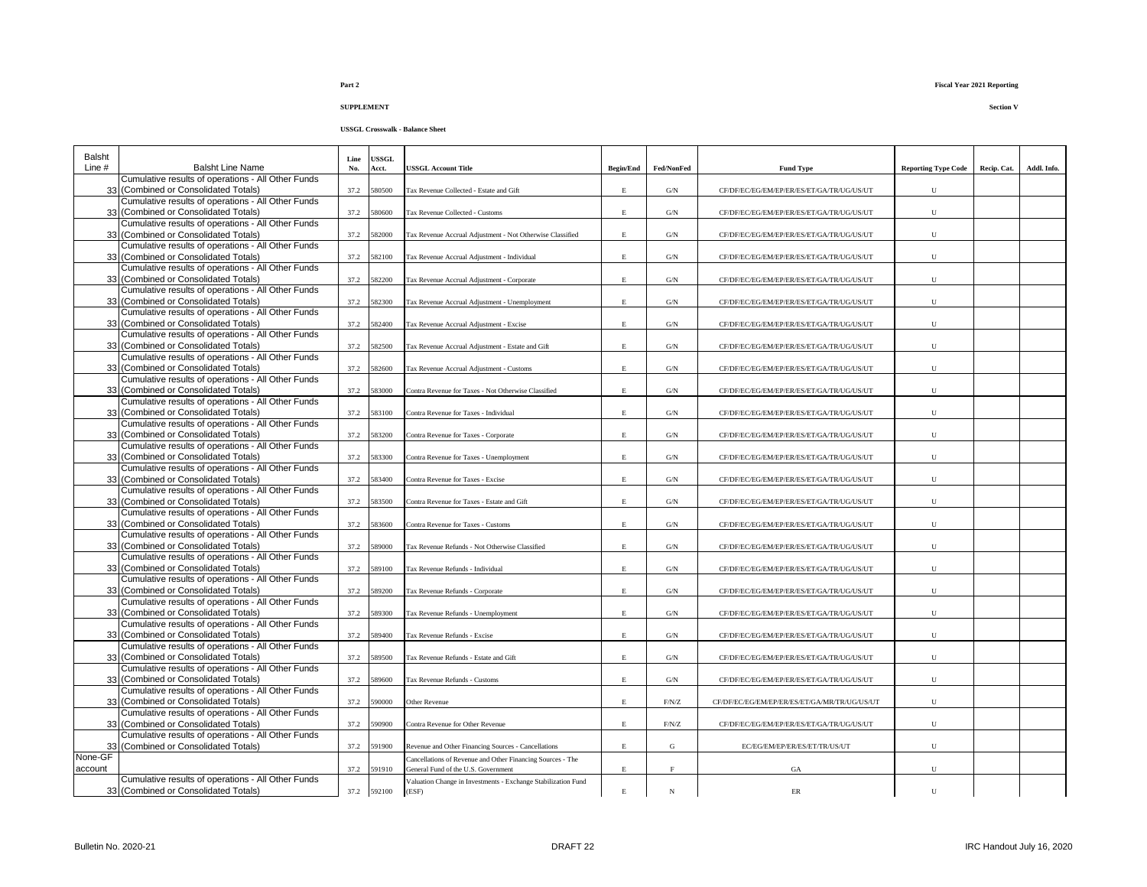| Balsht   |                                                                                            | Line | <b>USSGL</b> |                                                               |                  |                    |                                              |                            |             |             |
|----------|--------------------------------------------------------------------------------------------|------|--------------|---------------------------------------------------------------|------------------|--------------------|----------------------------------------------|----------------------------|-------------|-------------|
| Line $#$ | <b>Balsht Line Name</b>                                                                    | No.  | Acct.        | <b>JSSGL Account Title</b>                                    | <b>Begin/End</b> | Fed/NonFed         | <b>Fund Type</b>                             | <b>Reporting Type Code</b> | Recip. Cat. | Addl. Info. |
|          | Cumulative results of operations - All Other Funds                                         |      |              |                                                               |                  |                    |                                              |                            |             |             |
|          | 33 (Combined or Consolidated Totals)                                                       | 37.2 | 580500       | Tax Revenue Collected - Estate and Gift                       | $\mathbf E$      | G/N                | CF/DF/EC/EG/EM/EP/ER/ES/ET/GA/TR/UG/US/UT    | U                          |             |             |
|          | Cumulative results of operations - All Other Funds<br>33 (Combined or Consolidated Totals) |      | 580600       |                                                               |                  |                    |                                              |                            |             |             |
|          | Cumulative results of operations - All Other Funds                                         | 37.2 |              | Tax Revenue Collected - Customs                               | $\mathbf E$      | $\mathrm{G/N}$     | CF/DF/EC/EG/EM/EP/ER/ES/ET/GA/TR/UG/US/UT    | U                          |             |             |
|          | 33 (Combined or Consolidated Totals)                                                       | 37.2 | 582000       | Tax Revenue Accrual Adjustment - Not Otherwise Classified     | $\mathbf E$      | $\mathrm{G/N}$     | CF/DF/EC/EG/EM/EP/ER/ES/ET/GA/TR/UG/US/UT    | U                          |             |             |
|          | Cumulative results of operations - All Other Funds                                         |      |              |                                                               |                  |                    |                                              |                            |             |             |
|          | 33 (Combined or Consolidated Totals)                                                       | 37.2 | 582100       | Tax Revenue Accrual Adjustment - Individual                   | E                | G/N                | CF/DF/EC/EG/EM/EP/ER/ES/ET/GA/TR/UG/US/UT    | U                          |             |             |
|          | Cumulative results of operations - All Other Funds                                         |      |              |                                                               |                  |                    |                                              |                            |             |             |
|          | 33 (Combined or Consolidated Totals)                                                       | 37.2 | 582200       | Tax Revenue Accrual Adjustment - Corporate                    | $\mathbf E$      | G/N                | CF/DF/EC/EG/EM/EP/ER/ES/ET/GA/TR/UG/US/UT    | U                          |             |             |
|          | Cumulative results of operations - All Other Funds                                         |      |              |                                                               |                  |                    |                                              |                            |             |             |
|          | 33 (Combined or Consolidated Totals)                                                       | 37.2 | 582300       | Tax Revenue Accrual Adjustment - Unemployment                 | $\mathbf E$      | G/N                | CF/DF/EC/EG/EM/EP/ER/ES/ET/GA/TR/UG/US/UT    | U                          |             |             |
|          | Cumulative results of operations - All Other Funds                                         |      |              |                                                               |                  |                    |                                              |                            |             |             |
|          | 33 (Combined or Consolidated Totals)<br>Cumulative results of operations - All Other Funds | 37.2 | 582400       | Tax Revenue Accrual Adjustment - Excise                       | E                | $\mathrm{G/N}$     | CF/DF/EC/EG/EM/EP/ER/ES/ET/GA/TR/UG/US/UT    | $\mathbf U$                |             |             |
|          | 33 (Combined or Consolidated Totals)                                                       | 37.2 | 582500       | Tax Revenue Accrual Adjustment - Estate and Gift              | $\mathbf{E}$     | G/N                | CF/DF/EC/EG/EM/EP/ER/ES/ET/GA/TR/UG/US/UT    | $\mathbf U$                |             |             |
|          | Cumulative results of operations - All Other Funds                                         |      |              |                                                               |                  |                    |                                              |                            |             |             |
|          | 33 (Combined or Consolidated Totals)                                                       | 37.2 | 582600       | Tax Revenue Accrual Adjustment - Customs                      | $\mathbf E$      | $\mathrm{G/N}$     | CF/DF/EC/EG/EM/EP/ER/ES/ET/GA/TR/UG/US/UT    | ${\bf U}$                  |             |             |
|          | Cumulative results of operations - All Other Funds                                         |      |              |                                                               |                  |                    |                                              |                            |             |             |
|          | 33 (Combined or Consolidated Totals)                                                       | 37.2 | 583000       | Contra Revenue for Taxes - Not Otherwise Classified           | $\mathbf E$      | G/N                | CF/DF/EC/EG/EM/EP/ER/ES/ET/GA/TR/UG/US/UT    | U                          |             |             |
|          | Cumulative results of operations - All Other Funds                                         |      |              |                                                               |                  |                    |                                              |                            |             |             |
|          | 33 (Combined or Consolidated Totals)                                                       | 37.2 | 583100       | Contra Revenue for Taxes - Individual                         | $\mathbf E$      | $\mathrm{G/N}$     | CF/DF/EC/EG/EM/EP/ER/ES/ET/GA/TR/UG/US/UT    | U                          |             |             |
|          | Cumulative results of operations - All Other Funds                                         |      |              |                                                               |                  |                    |                                              |                            |             |             |
|          | 33 (Combined or Consolidated Totals)                                                       | 37.2 | 583200       | Contra Revenue for Taxes - Corporate                          | $\mathbf E$      | $\mathrm{G/N}$     | CF/DF/EC/EG/EM/EP/ER/ES/ET/GA/TR/UG/US/UT    | U                          |             |             |
|          | Cumulative results of operations - All Other Funds<br>33 (Combined or Consolidated Totals) | 37.2 | 583300       | Contra Revenue for Taxes - Unemployment                       | E                | $\mathrm{G/N}$     | CF/DF/EC/EG/EM/EP/ER/ES/ET/GA/TR/UG/US/UT    | U                          |             |             |
|          | Cumulative results of operations - All Other Funds                                         |      |              |                                                               |                  |                    |                                              |                            |             |             |
|          | 33 (Combined or Consolidated Totals)                                                       | 37.2 | 583400       | Contra Revenue for Taxes - Excise                             | E                | G/N                | CF/DF/EC/EG/EM/EP/ER/ES/ET/GA/TR/UG/US/UT    | U                          |             |             |
|          | Cumulative results of operations - All Other Funds                                         |      |              |                                                               |                  |                    |                                              |                            |             |             |
|          | 33 (Combined or Consolidated Totals)                                                       | 37.2 | 583500       | Contra Revenue for Taxes - Estate and Gift                    | $\mathbf{E}$     | G/N                | CF/DF/EC/EG/EM/EP/ER/ES/ET/GA/TR/UG/US/UT    | U                          |             |             |
|          | Cumulative results of operations - All Other Funds                                         |      |              |                                                               |                  |                    |                                              |                            |             |             |
|          | 33 (Combined or Consolidated Totals)                                                       | 37.2 | 583600       | Contra Revenue for Taxes - Customs                            | $\mathbf E$      | $\mathrm{G/N}$     | CF/DF/EC/EG/EM/EP/ER/ES/ET/GA/TR/UG/US/UT    | U                          |             |             |
|          | Cumulative results of operations - All Other Funds                                         |      |              |                                                               |                  |                    |                                              |                            |             |             |
|          | 33 (Combined or Consolidated Totals)                                                       | 37.2 | 589000       | Tax Revenue Refunds - Not Otherwise Classified                | E                | G/N                | CF/DF/EC/EG/EM/EP/ER/ES/ET/GA/TR/UG/US/UT    | ${\bf U}$                  |             |             |
|          | Cumulative results of operations - All Other Funds<br>33 (Combined or Consolidated Totals) | 37.2 | 589100       | Tax Revenue Refunds - Individual                              | E                | G/N                | CF/DF/EC/EG/EM/EP/ER/ES/ET/GA/TR/UG/US/UT    | U                          |             |             |
|          | Cumulative results of operations - All Other Funds                                         |      |              |                                                               |                  |                    |                                              |                            |             |             |
|          | 33 (Combined or Consolidated Totals)                                                       | 37.2 | 589200       | Tax Revenue Refunds - Corporate                               | E                | $\mathrm{G/N}$     | CF/DF/EC/EG/EM/EP/ER/ES/ET/GA/TR/UG/US/UT    | U                          |             |             |
|          | Cumulative results of operations - All Other Funds                                         |      |              |                                                               |                  |                    |                                              |                            |             |             |
|          | 33 (Combined or Consolidated Totals)                                                       | 37.2 | 589300       | Tax Revenue Refunds - Unemployment                            | E                | G/N                | CF/DF/EC/EG/EM/EP/ER/ES/ET/GA/TR/UG/US/UT    | ${\bf U}$                  |             |             |
|          | Cumulative results of operations - All Other Funds                                         |      |              |                                                               |                  |                    |                                              |                            |             |             |
|          | 33 (Combined or Consolidated Totals)                                                       | 37.2 | 589400       | Tax Revenue Refunds - Excise                                  | $\mathbf E$      | $\mathrm{G/N}$     | CF/DF/EC/EG/EM/EP/ER/ES/ET/GA/TR/UG/US/UT    | ${\bf U}$                  |             |             |
|          | Cumulative results of operations - All Other Funds                                         |      |              |                                                               |                  |                    |                                              |                            |             |             |
|          | 33 (Combined or Consolidated Totals)                                                       | 37.2 | 589500       | Tax Revenue Refunds - Estate and Gift                         | E                | G/N                | CF/DF/EC/EG/EM/EP/ER/ES/ET/GA/TR/UG/US/UT    | U                          |             |             |
|          | Cumulative results of operations - All Other Funds<br>33 (Combined or Consolidated Totals) |      |              |                                                               |                  |                    |                                              |                            |             |             |
|          | Cumulative results of operations - All Other Funds                                         | 37.2 | 589600       | Tax Revenue Refunds - Customs                                 | Е                | $\mathrm{G/N}$     | CF/DF/EC/EG/EM/EP/ER/ES/ET/GA/TR/UG/US/UT    | U                          |             |             |
|          | 33 (Combined or Consolidated Totals)                                                       | 37.2 | 590000       | Other Revenue                                                 | $\mathbf E$      | $\rm F/N/Z$        | CF/DF/EC/EG/EM/EP/ER/ES/ET/GA/MR/TR/UG/US/UT | U                          |             |             |
|          | Cumulative results of operations - All Other Funds                                         |      |              |                                                               |                  |                    |                                              |                            |             |             |
|          | 33 (Combined or Consolidated Totals)                                                       | 37.2 | 590900       | Contra Revenue for Other Revenue                              | $\mathbf E$      | $\rm F/N/Z$        | CF/DF/EC/EG/EM/EP/ER/ES/ET/GA/TR/UG/US/UT    | U                          |             |             |
|          | Cumulative results of operations - All Other Funds                                         |      |              |                                                               |                  |                    |                                              |                            |             |             |
|          | 33 (Combined or Consolidated Totals)                                                       | 37.2 | 591900       | Revenue and Other Financing Sources - Cancellations           | E                | G                  | EC/EG/EM/EP/ER/ES/ET/TR/US/UT                | U                          |             |             |
| None-GF  |                                                                                            |      |              | Cancellations of Revenue and Other Financing Sources - The    |                  |                    |                                              |                            |             |             |
| account  |                                                                                            | 37.2 | 591910       | General Fund of the U.S. Government                           | $\mathbf E$      | $\mathbf{F}% _{0}$ | GA                                           | U                          |             |             |
|          | Cumulative results of operations - All Other Funds                                         |      |              | Valuation Change in Investments - Exchange Stabilization Fund |                  |                    |                                              |                            |             |             |
|          | 33 (Combined or Consolidated Totals)                                                       |      | 37.2 592100  | (ESF)                                                         | $\mathbf E$      | $_{\rm N}$         | ER                                           | U                          |             |             |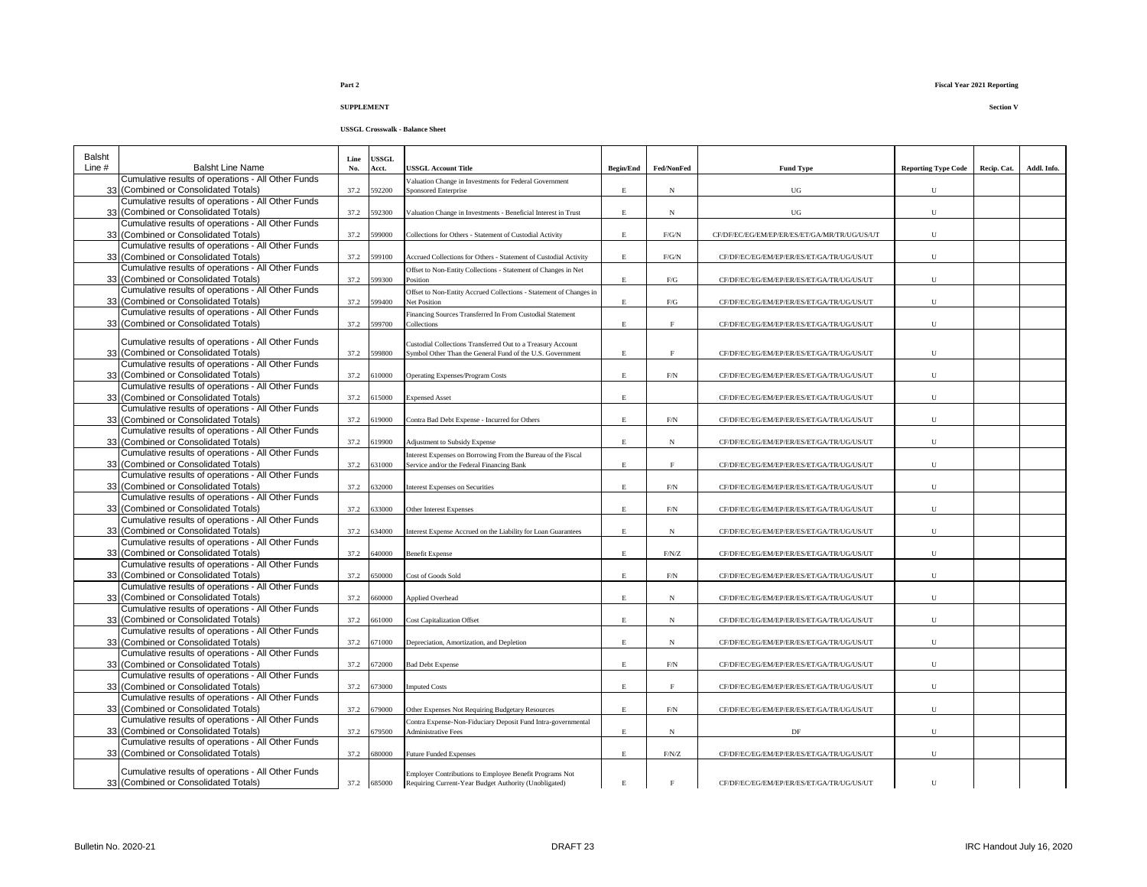### **USSGL Crosswalk - Balance Sheet**

| Balsht<br>Line $#$ | <b>Balsht Line Name</b>                                                                    | Line<br>No. | USSGL<br>Acct. | USSGL Account Title                                                                                                      | <b>Begin/End</b> | Fed/NonFed         | <b>Fund Type</b>                             | <b>Reporting Type Code</b> | Recip. Cat. | Addl. Info. |
|--------------------|--------------------------------------------------------------------------------------------|-------------|----------------|--------------------------------------------------------------------------------------------------------------------------|------------------|--------------------|----------------------------------------------|----------------------------|-------------|-------------|
|                    | Cumulative results of operations - All Other Funds                                         |             |                | Valuation Change in Investments for Federal Government                                                                   |                  |                    |                                              |                            |             |             |
|                    | 33 (Combined or Consolidated Totals)                                                       | 37.2        | 92200          | Sponsored Enterprise                                                                                                     | E                | $_{\rm N}$         | UG                                           | U                          |             |             |
|                    | Cumulative results of operations - All Other Funds<br>33 (Combined or Consolidated Totals) | 37.2        | 592300         | Valuation Change in Investments - Beneficial Interest in Trust                                                           | $\mathbf{E}$     | N                  | UG                                           | U                          |             |             |
|                    | Cumulative results of operations - All Other Funds<br>33 (Combined or Consolidated Totals) | 37.2        | 99000          | Collections for Others - Statement of Custodial Activity                                                                 | E                | F/G/N              | CF/DF/EC/EG/EM/EP/ER/ES/ET/GA/MR/TR/UG/US/UT | ${\bf U}$                  |             |             |
|                    | Cumulative results of operations - All Other Funds                                         |             |                |                                                                                                                          |                  |                    |                                              |                            |             |             |
| 33                 | (Combined or Consolidated Totals)<br>Cumulative results of operations - All Other Funds    | 37.2        | 599100         | Accrued Collections for Others - Statement of Custodial Activity                                                         | E                | F/G/N              | CF/DF/EC/EG/EM/EP/ER/ES/ET/GA/TR/UG/US/UT    | U                          |             |             |
|                    | 33 (Combined or Consolidated Totals)                                                       | 37.2        | 599300         | Offset to Non-Entity Collections - Statement of Changes in Net<br>Position                                               | $\mathbf E$      | F/G                | CF/DF/EC/EG/EM/EP/ER/ES/ET/GA/TR/UG/US/UT    | $\mathbf U$                |             |             |
|                    | Cumulative results of operations - All Other Funds<br>33 (Combined or Consolidated Totals) | 37.2        | 599400         | Offset to Non-Entity Accrued Collections - Statement of Changes in<br>Net Position                                       | $\mathbf E$      | ${\rm F/G}$        | CF/DF/EC/EG/EM/EP/ER/ES/ET/GA/TR/UG/US/UT    | U                          |             |             |
| 33                 | Cumulative results of operations - All Other Funds<br>(Combined or Consolidated Totals)    | 37.2        | 599700         | Financing Sources Transferred In From Custodial Statement<br>Collections                                                 | $\mathbf E$      | $\rm F$            | CF/DF/EC/EG/EM/EP/ER/ES/ET/GA/TR/UG/US/UT    | U                          |             |             |
|                    |                                                                                            |             |                |                                                                                                                          |                  |                    |                                              |                            |             |             |
|                    | Cumulative results of operations - All Other Funds<br>33 (Combined or Consolidated Totals) | 37.2        | 599800         | Custodial Collections Transferred Out to a Treasury Account<br>Symbol Other Than the General Fund of the U.S. Government | $\mathbf{E}$     | $\mathbf{F}% _{0}$ | CF/DF/EC/EG/EM/EP/ER/ES/ET/GA/TR/UG/US/UT    | $\mathbf{U}$               |             |             |
|                    | Cumulative results of operations - All Other Funds<br>33 (Combined or Consolidated Totals) | 37.2        | 610000         | <b>Operating Expenses/Program Costs</b>                                                                                  | $\mathbf E$      | F/N                | CF/DF/EC/EG/EM/EP/ER/ES/ET/GA/TR/UG/US/UT    | $\mathbf U$                |             |             |
|                    | Cumulative results of operations - All Other Funds                                         |             |                |                                                                                                                          |                  |                    |                                              |                            |             |             |
|                    | 33 (Combined or Consolidated Totals)                                                       | 37.2        | 15000          | <b>Expensed Asset</b>                                                                                                    | E                |                    | CF/DF/EC/EG/EM/EP/ER/ES/ET/GA/TR/UG/US/UT    | ${\bf U}$                  |             |             |
|                    | Cumulative results of operations - All Other Funds<br>33 (Combined or Consolidated Totals) | 37.2        | 19000          | Contra Bad Debt Expense - Incurred for Others                                                                            | E                | $\rm{F/N}$         | CF/DF/EC/EG/EM/EP/ER/ES/ET/GA/TR/UG/US/UT    | U                          |             |             |
|                    | Cumulative results of operations - All Other Funds<br>33 (Combined or Consolidated Totals) | 37.2        | 19900          | Adjustment to Subsidy Expense                                                                                            | $\mathbf E$      | $_{\rm N}$         | CF/DF/EC/EG/EM/EP/ER/ES/ET/GA/TR/UG/US/UT    | U                          |             |             |
|                    | Cumulative results of operations - All Other Funds                                         |             |                | interest Expenses on Borrowing From the Bureau of the Fiscal                                                             |                  |                    |                                              |                            |             |             |
| 33                 | (Combined or Consolidated Totals)                                                          | 37.2        | 531000         | Service and/or the Federal Financing Bank                                                                                | $\mathbf E$      | F                  | CF/DF/EC/EG/EM/EP/ER/ES/ET/GA/TR/UG/US/UT    | U                          |             |             |
|                    | Cumulative results of operations - All Other Funds<br>33 (Combined or Consolidated Totals) | 37.2        | 632000         | <b>Interest Expenses on Securities</b>                                                                                   | E                | $\rm F/N$          | CF/DF/EC/EG/EM/EP/ER/ES/ET/GA/TR/UG/US/UT    | U                          |             |             |
|                    | Cumulative results of operations - All Other Funds<br>33 (Combined or Consolidated Totals) | 37.2        | 633000         | Other Interest Expenses                                                                                                  | $\mathbf{E}$     | $\rm F/N$          | CF/DF/EC/EG/EM/EP/ER/ES/ET/GA/TR/UG/US/UT    | $\mathbf{U}$               |             |             |
|                    | Cumulative results of operations - All Other Funds                                         |             |                |                                                                                                                          |                  |                    |                                              |                            |             |             |
|                    | 33 (Combined or Consolidated Totals)                                                       | 37.2        | 634000         | Interest Expense Accrued on the Liability for Loan Guarantees                                                            | $\mathbf E$      | $_{\rm N}$         | CF/DF/EC/EG/EM/EP/ER/ES/ET/GA/TR/UG/US/UT    | $\mathbf U$                |             |             |
|                    | Cumulative results of operations - All Other Funds<br>33 (Combined or Consolidated Totals) | 37.2        | 540000         | <b>Benefit Expense</b>                                                                                                   | E                | F/N/Z              | CF/DF/EC/EG/EM/EP/ER/ES/ET/GA/TR/UG/US/UT    | ${\bf U}$                  |             |             |
|                    | Cumulative results of operations - All Other Funds                                         |             |                |                                                                                                                          |                  |                    |                                              |                            |             |             |
|                    | 33 (Combined or Consolidated Totals)                                                       | 37.2        | 50000          | Cost of Goods Sold                                                                                                       | E                | $\rm{F/N}$         | CF/DF/EC/EG/EM/EP/ER/ES/ET/GA/TR/UG/US/UT    | $\mathbf U$                |             |             |
|                    | Cumulative results of operations - All Other Funds<br>33 (Combined or Consolidated Totals) | 37.2        | 60000          | Applied Overhead                                                                                                         | $\mathbf E$      | $_{\rm N}$         | CF/DF/EC/EG/EM/EP/ER/ES/ET/GA/TR/UG/US/UT    | U                          |             |             |
|                    | Cumulative results of operations - All Other Funds<br>33 (Combined or Consolidated Totals) | 37.2        | 661000         | <b>Cost Capitalization Offset</b>                                                                                        | E                | N                  | CF/DF/EC/EG/EM/EP/ER/ES/ET/GA/TR/UG/US/UT    | U                          |             |             |
| 33                 | Cumulative results of operations - All Other Funds<br>(Combined or Consolidated Totals)    | 37.2        | 671000         | Depreciation, Amortization, and Depletion                                                                                | $\mathbf E$      | $_{\rm N}$         | CF/DF/EC/EG/EM/EP/ER/ES/ET/GA/TR/UG/US/UT    | U                          |             |             |
|                    | Cumulative results of operations - All Other Funds                                         |             |                |                                                                                                                          |                  |                    |                                              |                            |             |             |
|                    | 33 (Combined or Consolidated Totals)                                                       | 37.2        | 572000         | <b>Bad Debt Expense</b>                                                                                                  | $\mathbf{E}$     | $\rm F/N$          | CF/DF/EC/EG/EM/EP/ER/ES/ET/GA/TR/UG/US/UT    | $\mathbf{U}$               |             |             |
|                    | Cumulative results of operations - All Other Funds<br>33 (Combined or Consolidated Totals) | 37.2        | 673000         | mputed Costs                                                                                                             | $\mathbf E$      | $\rm F$            | CF/DF/EC/EG/EM/EP/ER/ES/ET/GA/TR/UG/US/UT    | $\mathbf U$                |             |             |
|                    | Cumulative results of operations - All Other Funds<br>33 (Combined or Consolidated Totals) | 37.2        | 79000          | Other Expenses Not Requiring Budgetary Resources                                                                         | $\mathbf E$      | $\mbox{F/N}$       | CF/DF/EC/EG/EM/EP/ER/ES/ET/GA/TR/UG/US/UT    | ${\bf U}$                  |             |             |
|                    | Cumulative results of operations - All Other Funds                                         |             |                | Contra Expense-Non-Fiduciary Deposit Fund Intra-governmental                                                             |                  |                    |                                              |                            |             |             |
|                    | 33 (Combined or Consolidated Totals)                                                       | 37.2        | 579500         | <b>Administrative Fees</b>                                                                                               | E                | $_{\rm N}$         | DF                                           | U                          |             |             |
|                    | Cumulative results of operations - All Other Funds<br>33 (Combined or Consolidated Totals) | 37.2        | 580000         | <b>Future Funded Expenses</b>                                                                                            | $\mathbf E$      | F/N/Z              | CF/DF/EC/EG/EM/EP/ER/ES/ET/GA/TR/UG/US/UT    | U                          |             |             |
|                    | Cumulative results of operations - All Other Funds                                         |             |                |                                                                                                                          |                  |                    |                                              |                            |             |             |
|                    | 33 (Combined or Consolidated Totals)                                                       |             | 37.2 685000    | Employer Contributions to Employee Benefit Programs Not<br>Requiring Current-Year Budget Authority (Unobligated)         | E                | F                  | CF/DF/EC/EG/EM/EP/ER/ES/ET/GA/TR/UG/US/UT    | U                          |             |             |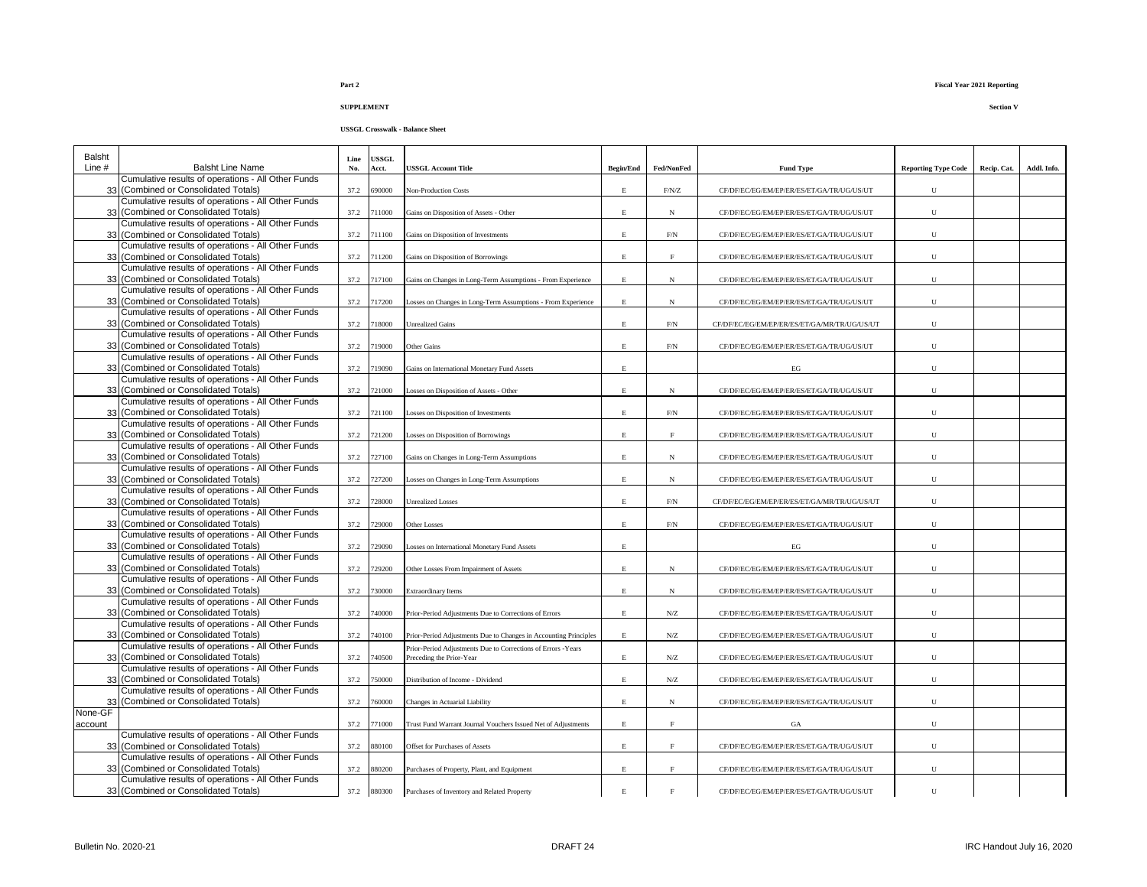| Balsht   |                                                                                            | Line | <b>USSGL</b> |                                                                                                                                  |                  |                     |                                              |                            |             |             |
|----------|--------------------------------------------------------------------------------------------|------|--------------|----------------------------------------------------------------------------------------------------------------------------------|------------------|---------------------|----------------------------------------------|----------------------------|-------------|-------------|
| Line $#$ | <b>Balsht Line Name</b>                                                                    | No.  | Acct.        | <b>JSSGL Account Title</b>                                                                                                       | <b>Begin/End</b> | Fed/NonFed          | <b>Fund Type</b>                             | <b>Reporting Type Code</b> | Recip. Cat. | Addl. Info. |
|          | Cumulative results of operations - All Other Funds<br>33 (Combined or Consolidated Totals) | 37.2 | 590000       | <b>Non-Production Costs</b>                                                                                                      | $\mathbf E$      | $\rm F/N/Z$         | CF/DF/EC/EG/EM/EP/ER/ES/ET/GA/TR/UG/US/UT    | U                          |             |             |
|          | Cumulative results of operations - All Other Funds<br>33 (Combined or Consolidated Totals) | 37.2 | 711000       | Gains on Disposition of Assets - Other                                                                                           | $\mathbf E$      | N                   | CF/DF/EC/EG/EM/EP/ER/ES/ET/GA/TR/UG/US/UT    | U                          |             |             |
|          | Cumulative results of operations - All Other Funds<br>33 (Combined or Consolidated Totals) | 37.2 | 711100       |                                                                                                                                  | $\mathbf E$      | $\rm F/N$           | CF/DF/EC/EG/EM/EP/ER/ES/ET/GA/TR/UG/US/UT    | ${\bf U}$                  |             |             |
|          | Cumulative results of operations - All Other Funds                                         |      |              | Gains on Disposition of Investments                                                                                              |                  |                     |                                              |                            |             |             |
|          | 33 (Combined or Consolidated Totals)                                                       | 37.2 | 711200       | Gains on Disposition of Borrowings                                                                                               | E                | $_{\rm F}$          | CF/DF/EC/EG/EM/EP/ER/ES/ET/GA/TR/UG/US/UT    | U                          |             |             |
|          | Cumulative results of operations - All Other Funds<br>33 (Combined or Consolidated Totals) | 37.2 | 717100       | Gains on Changes in Long-Term Assumptions - From Experience                                                                      | E                | N                   | CF/DF/EC/EG/EM/EP/ER/ES/ET/GA/TR/UG/US/UT    | $\mathbf U$                |             |             |
|          | Cumulative results of operations - All Other Funds<br>33 (Combined or Consolidated Totals) | 37.2 | 717200       | osses on Changes in Long-Term Assumptions - From Experience                                                                      | E                | N                   | CF/DF/EC/EG/EM/EP/ER/ES/ET/GA/TR/UG/US/UT    | U                          |             |             |
|          | Cumulative results of operations - All Other Funds<br>33 (Combined or Consolidated Totals) | 37.2 | 718000       | <b>Unrealized Gains</b>                                                                                                          | E                | $\rm F/N$           | CF/DF/EC/EG/EM/EP/ER/ES/ET/GA/MR/TR/UG/US/UT | $\mathbf U$                |             |             |
|          | Cumulative results of operations - All Other Funds<br>33 (Combined or Consolidated Totals) | 37.2 | 719000       | Other Gains                                                                                                                      | $\mathbf E$      | F/N                 | CF/DF/EC/EG/EM/EP/ER/ES/ET/GA/TR/UG/US/UT    | U                          |             |             |
|          | Cumulative results of operations - All Other Funds                                         |      |              |                                                                                                                                  |                  |                     |                                              |                            |             |             |
|          | 33 (Combined or Consolidated Totals)<br>Cumulative results of operations - All Other Funds | 37.2 | 719090       | Gains on International Monetary Fund Assets                                                                                      | $\mathbf E$      |                     | $_{\rm EG}$                                  | ${\bf U}$                  |             |             |
|          | 33 (Combined or Consolidated Totals)                                                       | 37.2 | 721000       | osses on Disposition of Assets - Other                                                                                           | E                | N                   | CF/DF/EC/EG/EM/EP/ER/ES/ET/GA/TR/UG/US/UT    | ${\bf U}$                  |             |             |
|          | Cumulative results of operations - All Other Funds<br>33 (Combined or Consolidated Totals) | 37.2 | 721100       | osses on Disposition of Investments                                                                                              | E                | $\rm{F/N}$          | CF/DF/EC/EG/EM/EP/ER/ES/ET/GA/TR/UG/US/UT    | ${\bf U}$                  |             |             |
|          | Cumulative results of operations - All Other Funds<br>33 (Combined or Consolidated Totals) | 37.2 | 721200       | osses on Disposition of Borrowings                                                                                               | E                | $_{\rm F}$          | CF/DF/EC/EG/EM/EP/ER/ES/ET/GA/TR/UG/US/UT    | ${\bf U}$                  |             |             |
|          | Cumulative results of operations - All Other Funds<br>33 (Combined or Consolidated Totals) | 37.2 | 727100       | Gains on Changes in Long-Term Assumptions                                                                                        | $\mathbf E$      | N                   | CF/DF/EC/EG/EM/EP/ER/ES/ET/GA/TR/UG/US/UT    | U                          |             |             |
|          | Cumulative results of operations - All Other Funds                                         |      |              |                                                                                                                                  |                  |                     |                                              |                            |             |             |
|          | 33 (Combined or Consolidated Totals)<br>Cumulative results of operations - All Other Funds | 37.2 | 727200       | Losses on Changes in Long-Term Assumptions                                                                                       | Е                | N                   | CF/DF/EC/EG/EM/EP/ER/ES/ET/GA/TR/UG/US/UT    | U                          |             |             |
|          | 33 (Combined or Consolidated Totals)                                                       | 37.2 | 728000       | <b>Jnrealized Losses</b>                                                                                                         | $\mathbf E$      | $\rm{F/N}$          | CF/DF/EC/EG/EM/EP/ER/ES/ET/GA/MR/TR/UG/US/UT | U                          |             |             |
|          | Cumulative results of operations - All Other Funds<br>33 (Combined or Consolidated Totals) | 37.2 | 729000       | Other Losses                                                                                                                     | $\mathbf E$      | $\rm{F/N}$          | CF/DF/EC/EG/EM/EP/ER/ES/ET/GA/TR/UG/US/UT    | ${\bf U}$                  |             |             |
|          | Cumulative results of operations - All Other Funds<br>33 (Combined or Consolidated Totals) | 37.2 | 729090       | osses on International Monetary Fund Assets                                                                                      | E                |                     | EG                                           | U                          |             |             |
|          | Cumulative results of operations - All Other Funds<br>33 (Combined or Consolidated Totals) | 37.2 | 729200       | Other Losses From Impairment of Assets                                                                                           | Е                | N                   | CF/DF/EC/EG/EM/EP/ER/ES/ET/GA/TR/UG/US/UT    | $\mathbf U$                |             |             |
|          | Cumulative results of operations - All Other Funds                                         |      |              |                                                                                                                                  |                  |                     |                                              |                            |             |             |
|          | 33 (Combined or Consolidated Totals)                                                       | 37.2 | 730000       | Extraordinary Items                                                                                                              | Е                | N                   | CF/DF/EC/EG/EM/EP/ER/ES/ET/GA/TR/UG/US/UT    | U                          |             |             |
|          | Cumulative results of operations - All Other Funds<br>33 (Combined or Consolidated Totals) | 37.2 | 740000       | Prior-Period Adjustments Due to Corrections of Errors                                                                            | E                | N/Z                 | CF/DF/EC/EG/EM/EP/ER/ES/ET/GA/TR/UG/US/UT    | $\mathbf U$                |             |             |
|          | Cumulative results of operations - All Other Funds                                         |      |              |                                                                                                                                  |                  |                     |                                              |                            |             |             |
|          | 33 (Combined or Consolidated Totals)<br>Cumulative results of operations - All Other Funds | 37.2 | 740100       | Prior-Period Adjustments Due to Changes in Accounting Principles<br>Prior-Period Adjustments Due to Corrections of Errors -Years | $\mathbf E$      | ${\rm N} / {\rm Z}$ | CF/DF/EC/EG/EM/EP/ER/ES/ET/GA/TR/UG/US/UT    | ${\bf U}$                  |             |             |
|          | 33 (Combined or Consolidated Totals)                                                       | 37.2 | 740500       | Preceding the Prior-Year                                                                                                         | $\mathbf E$      | ${\rm N} / {\rm Z}$ | CF/DF/EC/EG/EM/EP/ER/ES/ET/GA/TR/UG/US/UT    | $\mathbf U$                |             |             |
|          | Cumulative results of operations - All Other Funds<br>33 (Combined or Consolidated Totals) | 37.2 | 750000       | Distribution of Income - Dividend                                                                                                | $\mathbf E$      | N/Z                 | CF/DF/EC/EG/EM/EP/ER/ES/ET/GA/TR/UG/US/UT    | $\mathbf U$                |             |             |
| 33       | Cumulative results of operations - All Other Funds<br>(Combined or Consolidated Totals)    | 37.2 | 760000       | Changes in Actuarial Liability                                                                                                   | E                | N                   | CF/DF/EC/EG/EM/EP/ER/ES/ET/GA/TR/UG/US/UT    | ${\bf U}$                  |             |             |
| None-GF  |                                                                                            |      |              |                                                                                                                                  |                  |                     |                                              |                            |             |             |
| account  | Cumulative results of operations - All Other Funds                                         | 37.2 | 771000       | Trust Fund Warrant Journal Vouchers Issued Net of Adjustments                                                                    | $\mathbf E$      | $\rm F$             | GA                                           | U                          |             |             |
|          | 33 (Combined or Consolidated Totals)                                                       | 37.2 | 880100       | Offset for Purchases of Assets                                                                                                   | $\mathbf E$      | $\mathbf F$         | CF/DF/EC/EG/EM/EP/ER/ES/ET/GA/TR/UG/US/UT    | ${\bf U}$                  |             |             |
|          | Cumulative results of operations - All Other Funds<br>33 (Combined or Consolidated Totals) | 37.2 | 880200       | Purchases of Property, Plant, and Equipment                                                                                      | E                | $_{\rm F}$          | CF/DF/EC/EG/EM/EP/ER/ES/ET/GA/TR/UG/US/UT    | U                          |             |             |
|          | Cumulative results of operations - All Other Funds<br>33 (Combined or Consolidated Totals) |      | 37.2 880300  | Purchases of Inventory and Related Property                                                                                      | $\mathbf E$      |                     | CF/DF/EC/EG/EM/EP/ER/ES/ET/GA/TR/UG/US/UT    | $\mathbf{U}$               |             |             |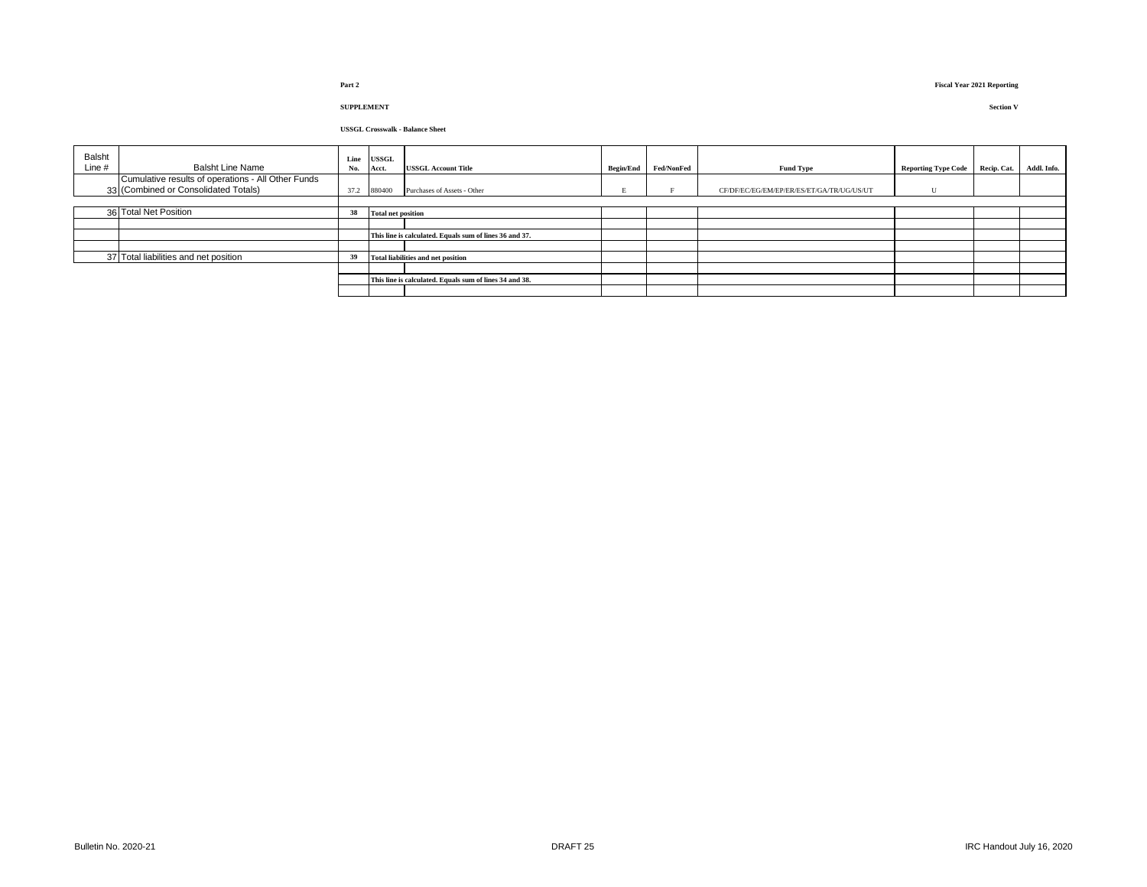# **Part 2 Fiscal Year 2021 Reporting**

| Balsht<br>Line # | <b>Balsht Line Name</b>                            | Line<br>No. | USSGL<br>Acct.                                          | <b>USSGL Account Title</b>  |  | Begin/End Fed/NonFed | <b>Fund Type</b>                          | <b>Reporting Type Code</b> | Recip. Cat. | Addl. Info. |
|------------------|----------------------------------------------------|-------------|---------------------------------------------------------|-----------------------------|--|----------------------|-------------------------------------------|----------------------------|-------------|-------------|
|                  | Cumulative results of operations - All Other Funds |             |                                                         |                             |  |                      |                                           |                            |             |             |
|                  | 33 (Combined or Consolidated Totals)               |             | 37.2 880400                                             | Purchases of Assets - Other |  |                      | CF/DF/EC/EG/EM/EP/ER/ES/ET/GA/TR/UG/US/UT |                            |             |             |
|                  |                                                    |             |                                                         |                             |  |                      |                                           |                            |             |             |
|                  | 36 Total Net Position                              | 38          | <b>Total net position</b>                               |                             |  |                      |                                           |                            |             |             |
|                  |                                                    |             |                                                         |                             |  |                      |                                           |                            |             |             |
|                  |                                                    |             | This line is calculated. Equals sum of lines 36 and 37. |                             |  |                      |                                           |                            |             |             |
|                  |                                                    |             |                                                         |                             |  |                      |                                           |                            |             |             |
|                  | 37 Total liabilities and net position              | 39          | Total liabilities and net position                      |                             |  |                      |                                           |                            |             |             |
|                  |                                                    |             |                                                         |                             |  |                      |                                           |                            |             |             |
|                  |                                                    |             | This line is calculated. Equals sum of lines 34 and 38. |                             |  |                      |                                           |                            |             |             |
|                  |                                                    |             |                                                         |                             |  |                      |                                           |                            |             |             |